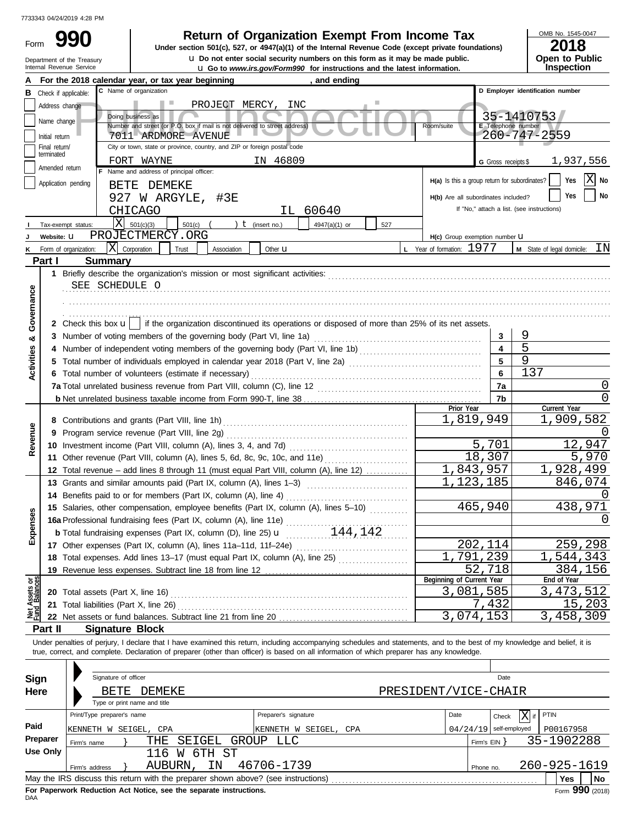Department of the Treasury

Form

# **990 2018 2018 2018 2018 2018 2018 2018 2018 2018 2018 2018 2018 2018 2018 2018 2018 2018 2018 2018 2018 2018 2018 2018 2018 2018 2018 2018 2018 2018 2018 2018**

Internal Revenue Service **Latest information. u** Go to *www.irs.gov/Form990* for instructions and the latest information. **u** Do not enter social security numbers on this form as it may be made public. **Under section 501(c), 527, or 4947(a)(1) of the Internal Revenue Code (except private foundations)** OMB No. 1545-0047

| 20 I O         |  |
|----------------|--|
| Open to Public |  |
| Inspection     |  |

|                                |                       | For the 2018 calendar year, or tax year beginning                                                                                                                          | and ending                                 |                                               |                         |                                            |
|--------------------------------|-----------------------|----------------------------------------------------------------------------------------------------------------------------------------------------------------------------|--------------------------------------------|-----------------------------------------------|-------------------------|--------------------------------------------|
| В                              | Check if applicable:  | C Name of organization                                                                                                                                                     |                                            |                                               |                         | D Employer identification number           |
|                                | Address change        | H.<br>PROJECT MERCY,                                                                                                                                                       | INC                                        |                                               |                         |                                            |
|                                | Name change           | Doing business as                                                                                                                                                          |                                            |                                               |                         | 35-1410753                                 |
|                                | Initial return        | Number and street (or P.O. box if mail is not delivered to street address)<br>7011 ARDMORE AVENUE                                                                          |                                            | Room/suite                                    | E Telephone number      | 260-747-2559                               |
|                                | Final return/         | City or town, state or province, country, and ZIP or foreign postal code                                                                                                   |                                            |                                               |                         |                                            |
|                                | terminated            | FORT WAYNE                                                                                                                                                                 | IN 46809                                   |                                               | G Gross receipts \$     | 1,937,556                                  |
|                                | Amended return        | F Name and address of principal officer:                                                                                                                                   |                                            |                                               |                         |                                            |
|                                | Application pending   | BETE DEMEKE                                                                                                                                                                |                                            | H(a) Is this a group return for subordinates? |                         | X No<br>Yes                                |
|                                |                       | 927 W ARGYLE, #3E                                                                                                                                                          |                                            | H(b) Are all subordinates included?           |                         | No<br>Yes                                  |
|                                |                       | CHICAGO                                                                                                                                                                    | IL 60640                                   |                                               |                         | If "No," attach a list. (see instructions) |
|                                | Tax-exempt status:    | X <br>501(c)(3)<br>$501(c)$ (                                                                                                                                              | ) $t$ (insert no.)<br>4947(a)(1) or<br>527 |                                               |                         |                                            |
|                                | Website: U            | PROJECTMERCY.ORG                                                                                                                                                           |                                            | H(c) Group exemption number U                 |                         |                                            |
|                                | Form of organization: | X Corporation<br>Trust<br>Association                                                                                                                                      | Other <b>u</b>                             | L Year of formation: 1977                     |                         | M State of legal domicile: IN              |
|                                | Part I                | <b>Summary</b>                                                                                                                                                             |                                            |                                               |                         |                                            |
|                                |                       |                                                                                                                                                                            |                                            |                                               |                         |                                            |
|                                |                       | SEE SCHEDULE O                                                                                                                                                             |                                            |                                               |                         |                                            |
|                                |                       |                                                                                                                                                                            |                                            |                                               |                         |                                            |
| Governance                     |                       |                                                                                                                                                                            |                                            |                                               |                         |                                            |
|                                |                       | 2 Check this box $\mathbf{u}$   if the organization discontinued its operations or disposed of more than 25% of its net assets.                                            |                                            |                                               |                         |                                            |
|                                |                       | 3 Number of voting members of the governing body (Part VI, line 1a)                                                                                                        |                                            |                                               | 3                       | 9                                          |
| య                              | 4                     | Number of independent voting members of the governing body (Part VI, line 1b) [[[[[[[[[[[[[[[[[[[[[[[[[[[[[[[                                                              |                                            |                                               | $\overline{\mathbf{4}}$ | 5                                          |
| <b>Activities</b>              | 5                     | Total number of individuals employed in calendar year 2018 (Part V, line 2a) [[[[[[[[[[[[[[[[[[[[[[[[[[[[[[[[                                                              |                                            |                                               | 5                       | 9                                          |
|                                |                       | 6 Total number of volunteers (estimate if necessary)                                                                                                                       |                                            |                                               | 6                       | 137                                        |
|                                |                       |                                                                                                                                                                            |                                            |                                               | 7a                      | 0                                          |
|                                |                       |                                                                                                                                                                            |                                            |                                               | 7b                      | $\Omega$                                   |
|                                |                       |                                                                                                                                                                            | Prior Year                                 |                                               | Current Year            |                                            |
|                                |                       |                                                                                                                                                                            |                                            | 1,819,949                                     |                         | 1,909,582                                  |
|                                | 9                     | Program service revenue (Part VIII, line 2g)                                                                                                                               |                                            |                                               |                         |                                            |
| Revenue                        |                       |                                                                                                                                                                            |                                            |                                               | 5,701                   | 12,947                                     |
|                                |                       | 11 Other revenue (Part VIII, column (A), lines 5, 6d, 8c, 9c, 10c, and 11e)                                                                                                |                                            |                                               | 18,307                  | 5,970                                      |
|                                |                       | 12 Total revenue – add lines 8 through 11 (must equal Part VIII, column (A), line 12)                                                                                      |                                            | 1,843,957                                     |                         | 1,928,499                                  |
|                                |                       | 13 Grants and similar amounts paid (Part IX, column (A), lines 1-3)                                                                                                        |                                            | 1,123,185                                     |                         | 846,074                                    |
|                                |                       |                                                                                                                                                                            |                                            |                                               |                         |                                            |
|                                |                       | 15 Salaries, other compensation, employee benefits (Part IX, column (A), lines 5-10)                                                                                       |                                            | 465,940                                       |                         | 438,971                                    |
| xpenses                        |                       | 15 Salaries, other compensation, strengthene (A), line 11e)<br>16a Professional fundraising fees (Part IX, column (A), line 11e)<br>25 <b>u</b> 144, 142                   |                                            |                                               |                         | $\left( \right)$                           |
|                                |                       |                                                                                                                                                                            |                                            |                                               |                         |                                            |
| ш                              |                       | 17 Other expenses (Part IX, column (A), lines 11a-11d, 11f-24e)                                                                                                            |                                            |                                               | 202,114                 | 259,298                                    |
|                                |                       | 18 Total expenses. Add lines 13-17 (must equal Part IX, column (A), line 25) [                                                                                             |                                            | ,791,239                                      |                         | 1,544,343                                  |
|                                | 19                    | Revenue less expenses. Subtract line 18 from line 12                                                                                                                       |                                            |                                               | 52,718                  | 384,156                                    |
|                                |                       |                                                                                                                                                                            |                                            | Beginning of Current Year                     |                         | End of Year                                |
|                                | 20                    | Total assets (Part X, line 16)                                                                                                                                             |                                            | 3,081,585                                     |                         | 3, 473, 512                                |
| Net Assets or<br>Fund Balances | 21                    | Total liabilities (Part X, line 26)                                                                                                                                        |                                            |                                               | 7,432                   | 15,203                                     |
|                                |                       | 22 Net assets or fund balances. Subtract line 21 from line 20                                                                                                              |                                            | 3,074,153                                     |                         | 3,458,309                                  |
|                                | Part II               | <b>Signature Block</b>                                                                                                                                                     |                                            |                                               |                         |                                            |
|                                |                       | Under penalties of perjury, I declare that I have examined this return, including accompanying schedules and statements, and to the best of my knowledge and belief, it is |                                            |                                               |                         |                                            |
|                                |                       | true, correct, and complete. Declaration of preparer (other than officer) is based on all information of which preparer has any knowledge.                                 |                                            |                                               |                         |                                            |
|                                |                       |                                                                                                                                                                            |                                            |                                               |                         |                                            |
| Sign                           |                       | Signature of officer                                                                                                                                                       |                                            |                                               | Date                    |                                            |
| Here                           |                       | BETE<br>DEMEKE                                                                                                                                                             |                                            | PRESIDENT/VICE-CHAIR                          |                         |                                            |
|                                |                       | Type or print name and title                                                                                                                                               |                                            |                                               |                         |                                            |
|                                |                       | Print/Type preparer's name                                                                                                                                                 | Preparer's signature                       | Date                                          | Check                   | PTIN<br>X if                               |
| Paid                           |                       | KENNETH W SEIGEL, CPA                                                                                                                                                      | KENNETH W SEIGEL, CPA                      | $04/24/19$ self-employed                      |                         | P00167958                                  |
|                                | Preparer              | SEIGEL<br>THE<br>Firm's name                                                                                                                                               | GROUP LLC                                  |                                               | Firm's $EIN$ }          | 35-1902288                                 |
|                                | <b>Use Only</b>       | 116<br>W 6TH ST                                                                                                                                                            |                                            |                                               |                         |                                            |
|                                |                       | AUBURN,<br>IN<br>Firm's address                                                                                                                                            | 46706-1739                                 |                                               | Phone no.               | 260-925-1619                               |
|                                |                       |                                                                                                                                                                            |                                            |                                               |                         | <b>Yes</b><br>No                           |
|                                |                       |                                                                                                                                                                            |                                            |                                               |                         |                                            |

| Sign     |                            | Signature of officer         |                                                                    |       |                                                                                   |  |      |              | Date          |                 |    |  |
|----------|----------------------------|------------------------------|--------------------------------------------------------------------|-------|-----------------------------------------------------------------------------------|--|------|--------------|---------------|-----------------|----|--|
| Here     | BETE                       | DEMEKE                       |                                                                    |       | PRESIDENT/VICE-CHAIR                                                              |  |      |              |               |                 |    |  |
|          |                            | Type or print name and title |                                                                    |       |                                                                                   |  |      |              |               |                 |    |  |
|          | Print/Type preparer's name |                              |                                                                    |       | Preparer's signature                                                              |  | Date |              | X<br>Check    | if PTIN         |    |  |
| Paid     |                            | KENNETH W SEIGEL, CPA        |                                                                    |       | KENNETH W SEIGEL, CPA                                                             |  |      | 04/24/19     | self-employed | P00167958       |    |  |
| Preparer | Firm's name                | THF.                         | SEIGEL                                                             | GROUP | LLC                                                                               |  |      | Firm's $EIN$ |               | 35-1902288      |    |  |
| Use Only |                            | 116                          | 6TH ST<br>W                                                        |       |                                                                                   |  |      |              |               |                 |    |  |
|          | Firm's address             | AUBURN,                      | - IN                                                               |       | 46706-1739                                                                        |  |      | Phone no.    |               | 260-925-1619    |    |  |
|          |                            |                              |                                                                    |       | May the IRS discuss this return with the preparer shown above? (see instructions) |  |      |              |               | <b>Yes</b>      | No |  |
|          |                            |                              | For Paperwork Reduction Act Notice, see the separate instructions. |       |                                                                                   |  |      |              |               | Form 990 (2018) |    |  |

DAA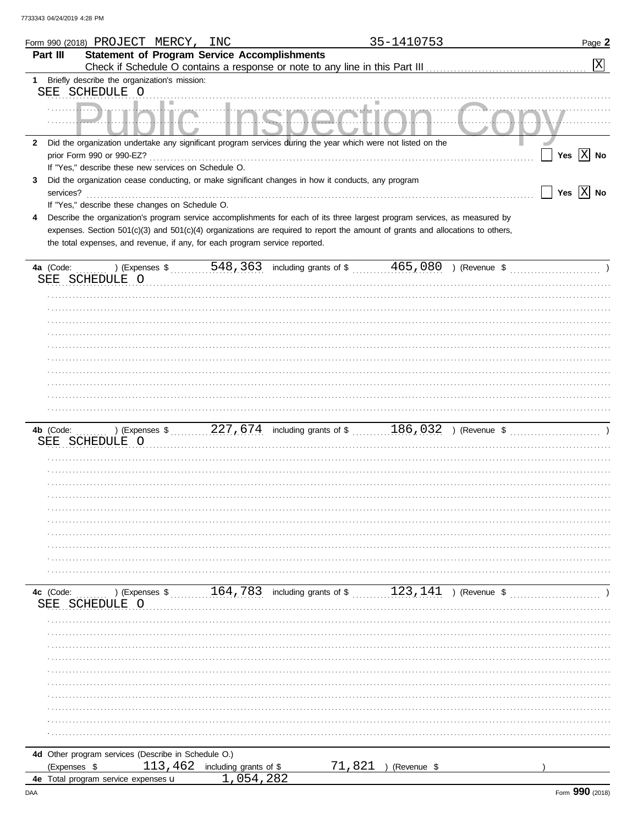|              | Form 990 (2018) PROJECT MERCY,                                                                                                 | INC                               |                                                                                                                | 35-1410753             | Page 2                |
|--------------|--------------------------------------------------------------------------------------------------------------------------------|-----------------------------------|----------------------------------------------------------------------------------------------------------------|------------------------|-----------------------|
| Part III     | <b>Statement of Program Service Accomplishments</b>                                                                            |                                   |                                                                                                                |                        |                       |
|              |                                                                                                                                |                                   |                                                                                                                |                        | 区                     |
| 1            | Briefly describe the organization's mission:                                                                                   |                                   |                                                                                                                |                        |                       |
|              |                                                                                                                                |                                   |                                                                                                                |                        |                       |
|              | SEE SCHEDULE O                                                                                                                 |                                   |                                                                                                                |                        |                       |
|              |                                                                                                                                |                                   |                                                                                                                |                        |                       |
|              |                                                                                                                                |                                   |                                                                                                                |                        |                       |
|              |                                                                                                                                |                                   |                                                                                                                |                        |                       |
| $\mathbf{2}$ | Did the organization undertake any significant program services during the year which were not listed on the                   |                                   |                                                                                                                |                        |                       |
|              | prior Form 990 or 990-EZ?                                                                                                      |                                   |                                                                                                                |                        | Yes $X$ No            |
|              | If "Yes," describe these new services on Schedule O.                                                                           |                                   |                                                                                                                |                        |                       |
|              |                                                                                                                                |                                   |                                                                                                                |                        |                       |
| 3            | Did the organization cease conducting, or make significant changes in how it conducts, any program                             |                                   |                                                                                                                |                        |                       |
| services?    |                                                                                                                                |                                   |                                                                                                                |                        | Yes $\overline{X}$ No |
|              | If "Yes," describe these changes on Schedule O.                                                                                |                                   |                                                                                                                |                        |                       |
| 4            | Describe the organization's program service accomplishments for each of its three largest program services, as measured by     |                                   |                                                                                                                |                        |                       |
|              | expenses. Section 501(c)(3) and 501(c)(4) organizations are required to report the amount of grants and allocations to others, |                                   |                                                                                                                |                        |                       |
|              | the total expenses, and revenue, if any, for each program service reported.                                                    |                                   |                                                                                                                |                        |                       |
|              |                                                                                                                                |                                   |                                                                                                                |                        |                       |
|              |                                                                                                                                |                                   |                                                                                                                |                        |                       |
|              |                                                                                                                                |                                   |                                                                                                                |                        |                       |
|              | SEE SCHEDULE O                                                                                                                 |                                   |                                                                                                                |                        |                       |
|              |                                                                                                                                |                                   |                                                                                                                |                        |                       |
|              |                                                                                                                                |                                   |                                                                                                                |                        |                       |
|              |                                                                                                                                |                                   |                                                                                                                |                        |                       |
|              |                                                                                                                                |                                   |                                                                                                                |                        |                       |
|              |                                                                                                                                |                                   |                                                                                                                |                        |                       |
|              |                                                                                                                                |                                   |                                                                                                                |                        |                       |
|              |                                                                                                                                |                                   |                                                                                                                |                        |                       |
|              |                                                                                                                                |                                   |                                                                                                                |                        |                       |
|              |                                                                                                                                |                                   |                                                                                                                |                        |                       |
|              |                                                                                                                                |                                   |                                                                                                                |                        |                       |
|              |                                                                                                                                |                                   |                                                                                                                |                        |                       |
|              |                                                                                                                                |                                   |                                                                                                                |                        |                       |
|              |                                                                                                                                |                                   |                                                                                                                |                        |                       |
| 4b (Code:    |                                                                                                                                |                                   | ) (Expenses $\frac{186,032}{}$ , 227, 674 including grants of $\frac{186,032}{}$ (Revenue $\frac{227,674}{}$ ) |                        |                       |
|              | SEE SCHEDULE O                                                                                                                 |                                   |                                                                                                                |                        |                       |
|              |                                                                                                                                |                                   |                                                                                                                |                        |                       |
|              |                                                                                                                                |                                   |                                                                                                                |                        |                       |
|              |                                                                                                                                |                                   |                                                                                                                |                        |                       |
|              |                                                                                                                                |                                   |                                                                                                                |                        |                       |
|              |                                                                                                                                |                                   |                                                                                                                |                        |                       |
|              |                                                                                                                                |                                   |                                                                                                                |                        |                       |
|              |                                                                                                                                |                                   |                                                                                                                |                        |                       |
|              |                                                                                                                                |                                   |                                                                                                                |                        |                       |
|              |                                                                                                                                |                                   |                                                                                                                |                        |                       |
|              |                                                                                                                                |                                   |                                                                                                                |                        |                       |
|              |                                                                                                                                |                                   |                                                                                                                |                        |                       |
|              |                                                                                                                                |                                   |                                                                                                                |                        |                       |
|              |                                                                                                                                |                                   |                                                                                                                |                        |                       |
| 4c (Code:    |                                                                                                                                |                                   |                                                                                                                |                        |                       |
| SEE          | SCHEDULE O                                                                                                                     |                                   |                                                                                                                |                        |                       |
|              |                                                                                                                                |                                   |                                                                                                                |                        |                       |
|              |                                                                                                                                |                                   |                                                                                                                |                        |                       |
|              |                                                                                                                                |                                   |                                                                                                                |                        |                       |
|              |                                                                                                                                |                                   |                                                                                                                |                        |                       |
|              |                                                                                                                                |                                   |                                                                                                                |                        |                       |
|              |                                                                                                                                |                                   |                                                                                                                |                        |                       |
|              |                                                                                                                                |                                   |                                                                                                                |                        |                       |
|              |                                                                                                                                |                                   |                                                                                                                |                        |                       |
|              |                                                                                                                                |                                   |                                                                                                                |                        |                       |
|              |                                                                                                                                |                                   |                                                                                                                |                        |                       |
|              |                                                                                                                                |                                   |                                                                                                                |                        |                       |
|              |                                                                                                                                |                                   |                                                                                                                |                        |                       |
|              |                                                                                                                                |                                   |                                                                                                                |                        |                       |
|              | 4d Other program services (Describe in Schedule O.)                                                                            |                                   |                                                                                                                |                        |                       |
|              |                                                                                                                                | 113, $462$ including grants of \$ |                                                                                                                | $71,821$ ) (Revenue \$ |                       |
| (Expenses \$ |                                                                                                                                |                                   |                                                                                                                |                        |                       |
|              | 4e Total program service expenses u                                                                                            | 1,054,282                         |                                                                                                                |                        |                       |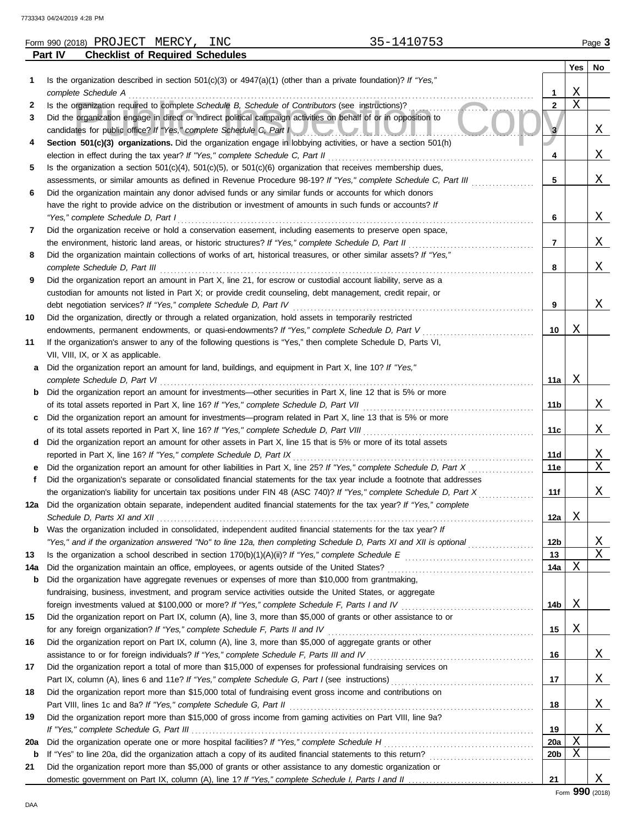|     | 35-1410753<br>Form 990 (2018) PROJECT MERCY,<br>INC                                                                                                                                                           |                 |     | Page 3 |
|-----|---------------------------------------------------------------------------------------------------------------------------------------------------------------------------------------------------------------|-----------------|-----|--------|
|     | <b>Checklist of Required Schedules</b><br>Part IV                                                                                                                                                             |                 |     |        |
|     |                                                                                                                                                                                                               |                 | Yes | No     |
| 1   | Is the organization described in section 501(c)(3) or $4947(a)(1)$ (other than a private foundation)? If "Yes,"                                                                                               |                 |     |        |
|     | complete Schedule A                                                                                                                                                                                           | 1               | Χ   |        |
| 2   | Is the organization required to complete Schedule B, Schedule of Contributors (see instructions)?                                                                                                             | $\mathbf{2}$    | X   |        |
| 3   | Did the organization engage in direct or indirect political campaign activities on behalf of or in opposition to                                                                                              |                 |     |        |
|     | candidates for public office? If "Yes," complete Schedule C, Part I                                                                                                                                           | 3               |     | Χ      |
| 4   | Section 501(c)(3) organizations. Did the organization engage in lobbying activities, or have a section 501(h)<br>election in effect during the tax year? If "Yes," complete Schedule C, Part II               | 4               |     | Χ      |
| 5   | Is the organization a section $501(c)(4)$ , $501(c)(5)$ , or $501(c)(6)$ organization that receives membership dues,                                                                                          |                 |     |        |
|     | assessments, or similar amounts as defined in Revenue Procedure 98-19? If "Yes," complete Schedule C, Part III                                                                                                | 5               |     | X      |
| 6   | Did the organization maintain any donor advised funds or any similar funds or accounts for which donors                                                                                                       |                 |     |        |
|     | have the right to provide advice on the distribution or investment of amounts in such funds or accounts? If                                                                                                   |                 |     |        |
|     | "Yes," complete Schedule D, Part I                                                                                                                                                                            | 6               |     | Χ      |
| 7   | Did the organization receive or hold a conservation easement, including easements to preserve open space,                                                                                                     |                 |     |        |
|     | the environment, historic land areas, or historic structures? If "Yes," complete Schedule D, Part II                                                                                                          | 7               |     | Χ      |
| 8   | Did the organization maintain collections of works of art, historical treasures, or other similar assets? If "Yes,"                                                                                           |                 |     |        |
|     | complete Schedule D, Part III                                                                                                                                                                                 | 8               |     | Χ      |
| 9   | Did the organization report an amount in Part X, line 21, for escrow or custodial account liability, serve as a                                                                                               |                 |     |        |
|     | custodian for amounts not listed in Part X; or provide credit counseling, debt management, credit repair, or                                                                                                  |                 |     |        |
|     | debt negotiation services? If "Yes," complete Schedule D, Part IV                                                                                                                                             | 9               |     | X      |
| 10  | Did the organization, directly or through a related organization, hold assets in temporarily restricted                                                                                                       |                 |     |        |
|     | endowments, permanent endowments, or quasi-endowments? If "Yes," complete Schedule D, Part V                                                                                                                  | 10              | Χ   |        |
| 11  | If the organization's answer to any of the following questions is "Yes," then complete Schedule D, Parts VI,                                                                                                  |                 |     |        |
|     | VII, VIII, IX, or X as applicable.                                                                                                                                                                            |                 |     |        |
| а   | Did the organization report an amount for land, buildings, and equipment in Part X, line 10? If "Yes,"                                                                                                        | 11a             | Χ   |        |
| b   | complete Schedule D, Part VI<br>Did the organization report an amount for investments-other securities in Part X, line 12 that is 5% or more                                                                  |                 |     |        |
|     |                                                                                                                                                                                                               | 11b             |     | X      |
| c   | Did the organization report an amount for investments—program related in Part X, line 13 that is 5% or more                                                                                                   |                 |     |        |
|     |                                                                                                                                                                                                               | 11c             |     | Χ      |
| d   | Did the organization report an amount for other assets in Part X, line 15 that is 5% or more of its total assets                                                                                              |                 |     |        |
|     | reported in Part X, line 16? If "Yes," complete Schedule D, Part IX                                                                                                                                           | 11d             |     | Χ      |
| е   | Did the organization report an amount for other liabilities in Part X, line 25? If "Yes," complete Schedule D, Part X                                                                                         | 11e             |     | Χ      |
|     | Did the organization's separate or consolidated financial statements for the tax year include a footnote that addresses                                                                                       |                 |     |        |
|     | the organization's liability for uncertain tax positions under FIN 48 (ASC 740)? If "Yes," complete Schedule D, Part X                                                                                        | 11f             |     | Χ      |
|     | Did the organization obtain separate, independent audited financial statements for the tax year? If "Yes," complete                                                                                           |                 |     |        |
|     |                                                                                                                                                                                                               | 12a             | Χ   |        |
| b   | Was the organization included in consolidated, independent audited financial statements for the tax year? If                                                                                                  |                 |     |        |
|     | "Yes," and if the organization answered "No" to line 12a, then completing Schedule D, Parts XI and XII is optional                                                                                            | 12b             |     | Χ      |
| 13  |                                                                                                                                                                                                               | 13              |     | Χ      |
| 14a |                                                                                                                                                                                                               | 14a             | Χ   |        |
| b   | Did the organization have aggregate revenues or expenses of more than \$10,000 from grantmaking,<br>fundraising, business, investment, and program service activities outside the United States, or aggregate |                 |     |        |
|     | foreign investments valued at \$100,000 or more? If "Yes," complete Schedule F, Parts I and IV [[[[[[[[[[[[[[[[                                                                                               | 14b             | Χ   |        |
| 15  | Did the organization report on Part IX, column (A), line 3, more than \$5,000 of grants or other assistance to or                                                                                             |                 |     |        |
|     |                                                                                                                                                                                                               | 15              | Χ   |        |
| 16  | Did the organization report on Part IX, column (A), line 3, more than \$5,000 of aggregate grants or other                                                                                                    |                 |     |        |
|     |                                                                                                                                                                                                               | 16              |     | Χ      |
| 17  | Did the organization report a total of more than \$15,000 of expenses for professional fundraising services on                                                                                                |                 |     |        |
|     |                                                                                                                                                                                                               | 17              |     | Χ      |
| 18  | Did the organization report more than \$15,000 total of fundraising event gross income and contributions on                                                                                                   |                 |     |        |
|     | Part VIII, lines 1c and 8a? If "Yes," complete Schedule G, Part II                                                                                                                                            | 18              |     | Χ      |
| 19  | Did the organization report more than \$15,000 of gross income from gaming activities on Part VIII, line 9a?                                                                                                  |                 |     |        |
|     |                                                                                                                                                                                                               | 19              |     | Χ      |
| 20a |                                                                                                                                                                                                               | 20a             | Χ   |        |
| b   |                                                                                                                                                                                                               | 20 <sub>b</sub> | Χ   |        |
| 21  | Did the organization report more than \$5,000 of grants or other assistance to any domestic organization or                                                                                                   |                 |     |        |
|     |                                                                                                                                                                                                               | 21              |     | Χ      |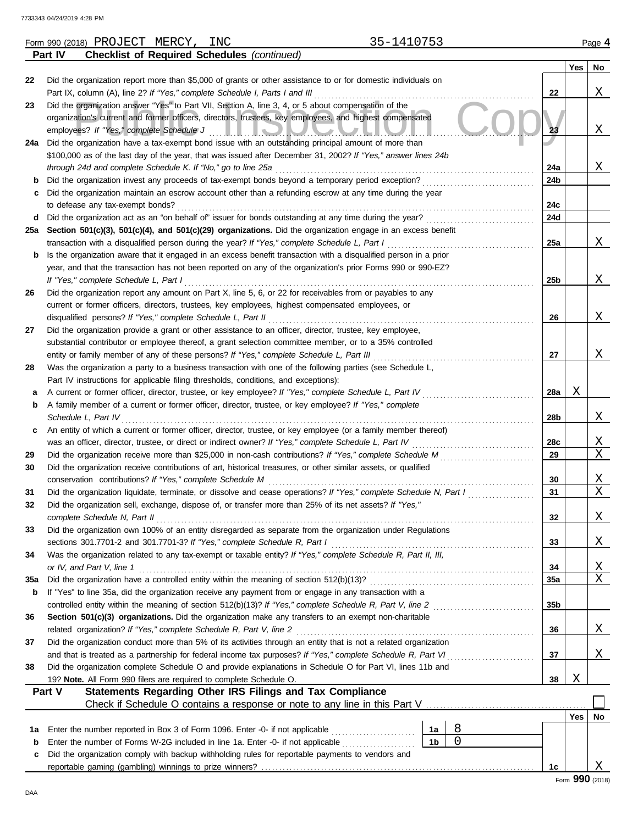|     | 35-1410753<br>Form 990 (2018) PROJECT MERCY, INC                                                                                                                                                                               |                 |         | Page 4 |
|-----|--------------------------------------------------------------------------------------------------------------------------------------------------------------------------------------------------------------------------------|-----------------|---------|--------|
|     | <b>Checklist of Required Schedules (continued)</b><br><b>Part IV</b>                                                                                                                                                           |                 |         |        |
|     |                                                                                                                                                                                                                                |                 | Yes $ $ | No     |
| 22  | Did the organization report more than \$5,000 of grants or other assistance to or for domestic individuals on                                                                                                                  |                 |         |        |
|     |                                                                                                                                                                                                                                | 22              |         | Χ      |
| 23  | Did the organization answer "Yes" to Part VII, Section A, line 3, 4, or 5 about compensation of the                                                                                                                            |                 |         |        |
|     | organization's current and former officers, directors, trustees, key employees, and highest compensated                                                                                                                        |                 |         |        |
|     |                                                                                                                                                                                                                                | 23              |         | Χ      |
|     | 24a Did the organization have a tax-exempt bond issue with an outstanding principal amount of more than                                                                                                                        |                 |         |        |
|     | \$100,000 as of the last day of the year, that was issued after December 31, 2002? If "Yes," answer lines 24b                                                                                                                  |                 |         |        |
|     |                                                                                                                                                                                                                                | 24a             |         | X      |
|     | Did the organization invest any proceeds of tax-exempt bonds beyond a temporary period exception?                                                                                                                              | 24b             |         |        |
| C   | Did the organization maintain an escrow account other than a refunding escrow at any time during the year                                                                                                                      |                 |         |        |
|     |                                                                                                                                                                                                                                | 24c<br>24d      |         |        |
| 25a |                                                                                                                                                                                                                                |                 |         |        |
|     | Section 501(c)(3), 501(c)(4), and 501(c)(29) organizations. Did the organization engage in an excess benefit<br>transaction with a disqualified person during the year? If "Yes," complete Schedule L, Part I [[[[[[[[[[[[[[[[ | 25a             |         | Χ      |
| b   | Is the organization aware that it engaged in an excess benefit transaction with a disqualified person in a prior                                                                                                               |                 |         |        |
|     | year, and that the transaction has not been reported on any of the organization's prior Forms 990 or 990-EZ?                                                                                                                   |                 |         |        |
|     |                                                                                                                                                                                                                                | 25b             |         | X      |
| 26  | Did the organization report any amount on Part X, line 5, 6, or 22 for receivables from or payables to any                                                                                                                     |                 |         |        |
|     | current or former officers, directors, trustees, key employees, highest compensated employees, or                                                                                                                              |                 |         |        |
|     |                                                                                                                                                                                                                                | 26              |         | X      |
| 27  | Did the organization provide a grant or other assistance to an officer, director, trustee, key employee,                                                                                                                       |                 |         |        |
|     | substantial contributor or employee thereof, a grant selection committee member, or to a 35% controlled                                                                                                                        |                 |         |        |
|     | entity or family member of any of these persons? If "Yes," complete Schedule L, Part III                                                                                                                                       | 27              |         | X      |
| 28  | Was the organization a party to a business transaction with one of the following parties (see Schedule L,                                                                                                                      |                 |         |        |
|     | Part IV instructions for applicable filing thresholds, conditions, and exceptions):                                                                                                                                            |                 |         |        |
| а   | A current or former officer, director, trustee, or key employee? If "Yes," complete Schedule L, Part IV                                                                                                                        | 28a             | X       |        |
| b   | A family member of a current or former officer, director, trustee, or key employee? If "Yes," complete                                                                                                                         |                 |         |        |
|     | Schedule L, Part IV                                                                                                                                                                                                            | 28b             |         | Χ      |
| c   | An entity of which a current or former officer, director, trustee, or key employee (or a family member thereof)                                                                                                                |                 |         |        |
|     |                                                                                                                                                                                                                                | 28c             |         | X      |
| 29  |                                                                                                                                                                                                                                | 29              |         | Χ      |
| 30  | Did the organization receive contributions of art, historical treasures, or other similar assets, or qualified                                                                                                                 |                 |         |        |
|     |                                                                                                                                                                                                                                | 30              |         | X      |
| 31  | Did the organization liquidate, terminate, or dissolve and cease operations? If "Yes," complete Schedule N, Part I                                                                                                             | 31              |         | Χ      |
| 32  | Did the organization sell, exchange, dispose of, or transfer more than 25% of its net assets? If "Yes,"                                                                                                                        |                 |         |        |
|     | complete Schedule N, Part II                                                                                                                                                                                                   | 32              |         | X      |
| 33  | Did the organization own 100% of an entity disregarded as separate from the organization under Regulations                                                                                                                     |                 |         |        |
|     |                                                                                                                                                                                                                                | 33              |         | Χ      |
| 34  | Was the organization related to any tax-exempt or taxable entity? If "Yes," complete Schedule R, Part II, III,<br>or IV, and Part V, line 1                                                                                    | 34              |         | Χ      |
| 35a |                                                                                                                                                                                                                                | 35a             |         | Χ      |
| b   | If "Yes" to line 35a, did the organization receive any payment from or engage in any transaction with a                                                                                                                        |                 |         |        |
|     |                                                                                                                                                                                                                                | 35 <sub>b</sub> |         |        |
| 36  | Section 501(c)(3) organizations. Did the organization make any transfers to an exempt non-charitable                                                                                                                           |                 |         |        |
|     | related organization? If "Yes," complete Schedule R, Part V, line 2                                                                                                                                                            | 36              |         | X      |
| 37  | Did the organization conduct more than 5% of its activities through an entity that is not a related organization                                                                                                               |                 |         |        |
|     |                                                                                                                                                                                                                                | 37              |         | Χ      |
| 38  | Did the organization complete Schedule O and provide explanations in Schedule O for Part VI, lines 11b and                                                                                                                     |                 |         |        |
|     | 19? Note. All Form 990 filers are required to complete Schedule O.                                                                                                                                                             | 38              | Χ       |        |
|     | Statements Regarding Other IRS Filings and Tax Compliance<br>Part V                                                                                                                                                            |                 |         |        |
|     |                                                                                                                                                                                                                                |                 |         |        |
|     |                                                                                                                                                                                                                                |                 | Yes     | No     |
| 1а  | 8<br>Enter the number reported in Box 3 of Form 1096. Enter -0- if not applicable<br>1a                                                                                                                                        |                 |         |        |
| b   | $\overline{0}$<br>1 <sub>b</sub>                                                                                                                                                                                               |                 |         |        |
| с   | Did the organization comply with backup withholding rules for reportable payments to vendors and                                                                                                                               |                 |         |        |
|     |                                                                                                                                                                                                                                | 1c              | nnn     | Χ      |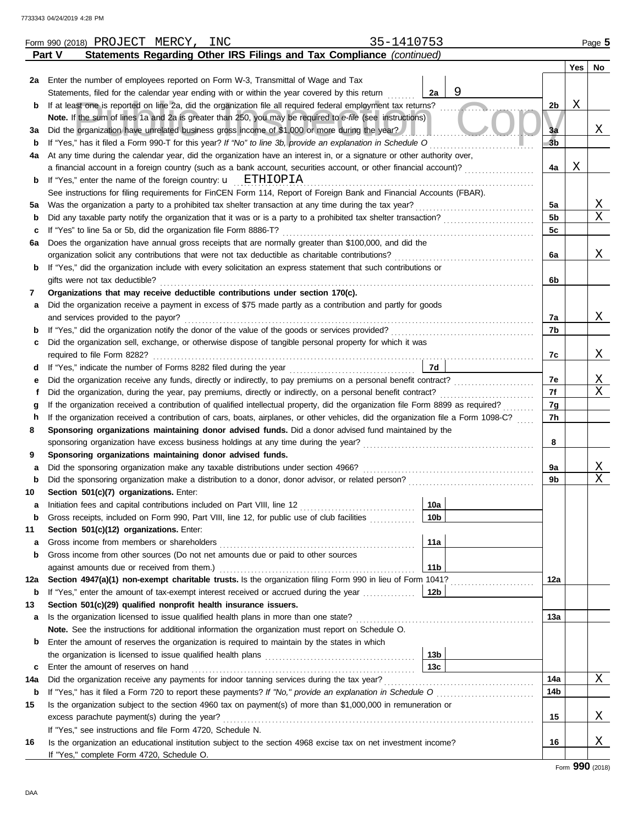|     | 35-1410753<br>Form 990 (2018) PROJECT MERCY,<br>INC                                                                                |                 |                |     | Page 5 |
|-----|------------------------------------------------------------------------------------------------------------------------------------|-----------------|----------------|-----|--------|
|     | Statements Regarding Other IRS Filings and Tax Compliance (continued)<br>Part V                                                    |                 |                |     |        |
|     |                                                                                                                                    |                 |                | Yes | No     |
|     | 2a Enter the number of employees reported on Form W-3, Transmittal of Wage and Tax                                                 |                 |                |     |        |
|     | Statements, filed for the calendar year ending with or within the year covered by this return                                      | 9<br>2a         |                |     |        |
| b   | If at least one is reported on line 2a, did the organization file all required federal employment tax returns?                     |                 | 2b             | X   |        |
|     | Note. If the sum of lines 1a and 2a is greater than 250, you may be required to e-file (see instructions)                          |                 |                |     |        |
| За  | Did the organization have unrelated business gross income of \$1,000 or more during the year?                                      |                 | 3a             |     | Χ      |
| b   | If "Yes," has it filed a Form 990-T for this year? If "No" to line 3b, provide an explanation in Schedule O                        |                 | 3 <sub>b</sub> |     |        |
| 4a  | At any time during the calendar year, did the organization have an interest in, or a signature or other authority over,            |                 |                |     |        |
|     | a financial account in a foreign country (such as a bank account, securities account, or other financial account)?                 |                 | 4a             | Χ   |        |
| b   | If "Yes," enter the name of the foreign country: $\mathbf{u}$ ETHIOPIA                                                             |                 |                |     |        |
|     | See instructions for filing requirements for FinCEN Form 114, Report of Foreign Bank and Financial Accounts (FBAR).                |                 |                |     |        |
| 5a  | Was the organization a party to a prohibited tax shelter transaction at any time during the tax year?                              |                 | 5a             |     | Χ      |
| b   |                                                                                                                                    |                 | 5 <sub>b</sub> |     | X      |
| c   | If "Yes" to line 5a or 5b, did the organization file Form 8886-T?                                                                  |                 | 5c             |     |        |
| 6а  | Does the organization have annual gross receipts that are normally greater than \$100,000, and did the                             |                 |                |     |        |
|     |                                                                                                                                    |                 | 6a             |     | Χ      |
| b   | If "Yes," did the organization include with every solicitation an express statement that such contributions or                     |                 |                |     |        |
|     | gifts were not tax deductible?                                                                                                     |                 | 6b             |     |        |
| 7   | Organizations that may receive deductible contributions under section 170(c).                                                      |                 |                |     |        |
| a   | Did the organization receive a payment in excess of \$75 made partly as a contribution and partly for goods                        |                 |                |     | Χ      |
|     | and services provided to the payor?                                                                                                |                 | 7a             |     |        |
| b   | Did the organization sell, exchange, or otherwise dispose of tangible personal property for which it was                           |                 | 7b             |     |        |
| c   |                                                                                                                                    |                 | 7c             |     | Χ      |
| d   |                                                                                                                                    | <b>7d</b>       |                |     |        |
| е   | Did the organization receive any funds, directly or indirectly, to pay premiums on a personal benefit contract?                    |                 | 7е             |     | Χ      |
| f   |                                                                                                                                    |                 | 7f             |     | X      |
| g   | If the organization received a contribution of qualified intellectual property, did the organization file Form 8899 as required?   |                 | 7g             |     |        |
| h   | If the organization received a contribution of cars, boats, airplanes, or other vehicles, did the organization file a Form 1098-C? |                 | 7h             |     |        |
| 8   | Sponsoring organizations maintaining donor advised funds. Did a donor advised fund maintained by the                               |                 |                |     |        |
|     |                                                                                                                                    |                 | 8              |     |        |
| 9   | Sponsoring organizations maintaining donor advised funds.                                                                          |                 |                |     |        |
| а   | Did the sponsoring organization make any taxable distributions under section 4966?                                                 |                 | 9а             |     | Χ      |
| b   |                                                                                                                                    |                 | 9b             |     | Χ      |
| 10  | Section 501(c)(7) organizations. Enter:                                                                                            |                 |                |     |        |
|     |                                                                                                                                    | $\sqrt{10a}$    |                |     |        |
| b   | Gross receipts, included on Form 990, Part VIII, line 12, for public use of club facilities                                        | 10b             |                |     |        |
| 11  | Section 501(c)(12) organizations. Enter:                                                                                           |                 |                |     |        |
| а   |                                                                                                                                    | 11a             |                |     |        |
| b   | Gross income from other sources (Do not net amounts due or paid to other sources                                                   |                 |                |     |        |
|     |                                                                                                                                    | 11 <sub>b</sub> |                |     |        |
| 12a | Section 4947(a)(1) non-exempt charitable trusts. Is the organization filing Form 990 in lieu of Form 1041?                         |                 | 12a            |     |        |
| b   | If "Yes," enter the amount of tax-exempt interest received or accrued during the year                                              | 12b             |                |     |        |
| 13  | Section 501(c)(29) qualified nonprofit health insurance issuers.                                                                   |                 |                |     |        |
| а   | Is the organization licensed to issue qualified health plans in more than one state?                                               |                 | 13a            |     |        |
|     | Note. See the instructions for additional information the organization must report on Schedule O.                                  |                 |                |     |        |
| b   | Enter the amount of reserves the organization is required to maintain by the states in which                                       |                 |                |     |        |
|     |                                                                                                                                    | 13 <sub>b</sub> |                |     |        |
| c   | Enter the amount of reserves on hand                                                                                               | 13 <sub>c</sub> |                |     |        |
| 14a | Did the organization receive any payments for indoor tanning services during the tax year?                                         |                 | 14a            |     | Χ      |
| b   | If "Yes," has it filed a Form 720 to report these payments? If "No," provide an explanation in Schedule O                          |                 | 14b            |     |        |
| 15  | Is the organization subject to the section 4960 tax on payment(s) of more than \$1,000,000 in remuneration or                      |                 |                |     |        |
|     | excess parachute payment(s) during the year?                                                                                       |                 | 15             |     | Χ      |
|     | If "Yes," see instructions and file Form 4720, Schedule N.                                                                         |                 |                |     |        |
| 16  | Is the organization an educational institution subject to the section 4968 excise tax on net investment income?                    |                 | 16             |     | Χ      |
|     | If "Yes," complete Form 4720, Schedule O.                                                                                          |                 |                |     |        |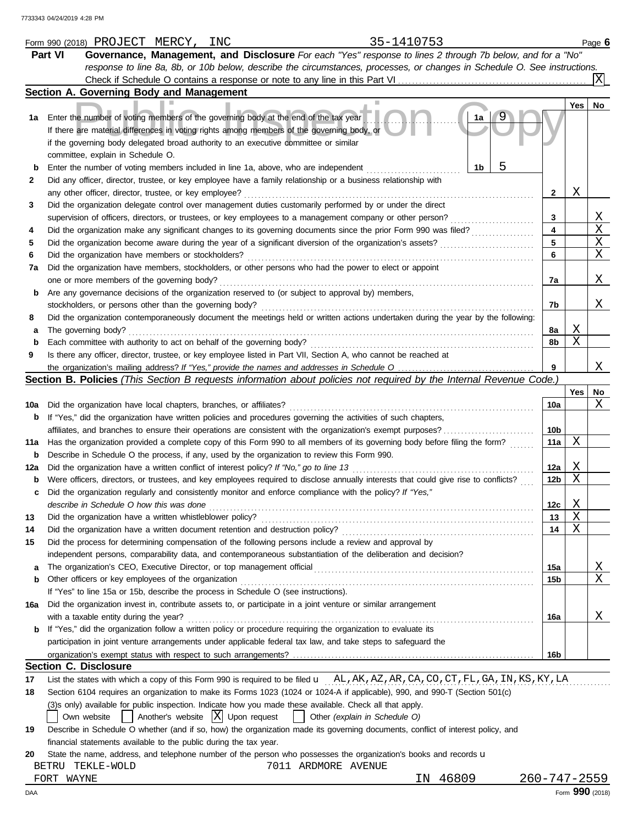|     | 35-1410753<br>Form 990 (2018) PROJECT MERCY, INC                                                                                                                    |                    |     | Page 6           |
|-----|---------------------------------------------------------------------------------------------------------------------------------------------------------------------|--------------------|-----|------------------|
|     | Governance, Management, and Disclosure For each "Yes" response to lines 2 through 7b below, and for a "No"<br><b>Part VI</b>                                        |                    |     |                  |
|     | response to line 8a, 8b, or 10b below, describe the circumstances, processes, or changes in Schedule O. See instructions.                                           |                    |     |                  |
|     |                                                                                                                                                                     |                    |     |                  |
|     | Section A. Governing Body and Management                                                                                                                            |                    |     |                  |
|     |                                                                                                                                                                     |                    | Yes | No               |
| 1а  | Enter the number of voting members of the governing body at the end of the tax year<br>1a                                                                           |                    |     |                  |
|     | If there are material differences in voting rights among members of the governing body, or                                                                          |                    |     |                  |
|     | if the governing body delegated broad authority to an executive committee or similar                                                                                |                    |     |                  |
|     | committee, explain in Schedule O.                                                                                                                                   |                    |     |                  |
|     | 1b<br>Enter the number of voting members included in line 1a, above, who are independent                                                                            |                    |     |                  |
| 2   | Did any officer, director, trustee, or key employee have a family relationship or a business relationship with                                                      |                    |     |                  |
|     |                                                                                                                                                                     | 2                  | Χ   |                  |
|     | any other officer, director, trustee, or key employee?<br>Did the organization delegate control over management duties customarily performed by or under the direct |                    |     |                  |
| 3   |                                                                                                                                                                     |                    |     |                  |
|     | supervision of officers, directors, or trustees, or key employees to a management company or other person?                                                          | 3                  |     | X<br>$\mathbf X$ |
| 4   | Did the organization make any significant changes to its governing documents since the prior Form 990 was filed?                                                    | 4                  |     |                  |
| 5   |                                                                                                                                                                     | 5                  |     | Χ                |
| 6   | Did the organization have members or stockholders?                                                                                                                  | 6                  |     | Χ                |
| 7а  | Did the organization have members, stockholders, or other persons who had the power to elect or appoint                                                             |                    |     |                  |
|     | one or more members of the governing body?                                                                                                                          | 7a                 |     | Χ                |
| b   | Are any governance decisions of the organization reserved to (or subject to approval by) members,                                                                   |                    |     |                  |
|     | stockholders, or persons other than the governing body?                                                                                                             | 7b                 |     | Χ                |
| 8   | Did the organization contemporaneously document the meetings held or written actions undertaken during the year by the following:                                   |                    |     |                  |
| а   | The governing body?                                                                                                                                                 | 8а                 | Χ   |                  |
| b   | Each committee with authority to act on behalf of the governing body?                                                                                               | 8b                 | X   |                  |
| 9   | Is there any officer, director, trustee, or key employee listed in Part VII, Section A, who cannot be reached at                                                    |                    |     |                  |
|     |                                                                                                                                                                     | 9                  |     | Χ                |
|     | Section B. Policies (This Section B requests information about policies not required by the Internal Revenue Code.)                                                 |                    |     |                  |
|     |                                                                                                                                                                     |                    | Yes | No               |
| 10a | Did the organization have local chapters, branches, or affiliates?                                                                                                  | 10a                |     | Χ                |
| b   | If "Yes," did the organization have written policies and procedures governing the activities of such chapters,                                                      |                    |     |                  |
|     | affiliates, and branches to ensure their operations are consistent with the organization's exempt purposes?                                                         | 10b                |     |                  |
| 11a | Has the organization provided a complete copy of this Form 990 to all members of its governing body before filing the form?                                         | 11a                | Χ   |                  |
| b   | Describe in Schedule O the process, if any, used by the organization to review this Form 990.                                                                       |                    |     |                  |
| 12a | Did the organization have a written conflict of interest policy? If "No," go to line 13                                                                             | 12a                | Χ   |                  |
| b   | Were officers, directors, or trustees, and key employees required to disclose annually interests that could give rise to conflicts?                                 | 12 <sub>b</sub>    | Χ   |                  |
| c   | Did the organization regularly and consistently monitor and enforce compliance with the policy? If "Yes,"                                                           |                    |     |                  |
|     | describe in Schedule O how this was done                                                                                                                            | 12c                | X   |                  |
| 13  | Did the organization have a written whistleblower policy?                                                                                                           | 13                 | Χ   |                  |
| 14  | Did the organization have a written document retention and destruction policy?                                                                                      | 14                 | Χ   |                  |
| 15  | Did the process for determining compensation of the following persons include a review and approval by                                                              |                    |     |                  |
|     | independent persons, comparability data, and contemporaneous substantiation of the deliberation and decision?                                                       |                    |     |                  |
| a   | The organization's CEO, Executive Director, or top management official                                                                                              | 15a                |     | <u>X</u>         |
| b   | Other officers or key employees of the organization                                                                                                                 | 15b                |     | Χ                |
|     | If "Yes" to line 15a or 15b, describe the process in Schedule O (see instructions).                                                                                 |                    |     |                  |
| 16a | Did the organization invest in, contribute assets to, or participate in a joint venture or similar arrangement                                                      |                    |     |                  |
|     | with a taxable entity during the year?                                                                                                                              | 16a                |     | Χ                |
|     | If "Yes," did the organization follow a written policy or procedure requiring the organization to evaluate its                                                      |                    |     |                  |
|     | participation in joint venture arrangements under applicable federal tax law, and take steps to safeguard the                                                       |                    |     |                  |
|     |                                                                                                                                                                     | 16b                |     |                  |
|     | <b>Section C. Disclosure</b>                                                                                                                                        |                    |     |                  |
| 17  | List the states with which a copy of this Form 990 is required to be filed <b>u</b> AL, AK, AZ, AR, CA, CO, CT, FL, GA, IN, KS, KY, LA                              |                    |     |                  |
| 18  | Section 6104 requires an organization to make its Forms 1023 (1024 or 1024-A if applicable), 990, and 990-T (Section 501(c)                                         |                    |     |                  |
|     | (3)s only) available for public inspection. Indicate how you made these available. Check all that apply.                                                            |                    |     |                  |
|     | $ X $ Upon request<br>Another's website<br>Other (explain in Schedule O)<br>Own website                                                                             |                    |     |                  |
| 19  | Describe in Schedule O whether (and if so, how) the organization made its governing documents, conflict of interest policy, and                                     |                    |     |                  |
|     | financial statements available to the public during the tax year.                                                                                                   |                    |     |                  |
| 20  | State the name, address, and telephone number of the person who possesses the organization's books and records u                                                    |                    |     |                  |
|     | 7011 ARDMORE AVENUE<br>BETRU TEKLE-WOLD                                                                                                                             |                    |     |                  |
|     | 46809<br>IN<br>FORT WAYNE                                                                                                                                           | $260 - 747 - 2559$ |     |                  |
|     |                                                                                                                                                                     |                    |     |                  |

DAA Form **990** (2018)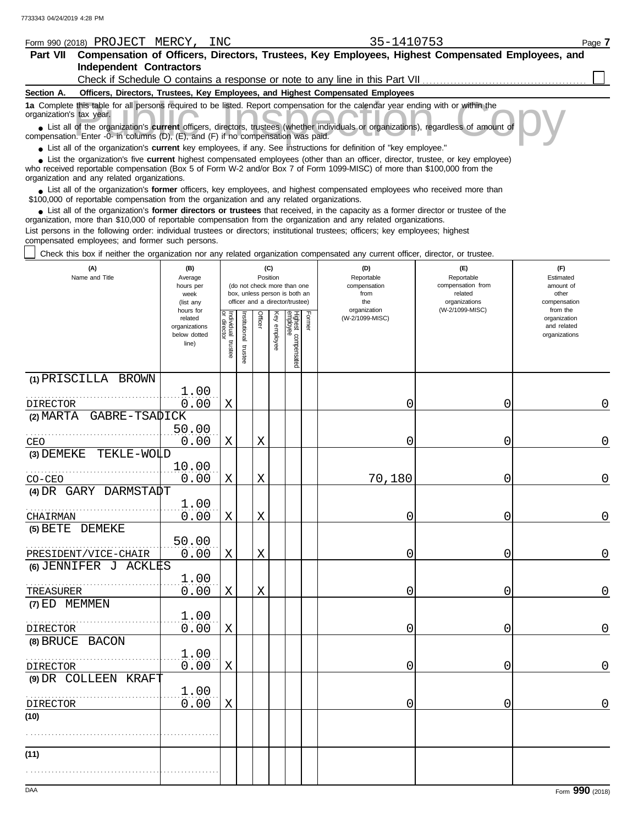|                          | Form 990 (2018) PROJECT MERCY,                  | INC. | 35-1410753                                                                                                                                                                                                                                                       | Page 7 |
|--------------------------|-------------------------------------------------|------|------------------------------------------------------------------------------------------------------------------------------------------------------------------------------------------------------------------------------------------------------------------|--------|
| Part VII                 |                                                 |      | Compensation of Officers, Directors, Trustees, Key Employees, Highest Compensated Employees, and                                                                                                                                                                 |        |
|                          | <b>Independent Contractors</b>                  |      |                                                                                                                                                                                                                                                                  |        |
|                          |                                                 |      | Check if Schedule O contains a response or note to any line in this Part VII                                                                                                                                                                                     |        |
| Section A.               |                                                 |      | Officers, Directors, Trustees, Key Employees, and Highest Compensated Employees                                                                                                                                                                                  |        |
| organization's tax year. |                                                 |      | 1a Complete this table for all persons required to be listed. Report compensation for the calendar year ending with or within the                                                                                                                                |        |
|                          |                                                 |      | • List all of the organization's <b>current</b> officers, directors, trustees (whether individuals or organizations), regardless of amount of<br>compensation. Enter -0- in columns (D), (E), and (F) if no compensation was paid.                               |        |
|                          |                                                 |      | • List all of the organization's current key employees, if any. See instructions for definition of "key employee."                                                                                                                                               |        |
|                          | organization and any related organizations.     |      | List the organization's five <b>current</b> highest compensated employees (other than an officer, director, trustee, or key employee)<br>who received reportable compensation (Box 5 of Form W-2 and/or Box 7 of Form 1099-MISC) of more than \$100,000 from the |        |
|                          |                                                 |      | List all of the organization's former officers, key employees, and highest compensated employees who received more than<br>\$100,000 of reportable compensation from the organization and any related organizations.                                             |        |
|                          |                                                 |      | • List all of the organization's former directors or trustees that received, in the capacity as a former director or trustee of the<br>organization, more than \$10,000 of reportable compensation from the organization and any related organizations.          |        |
|                          |                                                 |      | List persons in the following order: individual trustees or directors; institutional trustees; officers; key employees; highest                                                                                                                                  |        |
|                          | compensated employees; and former such persons. |      |                                                                                                                                                                                                                                                                  |        |
|                          |                                                 |      | Check this box if neither the organization nor any related organization compensated any current officer, director, or trustee.                                                                                                                                   |        |

| (A)<br>Name and Title                         | (B)<br>Average<br>hours per<br>week<br>(list any               |                         |                         | (C)<br>Position |              | (do not check more than one<br>box, unless person is both an<br>officer and a director/trustee) |        | (D)<br>Reportable<br>compensation<br>from<br>the | (E)<br>Reportable<br>compensation from<br>related<br>organizations | (F)<br>Estimated<br>amount of<br>other<br>compensation   |
|-----------------------------------------------|----------------------------------------------------------------|-------------------------|-------------------------|-----------------|--------------|-------------------------------------------------------------------------------------------------|--------|--------------------------------------------------|--------------------------------------------------------------------|----------------------------------------------------------|
|                                               | hours for<br>related<br>organizations<br>below dotted<br>line) | Individual 1<br>trustee | nstitutional<br>trustee | Officer         | Key employee | Highest compensated<br>employee                                                                 | Former | organization<br>(W-2/1099-MISC)                  | (W-2/1099-MISC)                                                    | from the<br>organization<br>and related<br>organizations |
| (1) PRISCILLA BROWN                           |                                                                |                         |                         |                 |              |                                                                                                 |        |                                                  |                                                                    |                                                          |
| <b>DIRECTOR</b>                               | 1.00<br>0.00                                                   | $\mathbf X$             |                         |                 |              |                                                                                                 |        | 0                                                | 0                                                                  | 0                                                        |
| (2) MARTA GABRE-TSADICK                       |                                                                |                         |                         |                 |              |                                                                                                 |        |                                                  |                                                                    |                                                          |
|                                               | 50.00                                                          |                         |                         |                 |              |                                                                                                 |        |                                                  |                                                                    |                                                          |
| CEO<br>TEKLE-WOLD<br>(3) DEMEKE               | 0.00                                                           | $\mathbf X$             |                         | X               |              |                                                                                                 |        | 0                                                | 0                                                                  | 0                                                        |
| $CO-CEO$                                      | 10.00<br>0.00                                                  | X                       |                         | X               |              |                                                                                                 |        | 70,180                                           | 0                                                                  | $\overline{0}$                                           |
| (4) DR GARY DARMSTADT                         |                                                                |                         |                         |                 |              |                                                                                                 |        |                                                  |                                                                    |                                                          |
| CHAIRMAN                                      | 1.00<br>0.00                                                   | $\mathbf X$             |                         | $\mathbf X$     |              |                                                                                                 |        | 0                                                | 0                                                                  | $\mathbf 0$                                              |
| (5) BETE DEMEKE                               | 50.00                                                          |                         |                         |                 |              |                                                                                                 |        |                                                  |                                                                    |                                                          |
| PRESIDENT/VICE-CHAIR<br>(6) JENNIFER J ACKLES | 0.00                                                           | Χ                       |                         | X               |              |                                                                                                 |        | 0                                                | 0                                                                  | $\overline{0}$                                           |
|                                               | 1.00                                                           |                         |                         |                 |              |                                                                                                 |        |                                                  |                                                                    |                                                          |
| TREASURER                                     | 0.00                                                           | X                       |                         | $\mathbf X$     |              |                                                                                                 |        | 0                                                | 0                                                                  | 0                                                        |
| (7) ED MEMMEN                                 | 1.00                                                           |                         |                         |                 |              |                                                                                                 |        |                                                  |                                                                    |                                                          |
| <b>DIRECTOR</b><br>(8) BRUCE BACON            | 0.00                                                           | $\mathbf X$             |                         |                 |              |                                                                                                 |        | 0                                                | 0                                                                  | $\overline{0}$                                           |
| <b>DIRECTOR</b>                               | 1,00<br>0.00                                                   | X                       |                         |                 |              |                                                                                                 |        | 0                                                | 0                                                                  | $\overline{0}$                                           |
| (9) DR COLLEEN KRAFT                          |                                                                |                         |                         |                 |              |                                                                                                 |        |                                                  |                                                                    |                                                          |
| <b>DIRECTOR</b>                               | 1.00<br>0.00                                                   | X                       |                         |                 |              |                                                                                                 |        | 0                                                | 0                                                                  | $\overline{0}$                                           |
| (10)                                          |                                                                |                         |                         |                 |              |                                                                                                 |        |                                                  |                                                                    |                                                          |
|                                               |                                                                |                         |                         |                 |              |                                                                                                 |        |                                                  |                                                                    |                                                          |
| (11)                                          |                                                                |                         |                         |                 |              |                                                                                                 |        |                                                  |                                                                    |                                                          |
|                                               |                                                                |                         |                         |                 |              |                                                                                                 |        |                                                  |                                                                    |                                                          |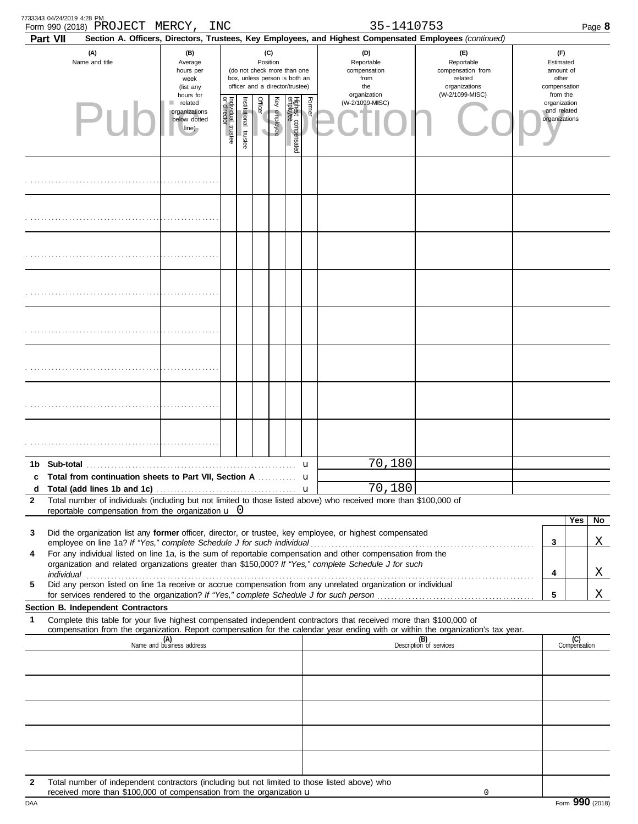| 7733343 04/24/2019 4:28 PM<br>Part VII | Form 990 (2018) PROJECT MERCY,                                                                                                                                        |                                                                     | INC                                                                                                                                                                                      |  |                                                                                                                    |  |        | 35-1410753<br>Section A. Officers, Directors, Trustees, Key Employees, and Highest Compensated Employees (continued)                                                                                                                                                                                                                    |                                                                                                                                                                    |  |                                                        |                     | Page 8 |
|----------------------------------------|-----------------------------------------------------------------------------------------------------------------------------------------------------------------------|---------------------------------------------------------------------|------------------------------------------------------------------------------------------------------------------------------------------------------------------------------------------|--|--------------------------------------------------------------------------------------------------------------------|--|--------|-----------------------------------------------------------------------------------------------------------------------------------------------------------------------------------------------------------------------------------------------------------------------------------------------------------------------------------------|--------------------------------------------------------------------------------------------------------------------------------------------------------------------|--|--------------------------------------------------------|---------------------|--------|
|                                        | (A)<br>Name and title                                                                                                                                                 | (B)<br>Average<br>hours per<br>week<br>(list any                    |                                                                                                                                                                                          |  | (C)<br>Position<br>(do not check more than one<br>box, unless person is both an<br>officer and a director/trustee) |  |        | (D)<br>Reportable<br>compensation<br>from<br>the                                                                                                                                                                                                                                                                                        | (E)<br>Reportable<br>compensation from<br>related<br>organizations                                                                                                 |  | (F)<br>Estimated<br>amount of<br>other<br>compensation |                     |        |
|                                        | $\mathsf{P}\mathsf{L}$                                                                                                                                                | hours for<br>related<br>п<br>organizations<br>below dotted<br>line) | (W-2/1099-MISC)<br>organization<br>Officer<br>Institutional trustee<br>Highest compensated<br>employee<br>Former<br>Key employee<br>Individual trustee<br>or director<br>(W-2/1099-MISC) |  | from the<br>organization<br>and related<br>organizations                                                           |  |        |                                                                                                                                                                                                                                                                                                                                         |                                                                                                                                                                    |  |                                                        |                     |        |
|                                        |                                                                                                                                                                       |                                                                     |                                                                                                                                                                                          |  |                                                                                                                    |  |        |                                                                                                                                                                                                                                                                                                                                         |                                                                                                                                                                    |  |                                                        |                     |        |
|                                        |                                                                                                                                                                       |                                                                     |                                                                                                                                                                                          |  |                                                                                                                    |  |        |                                                                                                                                                                                                                                                                                                                                         |                                                                                                                                                                    |  |                                                        |                     |        |
|                                        |                                                                                                                                                                       |                                                                     |                                                                                                                                                                                          |  |                                                                                                                    |  |        |                                                                                                                                                                                                                                                                                                                                         |                                                                                                                                                                    |  |                                                        |                     |        |
|                                        |                                                                                                                                                                       |                                                                     |                                                                                                                                                                                          |  |                                                                                                                    |  |        |                                                                                                                                                                                                                                                                                                                                         |                                                                                                                                                                    |  |                                                        |                     |        |
|                                        |                                                                                                                                                                       |                                                                     |                                                                                                                                                                                          |  |                                                                                                                    |  |        |                                                                                                                                                                                                                                                                                                                                         |                                                                                                                                                                    |  |                                                        |                     |        |
|                                        |                                                                                                                                                                       |                                                                     |                                                                                                                                                                                          |  |                                                                                                                    |  |        |                                                                                                                                                                                                                                                                                                                                         |                                                                                                                                                                    |  |                                                        |                     |        |
|                                        |                                                                                                                                                                       |                                                                     |                                                                                                                                                                                          |  |                                                                                                                    |  |        |                                                                                                                                                                                                                                                                                                                                         |                                                                                                                                                                    |  |                                                        |                     |        |
|                                        |                                                                                                                                                                       |                                                                     |                                                                                                                                                                                          |  |                                                                                                                    |  |        |                                                                                                                                                                                                                                                                                                                                         |                                                                                                                                                                    |  |                                                        |                     |        |
|                                        | c Total from continuation sheets to Part VII, Section A                                                                                                               |                                                                     |                                                                                                                                                                                          |  |                                                                                                                    |  | u<br>u | 70,180                                                                                                                                                                                                                                                                                                                                  |                                                                                                                                                                    |  |                                                        |                     |        |
| d                                      |                                                                                                                                                                       |                                                                     |                                                                                                                                                                                          |  |                                                                                                                    |  |        | 70,180                                                                                                                                                                                                                                                                                                                                  |                                                                                                                                                                    |  |                                                        |                     |        |
| $\mathbf{2}$                           | reportable compensation from the organization $\mathbf u$ 0                                                                                                           |                                                                     |                                                                                                                                                                                          |  |                                                                                                                    |  |        | Total number of individuals (including but not limited to those listed above) who received more than \$100,000 of                                                                                                                                                                                                                       |                                                                                                                                                                    |  |                                                        |                     |        |
|                                        |                                                                                                                                                                       |                                                                     |                                                                                                                                                                                          |  |                                                                                                                    |  |        |                                                                                                                                                                                                                                                                                                                                         |                                                                                                                                                                    |  |                                                        | Yes                 | No     |
| 3                                      | employee on line 1a? If "Yes," complete Schedule J for such individual                                                                                                |                                                                     |                                                                                                                                                                                          |  |                                                                                                                    |  |        | Did the organization list any former officer, director, or trustee, key employee, or highest compensated                                                                                                                                                                                                                                |                                                                                                                                                                    |  | 3                                                      |                     | Χ      |
| 4                                      |                                                                                                                                                                       |                                                                     |                                                                                                                                                                                          |  |                                                                                                                    |  |        | For any individual listed on line 1a, is the sum of reportable compensation and other compensation from the                                                                                                                                                                                                                             |                                                                                                                                                                    |  |                                                        |                     |        |
|                                        |                                                                                                                                                                       |                                                                     |                                                                                                                                                                                          |  |                                                                                                                    |  |        | organization and related organizations greater than \$150,000? If "Yes," complete Schedule J for such<br>individual with a construction of the construction of the construction of the construction of the construction of the construction of the construction of the construction of the construction of the construction of the cons |                                                                                                                                                                    |  | 4                                                      |                     | Χ      |
| 5                                      |                                                                                                                                                                       |                                                                     |                                                                                                                                                                                          |  |                                                                                                                    |  |        | Did any person listed on line 1a receive or accrue compensation from any unrelated organization or individual                                                                                                                                                                                                                           |                                                                                                                                                                    |  | 5                                                      |                     | Χ      |
|                                        | Section B. Independent Contractors                                                                                                                                    |                                                                     |                                                                                                                                                                                          |  |                                                                                                                    |  |        |                                                                                                                                                                                                                                                                                                                                         |                                                                                                                                                                    |  |                                                        |                     |        |
| 1                                      |                                                                                                                                                                       |                                                                     |                                                                                                                                                                                          |  |                                                                                                                    |  |        | Complete this table for your five highest compensated independent contractors that received more than \$100,000 of                                                                                                                                                                                                                      |                                                                                                                                                                    |  |                                                        |                     |        |
|                                        |                                                                                                                                                                       | (A)<br>Name and business address                                    |                                                                                                                                                                                          |  |                                                                                                                    |  |        |                                                                                                                                                                                                                                                                                                                                         | compensation from the organization. Report compensation for the calendar year ending with or within the organization's tax year.<br>(B)<br>Description of services |  |                                                        | (C)<br>Compensation |        |
|                                        |                                                                                                                                                                       |                                                                     |                                                                                                                                                                                          |  |                                                                                                                    |  |        |                                                                                                                                                                                                                                                                                                                                         |                                                                                                                                                                    |  |                                                        |                     |        |
|                                        |                                                                                                                                                                       |                                                                     |                                                                                                                                                                                          |  |                                                                                                                    |  |        |                                                                                                                                                                                                                                                                                                                                         |                                                                                                                                                                    |  |                                                        |                     |        |
|                                        |                                                                                                                                                                       |                                                                     |                                                                                                                                                                                          |  |                                                                                                                    |  |        |                                                                                                                                                                                                                                                                                                                                         |                                                                                                                                                                    |  |                                                        |                     |        |
|                                        |                                                                                                                                                                       |                                                                     |                                                                                                                                                                                          |  |                                                                                                                    |  |        |                                                                                                                                                                                                                                                                                                                                         |                                                                                                                                                                    |  |                                                        |                     |        |
| 2                                      | Total number of independent contractors (including but not limited to those listed above) who<br>received more than \$100,000 of compensation from the organization u |                                                                     |                                                                                                                                                                                          |  |                                                                                                                    |  |        |                                                                                                                                                                                                                                                                                                                                         |                                                                                                                                                                    |  |                                                        |                     |        |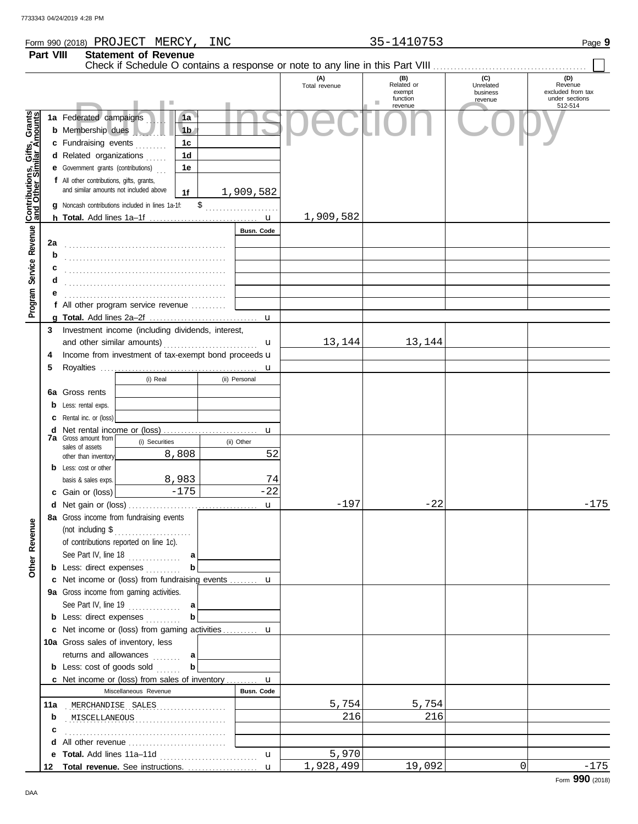## Form 990 (2018) Page **9** PROJECT MERCY, INC 35-1410753

|                                              | Part VIII | <b>Statement of Revenue</b><br>Check if Schedule O contains a response or note to any line in this Part VIII                                                                                      |                   |                      |                             |                              |                                     |
|----------------------------------------------|-----------|---------------------------------------------------------------------------------------------------------------------------------------------------------------------------------------------------|-------------------|----------------------|-----------------------------|------------------------------|-------------------------------------|
|                                              |           |                                                                                                                                                                                                   |                   | (A)<br>Total revenue | (B)<br>Related or<br>exempt | (C)<br>Unrelated<br>business | (D)<br>Revenue<br>excluded from tax |
|                                              |           |                                                                                                                                                                                                   |                   |                      | function<br>revenue         | revenue                      | under sections<br>512-514           |
|                                              |           | 1a Federated campaigns<br>1a<br><b>b</b> Membership dues<br>1 <sub>b</sub><br>c Fundraising events<br>1c<br>d Related organizations<br>1d                                                         |                   |                      |                             |                              |                                     |
| Service Revenue Contributions, Gifts, Grants |           | 1e<br><b>e</b> Government grants (contributions)<br>f All other contributions, gifts, grants,<br>and similar amounts not included above<br>1f<br>g Noncash contributions included in lines 1a-1f: | 1,909,582         |                      |                             |                              |                                     |
|                                              |           |                                                                                                                                                                                                   |                   | 1,909,582            |                             |                              |                                     |
|                                              |           |                                                                                                                                                                                                   | Busn. Code        |                      |                             |                              |                                     |
|                                              | 2a        |                                                                                                                                                                                                   |                   |                      |                             |                              |                                     |
|                                              | b         |                                                                                                                                                                                                   |                   |                      |                             |                              |                                     |
|                                              | c         |                                                                                                                                                                                                   |                   |                      |                             |                              |                                     |
|                                              | d         |                                                                                                                                                                                                   |                   |                      |                             |                              |                                     |
| Program                                      | е         |                                                                                                                                                                                                   |                   |                      |                             |                              |                                     |
|                                              |           | f All other program service revenue                                                                                                                                                               |                   |                      |                             |                              |                                     |
|                                              |           |                                                                                                                                                                                                   |                   |                      |                             |                              |                                     |
|                                              | 3         | Investment income (including dividends, interest,                                                                                                                                                 |                   |                      |                             |                              |                                     |
|                                              |           |                                                                                                                                                                                                   | u                 | 13,144               | 13,144                      |                              |                                     |
|                                              | 4         | Income from investment of tax-exempt bond proceeds u                                                                                                                                              |                   |                      |                             |                              |                                     |
|                                              | 5         |                                                                                                                                                                                                   | u                 |                      |                             |                              |                                     |
|                                              |           | (i) Real<br>(ii) Personal                                                                                                                                                                         |                   |                      |                             |                              |                                     |
|                                              | 6a        | Gross rents                                                                                                                                                                                       |                   |                      |                             |                              |                                     |
|                                              | b         | Less: rental exps.                                                                                                                                                                                |                   |                      |                             |                              |                                     |
|                                              | c         | Rental inc. or (loss)                                                                                                                                                                             |                   |                      |                             |                              |                                     |
|                                              | d         |                                                                                                                                                                                                   | u                 |                      |                             |                              |                                     |
|                                              |           | <b>7a</b> Gross amount from<br>(i) Securities<br>(ii) Other                                                                                                                                       |                   |                      |                             |                              |                                     |
|                                              |           | sales of assets<br>8,808                                                                                                                                                                          | 52                |                      |                             |                              |                                     |
|                                              | b         | other than inventory<br>Less: cost or other                                                                                                                                                       |                   |                      |                             |                              |                                     |
|                                              |           | 8,983<br>basis & sales exps.                                                                                                                                                                      | 74                |                      |                             |                              |                                     |
|                                              |           | $-175$<br>Gain or (loss)                                                                                                                                                                          | $-22$             |                      |                             |                              |                                     |
|                                              |           |                                                                                                                                                                                                   | $\mathbf{u}$      | $-197$               | $-22$                       |                              | $-175$                              |
|                                              |           | 8a Gross income from fundraising events                                                                                                                                                           |                   |                      |                             |                              |                                     |
| <b>Other Revenue</b>                         |           | (not including $$$<br>of contributions reported on line 1c).                                                                                                                                      |                   |                      |                             |                              |                                     |
|                                              |           | See Part IV, line 18<br>a                                                                                                                                                                         |                   |                      |                             |                              |                                     |
|                                              |           | <b>b</b> Less: direct expenses<br>b                                                                                                                                                               |                   |                      |                             |                              |                                     |
|                                              |           | c Net income or (loss) from fundraising events  u                                                                                                                                                 |                   |                      |                             |                              |                                     |
|                                              |           | 9a Gross income from gaming activities.                                                                                                                                                           |                   |                      |                             |                              |                                     |
|                                              |           | See Part IV, line 19<br>a                                                                                                                                                                         |                   |                      |                             |                              |                                     |
|                                              |           | b<br><b>b</b> Less: direct expenses                                                                                                                                                               |                   |                      |                             |                              |                                     |
|                                              |           | c Net income or (loss) from gaming activities  u                                                                                                                                                  |                   |                      |                             |                              |                                     |
|                                              |           | 10a Gross sales of inventory, less                                                                                                                                                                |                   |                      |                             |                              |                                     |
|                                              |           | returns and allowances<br>a                                                                                                                                                                       |                   |                      |                             |                              |                                     |
|                                              |           | <b>b</b> Less: $cost$ of goods $sol$<br>b                                                                                                                                                         |                   |                      |                             |                              |                                     |
|                                              |           | <b>c</b> Net income or (loss) from sales of inventory <b>u</b>                                                                                                                                    |                   |                      |                             |                              |                                     |
|                                              |           | Miscellaneous Revenue                                                                                                                                                                             | Busn. Code        |                      |                             |                              |                                     |
|                                              | 11a       | MERCHANDISE SALES                                                                                                                                                                                 |                   | 5,754                | 5,754                       |                              |                                     |
|                                              | b         |                                                                                                                                                                                                   |                   | 216                  | 216                         |                              |                                     |
|                                              |           | MISCELLANEOUS                                                                                                                                                                                     |                   |                      |                             |                              |                                     |
|                                              | c         | All other revenue                                                                                                                                                                                 |                   |                      |                             |                              |                                     |
|                                              | d         |                                                                                                                                                                                                   |                   | 5,970                |                             |                              |                                     |
|                                              | е<br>12   |                                                                                                                                                                                                   | u<br>$\mathbf{u}$ | 1,928,499            | 19,092                      | $\Omega$                     | $-175$                              |
|                                              |           |                                                                                                                                                                                                   |                   |                      |                             |                              |                                     |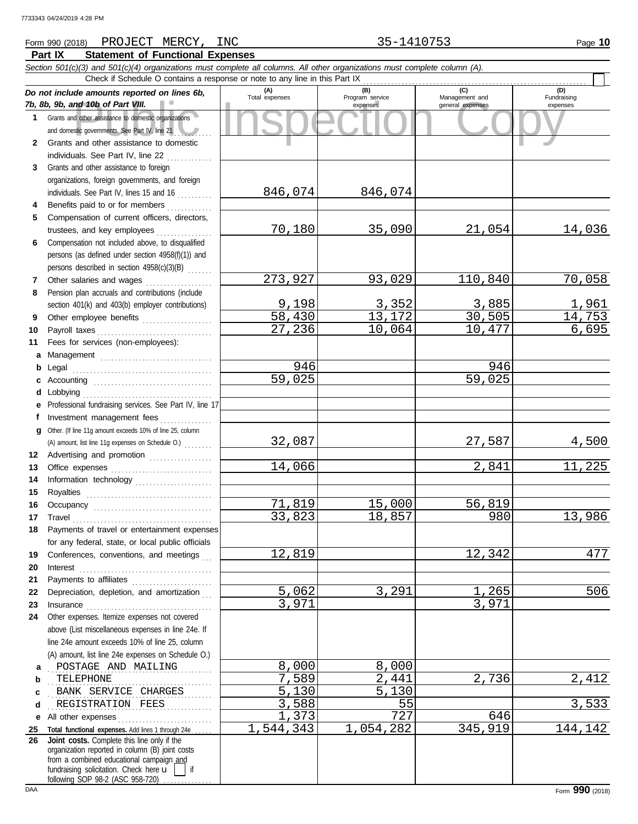## **Part IX Statement of Functional Expenses** Form 990 (2018) Page **10** PROJECT MERCY, INC 35-1410753

|              | Section 501(c)(3) and 501(c)(4) organizations must complete all columns. All other organizations must complete column (A).<br>Check if Schedule O contains a response or note to any line in this Part IX                                                                                                                                                                                                                                                                                                                          |                 |                             |                                    |                         |
|--------------|------------------------------------------------------------------------------------------------------------------------------------------------------------------------------------------------------------------------------------------------------------------------------------------------------------------------------------------------------------------------------------------------------------------------------------------------------------------------------------------------------------------------------------|-----------------|-----------------------------|------------------------------------|-------------------------|
|              | Do not include amounts reported on lines 6b,                                                                                                                                                                                                                                                                                                                                                                                                                                                                                       | (A)             | (B)                         | (C)                                | (D)                     |
|              | 7b, 8b, 9b, and 10b of Part VIII.                                                                                                                                                                                                                                                                                                                                                                                                                                                                                                  | Total expenses  | Program service<br>expenses | Management and<br>general expenses | Fundraising<br>expenses |
| 1.           | Grants and other assistance to domestic organizations                                                                                                                                                                                                                                                                                                                                                                                                                                                                              |                 |                             |                                    |                         |
|              | and domestic governments. See Part IV, line 21                                                                                                                                                                                                                                                                                                                                                                                                                                                                                     |                 |                             |                                    |                         |
| $\mathbf{2}$ | Grants and other assistance to domestic                                                                                                                                                                                                                                                                                                                                                                                                                                                                                            |                 |                             |                                    |                         |
|              | individuals. See Part IV, line 22                                                                                                                                                                                                                                                                                                                                                                                                                                                                                                  |                 |                             |                                    |                         |
| 3            | Grants and other assistance to foreign                                                                                                                                                                                                                                                                                                                                                                                                                                                                                             |                 |                             |                                    |                         |
|              | organizations, foreign governments, and foreign                                                                                                                                                                                                                                                                                                                                                                                                                                                                                    |                 |                             |                                    |                         |
|              | individuals. See Part IV, lines 15 and 16                                                                                                                                                                                                                                                                                                                                                                                                                                                                                          | 846,074         | 846,074                     |                                    |                         |
| 4            | Benefits paid to or for members                                                                                                                                                                                                                                                                                                                                                                                                                                                                                                    |                 |                             |                                    |                         |
| 5            | Compensation of current officers, directors,                                                                                                                                                                                                                                                                                                                                                                                                                                                                                       |                 |                             |                                    |                         |
|              | trustees, and key employees                                                                                                                                                                                                                                                                                                                                                                                                                                                                                                        | 70,180          | 35,090                      | 21,054                             | 14,036                  |
| 6            | Compensation not included above, to disqualified                                                                                                                                                                                                                                                                                                                                                                                                                                                                                   |                 |                             |                                    |                         |
|              | persons (as defined under section 4958(f)(1)) and                                                                                                                                                                                                                                                                                                                                                                                                                                                                                  |                 |                             |                                    |                         |
|              | persons described in section 4958(c)(3)(B)                                                                                                                                                                                                                                                                                                                                                                                                                                                                                         |                 |                             |                                    |                         |
| 7            | Other salaries and wages                                                                                                                                                                                                                                                                                                                                                                                                                                                                                                           | 273,927         | 93,029                      | 110,840                            | 70,058                  |
| 8            | Pension plan accruals and contributions (include                                                                                                                                                                                                                                                                                                                                                                                                                                                                                   |                 |                             |                                    |                         |
|              | section 401(k) and 403(b) employer contributions)                                                                                                                                                                                                                                                                                                                                                                                                                                                                                  | 9,198<br>58,430 | 3,352<br>13,172             | 3,885<br>$\overline{30,505}$       | <u>1,961</u><br>14,753  |
| 9            | Other employee benefits                                                                                                                                                                                                                                                                                                                                                                                                                                                                                                            | 27,236          | 10,064                      | 10,477                             | 6,695                   |
| 10<br>11     | Fees for services (non-employees):                                                                                                                                                                                                                                                                                                                                                                                                                                                                                                 |                 |                             |                                    |                         |
|              |                                                                                                                                                                                                                                                                                                                                                                                                                                                                                                                                    |                 |                             |                                    |                         |
| a<br>b       | Management                                                                                                                                                                                                                                                                                                                                                                                                                                                                                                                         | 946             |                             | 946                                |                         |
| c            |                                                                                                                                                                                                                                                                                                                                                                                                                                                                                                                                    | 59,025          |                             | 59,025                             |                         |
| d            |                                                                                                                                                                                                                                                                                                                                                                                                                                                                                                                                    |                 |                             |                                    |                         |
| е            | Professional fundraising services. See Part IV, line 17                                                                                                                                                                                                                                                                                                                                                                                                                                                                            |                 |                             |                                    |                         |
| f            | Investment management fees                                                                                                                                                                                                                                                                                                                                                                                                                                                                                                         |                 |                             |                                    |                         |
| q            | Other. (If line 11g amount exceeds 10% of line 25, column                                                                                                                                                                                                                                                                                                                                                                                                                                                                          |                 |                             |                                    |                         |
|              | (A) amount, list line 11g expenses on Schedule O.)                                                                                                                                                                                                                                                                                                                                                                                                                                                                                 | 32,087          |                             | 27,587                             | <u>4,500</u>            |
| 12           | Advertising and promotion                                                                                                                                                                                                                                                                                                                                                                                                                                                                                                          |                 |                             |                                    |                         |
| 13           |                                                                                                                                                                                                                                                                                                                                                                                                                                                                                                                                    | 14,066          |                             | 2,841                              | 11,225                  |
| 14           | Information technology                                                                                                                                                                                                                                                                                                                                                                                                                                                                                                             |                 |                             |                                    |                         |
| 15           |                                                                                                                                                                                                                                                                                                                                                                                                                                                                                                                                    |                 |                             |                                    |                         |
| 16           |                                                                                                                                                                                                                                                                                                                                                                                                                                                                                                                                    | 71,819          | 15,000                      | 56,819                             |                         |
| 17           | $\begin{minipage}[c]{0.9\linewidth} \textbf{ Travel} \end{minipage}[ \begin{minipage}[c]{0.9\linewidth} \textbf{True} \end{minipage}[ \begin{minipage}[c]{0.9\linewidth} \textbf{True} \end{minipage}[ \begin{minipage}[c]{0.9\linewidth} \textbf{True} \end{minipage}[ \begin{minipage}[c]{0.9\linewidth} \textbf{True} \end{minipage}[ \begin{minipage}[c]{0.9\linewidth} \textbf{True} \end{minipage}[ \begin{minipage}[c]{0.9\linewidth} \textbf{True} \end{minipage}[ \begin{minipage}[c]{0.9\linewidth} \textbf{True} \end{$ | 33,823          | 18,857                      | 980                                | 13,986                  |
| 18           | Payments of travel or entertainment expenses                                                                                                                                                                                                                                                                                                                                                                                                                                                                                       |                 |                             |                                    |                         |
|              | for any federal, state, or local public officials                                                                                                                                                                                                                                                                                                                                                                                                                                                                                  |                 |                             |                                    |                         |
| 19           | Conferences, conventions, and meetings                                                                                                                                                                                                                                                                                                                                                                                                                                                                                             | 12,819          |                             | 12,342                             | 477                     |
| 20           | $\textbf{Interest} \hspace{0.05in} \ldots \hspace{0.05in} \ldots \hspace{0.05in} \ldots \hspace{0.05in} \ldots \hspace{0.05in} \ldots \hspace{0.05in} \ldots \hspace{0.05in} \ldots \hspace{0.05in} \ldots \hspace{0.05in} \ldots \hspace{0.05in} \ldots \hspace{0.05in} \ldots$                                                                                                                                                                                                                                                   |                 |                             |                                    |                         |
| 21           | Payments to affiliates [111] [11] Payments to affiliates                                                                                                                                                                                                                                                                                                                                                                                                                                                                           |                 |                             |                                    |                         |
| 22           | Depreciation, depletion, and amortization                                                                                                                                                                                                                                                                                                                                                                                                                                                                                          | 5,062           | 3,291                       | 1,265                              | 506                     |
| 23           |                                                                                                                                                                                                                                                                                                                                                                                                                                                                                                                                    | 3,971           |                             | 3,971                              |                         |
| 24           | Other expenses. Itemize expenses not covered                                                                                                                                                                                                                                                                                                                                                                                                                                                                                       |                 |                             |                                    |                         |
|              | above (List miscellaneous expenses in line 24e. If<br>line 24e amount exceeds 10% of line 25, column                                                                                                                                                                                                                                                                                                                                                                                                                               |                 |                             |                                    |                         |
|              | (A) amount, list line 24e expenses on Schedule O.)                                                                                                                                                                                                                                                                                                                                                                                                                                                                                 |                 |                             |                                    |                         |
|              | POSTAGE AND MAILING                                                                                                                                                                                                                                                                                                                                                                                                                                                                                                                | 8,000           | 8,000                       |                                    |                         |
| а<br>b       | TELEPHONE                                                                                                                                                                                                                                                                                                                                                                                                                                                                                                                          | 7,589           | 2,441                       | 2,736                              | 2,412                   |
| c            | BANK SERVICE CHARGES                                                                                                                                                                                                                                                                                                                                                                                                                                                                                                               | 5,130           | 5,130                       |                                    |                         |
| d            | REGISTRATION FEES                                                                                                                                                                                                                                                                                                                                                                                                                                                                                                                  | 3,588           | 55                          |                                    | 3,533                   |
| е            | All other expenses                                                                                                                                                                                                                                                                                                                                                                                                                                                                                                                 | 1,373           | 727                         | 646                                |                         |
| 25           | Total functional expenses. Add lines 1 through 24e.                                                                                                                                                                                                                                                                                                                                                                                                                                                                                | 1,544,343       | 1,054,282                   | 345,919                            | 144,142                 |
| 26           | Joint costs. Complete this line only if the<br>organization reported in column (B) joint costs                                                                                                                                                                                                                                                                                                                                                                                                                                     |                 |                             |                                    |                         |
|              | from a combined educational campaign and<br>fundraising solicitation. Check here $\mathbf{u}$  <br>l if<br>following SOP 98-2 (ASC 958-720)                                                                                                                                                                                                                                                                                                                                                                                        |                 |                             |                                    |                         |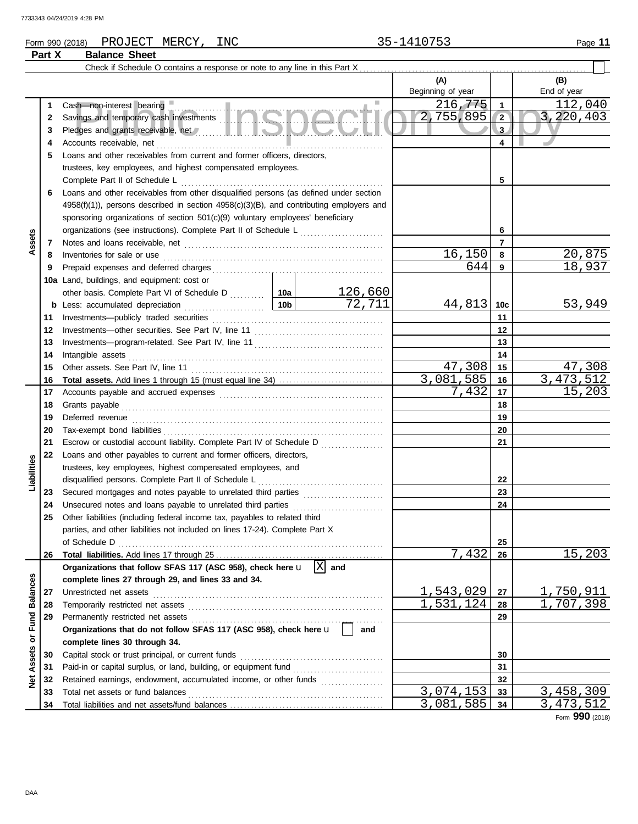## Form 990 (2018) Page **11** PROJECT MERCY, INC 35-1410753 **Part X Balance Sheet**

|                 |          | Check if Schedule O contains a response or note to any line in this Part X                                                                                                                                                           |  |         |                   |              |                |
|-----------------|----------|--------------------------------------------------------------------------------------------------------------------------------------------------------------------------------------------------------------------------------------|--|---------|-------------------|--------------|----------------|
|                 |          |                                                                                                                                                                                                                                      |  |         | (A)               |              | (B)            |
|                 |          |                                                                                                                                                                                                                                      |  |         | Beginning of year |              | End of year    |
|                 | 1        | Cash-non-interest bearing                                                                                                                                                                                                            |  | ш       | 216,775           | 1            | <u>112,040</u> |
|                 | 2        | Savings and temporary cash investments                                                                                                                                                                                               |  |         | 2,755,895         | $\sqrt{2}$   | 3,220,403      |
|                 | 3        |                                                                                                                                                                                                                                      |  |         |                   | $\mathbf{3}$ |                |
|                 | 4        |                                                                                                                                                                                                                                      |  |         |                   | 4            |                |
|                 | 5        | Loans and other receivables from current and former officers, directors,                                                                                                                                                             |  |         |                   |              |                |
|                 |          | trustees, key employees, and highest compensated employees.                                                                                                                                                                          |  |         |                   |              |                |
|                 |          |                                                                                                                                                                                                                                      |  |         |                   | 5            |                |
|                 | 6        | Loans and other receivables from other disqualified persons (as defined under section                                                                                                                                                |  |         |                   |              |                |
|                 |          | $4958(f)(1)$ , persons described in section $4958(c)(3)(B)$ , and contributing employers and                                                                                                                                         |  |         |                   |              |                |
|                 |          | sponsoring organizations of section 501(c)(9) voluntary employees' beneficiary                                                                                                                                                       |  |         |                   |              |                |
|                 |          | organizations (see instructions). Complete Part II of Schedule L                                                                                                                                                                     |  | 6       |                   |              |                |
| Assets          | 7        |                                                                                                                                                                                                                                      |  |         |                   | 7            |                |
|                 | 8        | Inventories for sale or use <i>manual content of the content of the content of the content of the content of the content of the content of the content of the content of the content of the content of the content of the conten</i> |  |         | 16,150            | 8            | 20,875         |
|                 | 9        |                                                                                                                                                                                                                                      |  |         | 644               | 9            | 18,937         |
|                 |          | <b>10a</b> Land, buildings, and equipment: cost or                                                                                                                                                                                   |  |         |                   |              |                |
|                 |          | other basis. Complete Part VI of Schedule D  10a                                                                                                                                                                                     |  | 126,660 |                   |              |                |
|                 |          |                                                                                                                                                                                                                                      |  | 72,711  | $44,813$ 10c      |              | 53,949         |
|                 | 11       |                                                                                                                                                                                                                                      |  |         |                   | 11           |                |
|                 | 12       |                                                                                                                                                                                                                                      |  |         |                   | $12 \,$      |                |
|                 | 13       |                                                                                                                                                                                                                                      |  |         |                   | 13           |                |
|                 | 14       |                                                                                                                                                                                                                                      |  | 14      |                   |              |                |
|                 | 15       |                                                                                                                                                                                                                                      |  |         | 47,308            | 15           | 47,308         |
|                 | 16       |                                                                                                                                                                                                                                      |  |         | 3,081,585         | 16           | 3, 473, 512    |
|                 | 17       |                                                                                                                                                                                                                                      |  |         | 7,432             | 17           | 15,203         |
|                 | 18       |                                                                                                                                                                                                                                      |  | 18      |                   |              |                |
|                 | 19       |                                                                                                                                                                                                                                      |  |         | 19                |              |                |
|                 | 20<br>21 | Escrow or custodial account liability. Complete Part IV of Schedule D                                                                                                                                                                |  |         |                   | 20<br>21     |                |
|                 | 22       | Loans and other payables to current and former officers, directors,                                                                                                                                                                  |  |         |                   |              |                |
| Liabilities     |          | trustees, key employees, highest compensated employees, and                                                                                                                                                                          |  |         |                   |              |                |
|                 |          |                                                                                                                                                                                                                                      |  |         |                   | 22           |                |
|                 | 23       | Secured mortgages and notes payable to unrelated third parties                                                                                                                                                                       |  |         |                   | 23           |                |
|                 | 24       | Unsecured notes and loans payable to unrelated third parties [[[[[[[[[[[[[[[[[[[[[[[[[[]]]]]]]]]]                                                                                                                                    |  |         |                   | 24           |                |
|                 | 25       | Other liabilities (including federal income tax, payables to related third                                                                                                                                                           |  |         |                   |              |                |
|                 |          | parties, and other liabilities not included on lines 17-24). Complete Part X                                                                                                                                                         |  |         |                   |              |                |
|                 |          | of Schedule D                                                                                                                                                                                                                        |  |         |                   | 25           |                |
|                 | 26       |                                                                                                                                                                                                                                      |  |         | 7,432             | 26           | 15,203         |
|                 |          | Organizations that follow SFAS 117 (ASC 958), check here $\mathbf{u}$  X                                                                                                                                                             |  | and     |                   |              |                |
|                 |          | complete lines 27 through 29, and lines 33 and 34.                                                                                                                                                                                   |  |         |                   |              |                |
| <b>Balances</b> | 27       | Unrestricted net assets                                                                                                                                                                                                              |  |         | 1,543,029         | 27           | 1,750,911      |
|                 | 28       |                                                                                                                                                                                                                                      |  |         | 1,531,124         | 28           | 1,707,398      |
| or Fund         | 29       |                                                                                                                                                                                                                                      |  |         |                   | 29           |                |
|                 |          | Organizations that do not follow SFAS 117 (ASC 958), check here u                                                                                                                                                                    |  | and     |                   |              |                |
|                 |          | complete lines 30 through 34.                                                                                                                                                                                                        |  |         |                   |              |                |
| Assets          | 30       | Capital stock or trust principal, or current funds                                                                                                                                                                                   |  |         |                   | 30           |                |
|                 | 31       |                                                                                                                                                                                                                                      |  |         |                   | 31           |                |
| ğ               | 32       | Retained earnings, endowment, accumulated income, or other funds                                                                                                                                                                     |  |         |                   | 32           |                |
|                 | 33       | Total net assets or fund balances                                                                                                                                                                                                    |  |         | 3,074,153         | 33           | 3,458,309      |
|                 | 34       |                                                                                                                                                                                                                                      |  |         | 3,081,585         | 34           | 3, 473, 512    |

Form **990** (2018)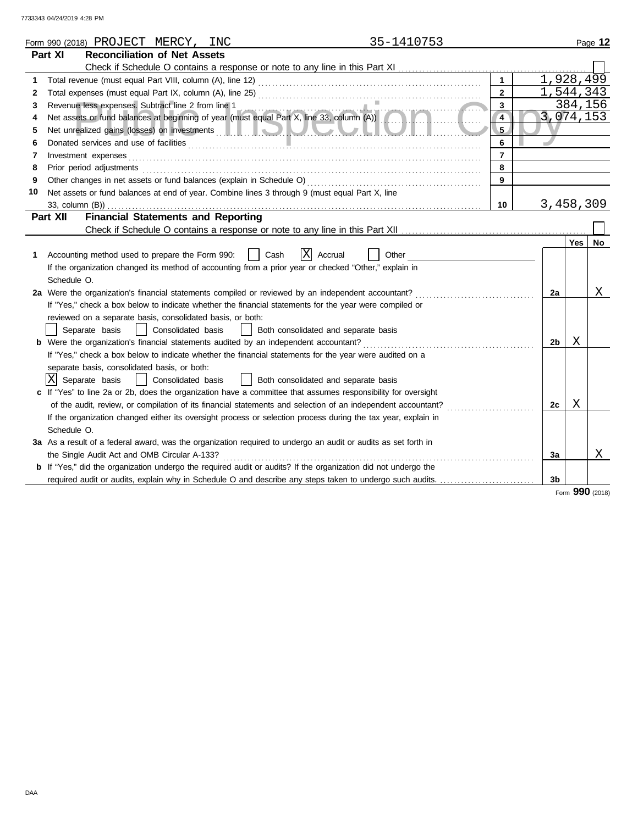|              |                 | Form 990 (2018) PROJECT MERCY, INC                         |                    |                                                                                                                                                 | 35-1410753 |                |           |   | Page 12         |
|--------------|-----------------|------------------------------------------------------------|--------------------|-------------------------------------------------------------------------------------------------------------------------------------------------|------------|----------------|-----------|---|-----------------|
|              | Part XI         | <b>Reconciliation of Net Assets</b>                        |                    |                                                                                                                                                 |            |                |           |   |                 |
|              |                 |                                                            |                    |                                                                                                                                                 |            |                |           |   |                 |
| 1            |                 |                                                            |                    |                                                                                                                                                 |            | $\mathbf{1}$   | 1,928,499 |   |                 |
| $\mathbf{2}$ |                 |                                                            |                    | Total expenses (must equal Part IX, column (A), line 25) Multimana and the contract contract of the system of                                   |            | $\overline{2}$ | 1,544,343 |   |                 |
| 3            |                 |                                                            |                    |                                                                                                                                                 |            | 3              |           |   | 384,156         |
| 4            |                 |                                                            |                    | Revenue less expenses. Subtract line 2 from line 1<br>Net assets or fund balances at beginning of year (must equal Part X, line 33, column (A)) |            | $\overline{4}$ |           |   | 3,074,153       |
| 5            |                 |                                                            |                    |                                                                                                                                                 |            | $5 -$          |           |   |                 |
| 6            |                 |                                                            |                    |                                                                                                                                                 |            | 6              |           |   |                 |
| 7            |                 | Investment expenses                                        |                    |                                                                                                                                                 |            | $\overline{7}$ |           |   |                 |
| 8            |                 | Prior period adjustments                                   |                    |                                                                                                                                                 |            | 8              |           |   |                 |
| 9            |                 |                                                            |                    |                                                                                                                                                 |            | 9              |           |   |                 |
| 10           |                 |                                                            |                    | Net assets or fund balances at end of year. Combine lines 3 through 9 (must equal Part X, line                                                  |            |                |           |   |                 |
|              | 33, column (B)) |                                                            |                    |                                                                                                                                                 |            | 10             | 3,458,309 |   |                 |
|              | Part XII        | <b>Financial Statements and Reporting</b>                  |                    |                                                                                                                                                 |            |                |           |   |                 |
|              |                 |                                                            |                    |                                                                                                                                                 |            |                |           |   |                 |
|              |                 |                                                            |                    |                                                                                                                                                 |            |                |           |   | Yes   $No$      |
| 1.           |                 | Accounting method used to prepare the Form 990:            |                    | IXI<br>Accrual<br>Cash                                                                                                                          | Other      |                |           |   |                 |
|              |                 |                                                            |                    | If the organization changed its method of accounting from a prior year or checked "Other," explain in                                           |            |                |           |   |                 |
|              | Schedule O.     |                                                            |                    |                                                                                                                                                 |            |                |           |   |                 |
|              |                 |                                                            |                    | 2a Were the organization's financial statements compiled or reviewed by an independent accountant?                                              |            |                | 2a        |   | Χ               |
|              |                 |                                                            |                    | If "Yes," check a box below to indicate whether the financial statements for the year were compiled or                                          |            |                |           |   |                 |
|              |                 | reviewed on a separate basis, consolidated basis, or both: |                    |                                                                                                                                                 |            |                |           |   |                 |
|              |                 | Separate basis                                             | Consolidated basis | Both consolidated and separate basis                                                                                                            |            |                |           |   |                 |
|              |                 |                                                            |                    |                                                                                                                                                 |            |                | 2b        | Χ |                 |
|              |                 |                                                            |                    | If "Yes," check a box below to indicate whether the financial statements for the year were audited on a                                         |            |                |           |   |                 |
|              |                 | separate basis, consolidated basis, or both:               |                    |                                                                                                                                                 |            |                |           |   |                 |
|              |                 | X Separate basis                                           | Consolidated basis | Both consolidated and separate basis                                                                                                            |            |                |           |   |                 |
|              |                 |                                                            |                    | c If "Yes" to line 2a or 2b, does the organization have a committee that assumes responsibility for oversight                                   |            |                |           |   |                 |
|              |                 |                                                            |                    | of the audit, review, or compilation of its financial statements and selection of an independent accountant?                                    |            |                | 2c        | Χ |                 |
|              |                 |                                                            |                    | If the organization changed either its oversight process or selection process during the tax year, explain in                                   |            |                |           |   |                 |
|              | Schedule O.     |                                                            |                    |                                                                                                                                                 |            |                |           |   |                 |
|              |                 |                                                            |                    | 3a As a result of a federal award, was the organization required to undergo an audit or audits as set forth in                                  |            |                |           |   |                 |
|              |                 | the Single Audit Act and OMB Circular A-133?               |                    |                                                                                                                                                 |            |                | 3a        |   | Χ               |
|              |                 |                                                            |                    | b If "Yes," did the organization undergo the required audit or audits? If the organization did not undergo the                                  |            |                |           |   |                 |
|              |                 |                                                            |                    | required audit or audits, explain why in Schedule O and describe any steps taken to undergo such audits.                                        |            |                | 3b        |   |                 |
|              |                 |                                                            |                    |                                                                                                                                                 |            |                |           |   | Form 990 (2018) |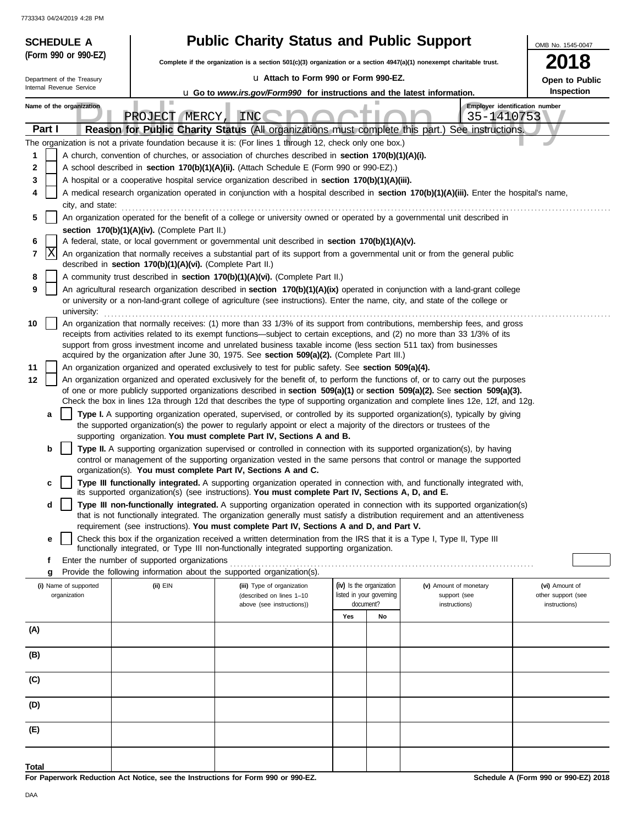| (Form 990 or 990-EZ)<br>2018<br>Complete if the organization is a section 501(c)(3) organization or a section 4947(a)(1) nonexempt charitable trust.<br>u Attach to Form 990 or Form 990-EZ.<br>Department of the Treasury<br>Open to Public<br>Internal Revenue Service<br>Inspection<br><b>u</b> Go to www.irs.gov/Form990 for instructions and the latest information.<br>Employer identification number<br>Name of the organization<br>INC<br>PROJECT MERCY,<br>35-1410753<br>Reason for Public Charity Status (All organizations must complete this part.) See instructions.<br>Part I<br>The organization is not a private foundation because it is: (For lines 1 through 12, check only one box.)<br>A church, convention of churches, or association of churches described in <b>section 170(b)(1)(A)(i).</b><br>1<br>A school described in section 170(b)(1)(A)(ii). (Attach Schedule E (Form 990 or 990-EZ).)<br>2<br>A hospital or a cooperative hospital service organization described in section 170(b)(1)(A)(iii).<br>3<br>A medical research organization operated in conjunction with a hospital described in section 170(b)(1)(A)(iii). Enter the hospital's name,<br>4<br>city, and state:<br>An organization operated for the benefit of a college or university owned or operated by a governmental unit described in<br>5<br>section 170(b)(1)(A)(iv). (Complete Part II.)<br>A federal, state, or local government or governmental unit described in section 170(b)(1)(A)(v).<br>6<br> X<br>7<br>An organization that normally receives a substantial part of its support from a governmental unit or from the general public<br>described in section 170(b)(1)(A)(vi). (Complete Part II.)<br>A community trust described in section 170(b)(1)(A)(vi). (Complete Part II.)<br>8<br>9<br>An agricultural research organization described in section 170(b)(1)(A)(ix) operated in conjunction with a land-grant college<br>or university or a non-land-grant college of agriculture (see instructions). Enter the name, city, and state of the college or<br>university:<br>An organization that normally receives: (1) more than 33 1/3% of its support from contributions, membership fees, and gross<br>10<br>receipts from activities related to its exempt functions—subject to certain exceptions, and (2) no more than 33 1/3% of its<br>support from gross investment income and unrelated business taxable income (less section 511 tax) from businesses<br>acquired by the organization after June 30, 1975. See section 509(a)(2). (Complete Part III.)<br>11<br>An organization organized and operated exclusively to test for public safety. See section 509(a)(4).<br>An organization organized and operated exclusively for the benefit of, to perform the functions of, or to carry out the purposes<br>12<br>of one or more publicly supported organizations described in section 509(a)(1) or section 509(a)(2). See section 509(a)(3).<br>Check the box in lines 12a through 12d that describes the type of supporting organization and complete lines 12e, 12f, and 12g.<br>Type I. A supporting organization operated, supervised, or controlled by its supported organization(s), typically by giving<br>a<br>the supported organization(s) the power to regularly appoint or elect a majority of the directors or trustees of the<br>supporting organization. You must complete Part IV, Sections A and B.<br>Type II. A supporting organization supervised or controlled in connection with its supported organization(s), by having<br>b<br>control or management of the supporting organization vested in the same persons that control or manage the supported<br>organization(s). You must complete Part IV, Sections A and C.<br>Type III functionally integrated. A supporting organization operated in connection with, and functionally integrated with,<br>c<br>its supported organization(s) (see instructions). You must complete Part IV, Sections A, D, and E.<br>Type III non-functionally integrated. A supporting organization operated in connection with its supported organization(s)<br>d<br>that is not functionally integrated. The organization generally must satisfy a distribution requirement and an attentiveness<br>requirement (see instructions). You must complete Part IV, Sections A and D, and Part V.<br>Check this box if the organization received a written determination from the IRS that it is a Type I, Type II, Type III<br>е<br>functionally integrated, or Type III non-functionally integrated supporting organization.<br>Enter the number of supported organizations<br>f<br>Provide the following information about the supported organization(s).<br>g<br>(iv) Is the organization<br>(i) Name of supported<br>(ii) EIN<br>(iii) Type of organization<br>(v) Amount of monetary<br>(vi) Amount of<br>listed in your governing<br>organization<br>support (see<br>other support (see<br>(described on lines 1-10<br>document?<br>above (see instructions))<br>instructions)<br>instructions)<br>Yes<br>No<br>(A)<br>(B)<br>(C)<br>(D)<br>(E)<br>Total<br>For Penerwork Peduction, Act Notice, can the Instructions for Form 000 or 000 F7<br>Schodule A (Form 000 or 000 E7) 2019 | <b>SCHEDULE A</b> |  | <b>Public Charity Status and Public Support</b> |  |  |  | OMB No. 1545-0047 |  |  |  |  |  |
|-----------------------------------------------------------------------------------------------------------------------------------------------------------------------------------------------------------------------------------------------------------------------------------------------------------------------------------------------------------------------------------------------------------------------------------------------------------------------------------------------------------------------------------------------------------------------------------------------------------------------------------------------------------------------------------------------------------------------------------------------------------------------------------------------------------------------------------------------------------------------------------------------------------------------------------------------------------------------------------------------------------------------------------------------------------------------------------------------------------------------------------------------------------------------------------------------------------------------------------------------------------------------------------------------------------------------------------------------------------------------------------------------------------------------------------------------------------------------------------------------------------------------------------------------------------------------------------------------------------------------------------------------------------------------------------------------------------------------------------------------------------------------------------------------------------------------------------------------------------------------------------------------------------------------------------------------------------------------------------------------------------------------------------------------------------------------------------------------------------------------------------------------------------------------------------------------------------------------------------------------------------------------------------------------------------------------------------------------------------------------------------------------------------------------------------------------------------------------------------------------------------------------------------------------------------------------------------------------------------------------------------------------------------------------------------------------------------------------------------------------------------------------------------------------------------------------------------------------------------------------------------------------------------------------------------------------------------------------------------------------------------------------------------------------------------------------------------------------------------------------------------------------------------------------------------------------------------------------------------------------------------------------------------------------------------------------------------------------------------------------------------------------------------------------------------------------------------------------------------------------------------------------------------------------------------------------------------------------------------------------------------------------------------------------------------------------------------------------------------------------------------------------------------------------------------------------------------------------------------------------------------------------------------------------------------------------------------------------------------------------------------------------------------------------------------------------------------------------------------------------------------------------------------------------------------------------------------------------------------------------------------------------------------------------------------------------------------------------------------------------------------------------------------------------------------------------------------------------------------------------------------------------------------------------------------------------------------------------------------------------------------------------------------------------------------------------------------------------------------------------------------------------------------------------------------------------------------------------------------------------------------------------------------------------------------------------------------------------------------------------------------------------------------------------------------------------------------------------------------------------------------------------------------------------------------------------------------------------------------------------------------------------------------|-------------------|--|-------------------------------------------------|--|--|--|-------------------|--|--|--|--|--|
|                                                                                                                                                                                                                                                                                                                                                                                                                                                                                                                                                                                                                                                                                                                                                                                                                                                                                                                                                                                                                                                                                                                                                                                                                                                                                                                                                                                                                                                                                                                                                                                                                                                                                                                                                                                                                                                                                                                                                                                                                                                                                                                                                                                                                                                                                                                                                                                                                                                                                                                                                                                                                                                                                                                                                                                                                                                                                                                                                                                                                                                                                                                                                                                                                                                                                                                                                                                                                                                                                                                                                                                                                                                                                                                                                                                                                                                                                                                                                                                                                                                                                                                                                                                                                                                                                                                                                                                                                                                                                                                                                                                                                                                                                                                                                                                                                                                                                                                                                                                                                                                                                                                                                                                                                                                                                   |                   |  |                                                 |  |  |  |                   |  |  |  |  |  |
|                                                                                                                                                                                                                                                                                                                                                                                                                                                                                                                                                                                                                                                                                                                                                                                                                                                                                                                                                                                                                                                                                                                                                                                                                                                                                                                                                                                                                                                                                                                                                                                                                                                                                                                                                                                                                                                                                                                                                                                                                                                                                                                                                                                                                                                                                                                                                                                                                                                                                                                                                                                                                                                                                                                                                                                                                                                                                                                                                                                                                                                                                                                                                                                                                                                                                                                                                                                                                                                                                                                                                                                                                                                                                                                                                                                                                                                                                                                                                                                                                                                                                                                                                                                                                                                                                                                                                                                                                                                                                                                                                                                                                                                                                                                                                                                                                                                                                                                                                                                                                                                                                                                                                                                                                                                                                   |                   |  |                                                 |  |  |  |                   |  |  |  |  |  |
|                                                                                                                                                                                                                                                                                                                                                                                                                                                                                                                                                                                                                                                                                                                                                                                                                                                                                                                                                                                                                                                                                                                                                                                                                                                                                                                                                                                                                                                                                                                                                                                                                                                                                                                                                                                                                                                                                                                                                                                                                                                                                                                                                                                                                                                                                                                                                                                                                                                                                                                                                                                                                                                                                                                                                                                                                                                                                                                                                                                                                                                                                                                                                                                                                                                                                                                                                                                                                                                                                                                                                                                                                                                                                                                                                                                                                                                                                                                                                                                                                                                                                                                                                                                                                                                                                                                                                                                                                                                                                                                                                                                                                                                                                                                                                                                                                                                                                                                                                                                                                                                                                                                                                                                                                                                                                   |                   |  |                                                 |  |  |  |                   |  |  |  |  |  |
|                                                                                                                                                                                                                                                                                                                                                                                                                                                                                                                                                                                                                                                                                                                                                                                                                                                                                                                                                                                                                                                                                                                                                                                                                                                                                                                                                                                                                                                                                                                                                                                                                                                                                                                                                                                                                                                                                                                                                                                                                                                                                                                                                                                                                                                                                                                                                                                                                                                                                                                                                                                                                                                                                                                                                                                                                                                                                                                                                                                                                                                                                                                                                                                                                                                                                                                                                                                                                                                                                                                                                                                                                                                                                                                                                                                                                                                                                                                                                                                                                                                                                                                                                                                                                                                                                                                                                                                                                                                                                                                                                                                                                                                                                                                                                                                                                                                                                                                                                                                                                                                                                                                                                                                                                                                                                   |                   |  |                                                 |  |  |  |                   |  |  |  |  |  |
|                                                                                                                                                                                                                                                                                                                                                                                                                                                                                                                                                                                                                                                                                                                                                                                                                                                                                                                                                                                                                                                                                                                                                                                                                                                                                                                                                                                                                                                                                                                                                                                                                                                                                                                                                                                                                                                                                                                                                                                                                                                                                                                                                                                                                                                                                                                                                                                                                                                                                                                                                                                                                                                                                                                                                                                                                                                                                                                                                                                                                                                                                                                                                                                                                                                                                                                                                                                                                                                                                                                                                                                                                                                                                                                                                                                                                                                                                                                                                                                                                                                                                                                                                                                                                                                                                                                                                                                                                                                                                                                                                                                                                                                                                                                                                                                                                                                                                                                                                                                                                                                                                                                                                                                                                                                                                   |                   |  |                                                 |  |  |  |                   |  |  |  |  |  |
|                                                                                                                                                                                                                                                                                                                                                                                                                                                                                                                                                                                                                                                                                                                                                                                                                                                                                                                                                                                                                                                                                                                                                                                                                                                                                                                                                                                                                                                                                                                                                                                                                                                                                                                                                                                                                                                                                                                                                                                                                                                                                                                                                                                                                                                                                                                                                                                                                                                                                                                                                                                                                                                                                                                                                                                                                                                                                                                                                                                                                                                                                                                                                                                                                                                                                                                                                                                                                                                                                                                                                                                                                                                                                                                                                                                                                                                                                                                                                                                                                                                                                                                                                                                                                                                                                                                                                                                                                                                                                                                                                                                                                                                                                                                                                                                                                                                                                                                                                                                                                                                                                                                                                                                                                                                                                   |                   |  |                                                 |  |  |  |                   |  |  |  |  |  |
|                                                                                                                                                                                                                                                                                                                                                                                                                                                                                                                                                                                                                                                                                                                                                                                                                                                                                                                                                                                                                                                                                                                                                                                                                                                                                                                                                                                                                                                                                                                                                                                                                                                                                                                                                                                                                                                                                                                                                                                                                                                                                                                                                                                                                                                                                                                                                                                                                                                                                                                                                                                                                                                                                                                                                                                                                                                                                                                                                                                                                                                                                                                                                                                                                                                                                                                                                                                                                                                                                                                                                                                                                                                                                                                                                                                                                                                                                                                                                                                                                                                                                                                                                                                                                                                                                                                                                                                                                                                                                                                                                                                                                                                                                                                                                                                                                                                                                                                                                                                                                                                                                                                                                                                                                                                                                   |                   |  |                                                 |  |  |  |                   |  |  |  |  |  |
|                                                                                                                                                                                                                                                                                                                                                                                                                                                                                                                                                                                                                                                                                                                                                                                                                                                                                                                                                                                                                                                                                                                                                                                                                                                                                                                                                                                                                                                                                                                                                                                                                                                                                                                                                                                                                                                                                                                                                                                                                                                                                                                                                                                                                                                                                                                                                                                                                                                                                                                                                                                                                                                                                                                                                                                                                                                                                                                                                                                                                                                                                                                                                                                                                                                                                                                                                                                                                                                                                                                                                                                                                                                                                                                                                                                                                                                                                                                                                                                                                                                                                                                                                                                                                                                                                                                                                                                                                                                                                                                                                                                                                                                                                                                                                                                                                                                                                                                                                                                                                                                                                                                                                                                                                                                                                   |                   |  |                                                 |  |  |  |                   |  |  |  |  |  |
|                                                                                                                                                                                                                                                                                                                                                                                                                                                                                                                                                                                                                                                                                                                                                                                                                                                                                                                                                                                                                                                                                                                                                                                                                                                                                                                                                                                                                                                                                                                                                                                                                                                                                                                                                                                                                                                                                                                                                                                                                                                                                                                                                                                                                                                                                                                                                                                                                                                                                                                                                                                                                                                                                                                                                                                                                                                                                                                                                                                                                                                                                                                                                                                                                                                                                                                                                                                                                                                                                                                                                                                                                                                                                                                                                                                                                                                                                                                                                                                                                                                                                                                                                                                                                                                                                                                                                                                                                                                                                                                                                                                                                                                                                                                                                                                                                                                                                                                                                                                                                                                                                                                                                                                                                                                                                   |                   |  |                                                 |  |  |  |                   |  |  |  |  |  |
|                                                                                                                                                                                                                                                                                                                                                                                                                                                                                                                                                                                                                                                                                                                                                                                                                                                                                                                                                                                                                                                                                                                                                                                                                                                                                                                                                                                                                                                                                                                                                                                                                                                                                                                                                                                                                                                                                                                                                                                                                                                                                                                                                                                                                                                                                                                                                                                                                                                                                                                                                                                                                                                                                                                                                                                                                                                                                                                                                                                                                                                                                                                                                                                                                                                                                                                                                                                                                                                                                                                                                                                                                                                                                                                                                                                                                                                                                                                                                                                                                                                                                                                                                                                                                                                                                                                                                                                                                                                                                                                                                                                                                                                                                                                                                                                                                                                                                                                                                                                                                                                                                                                                                                                                                                                                                   |                   |  |                                                 |  |  |  |                   |  |  |  |  |  |
|                                                                                                                                                                                                                                                                                                                                                                                                                                                                                                                                                                                                                                                                                                                                                                                                                                                                                                                                                                                                                                                                                                                                                                                                                                                                                                                                                                                                                                                                                                                                                                                                                                                                                                                                                                                                                                                                                                                                                                                                                                                                                                                                                                                                                                                                                                                                                                                                                                                                                                                                                                                                                                                                                                                                                                                                                                                                                                                                                                                                                                                                                                                                                                                                                                                                                                                                                                                                                                                                                                                                                                                                                                                                                                                                                                                                                                                                                                                                                                                                                                                                                                                                                                                                                                                                                                                                                                                                                                                                                                                                                                                                                                                                                                                                                                                                                                                                                                                                                                                                                                                                                                                                                                                                                                                                                   |                   |  |                                                 |  |  |  |                   |  |  |  |  |  |
|                                                                                                                                                                                                                                                                                                                                                                                                                                                                                                                                                                                                                                                                                                                                                                                                                                                                                                                                                                                                                                                                                                                                                                                                                                                                                                                                                                                                                                                                                                                                                                                                                                                                                                                                                                                                                                                                                                                                                                                                                                                                                                                                                                                                                                                                                                                                                                                                                                                                                                                                                                                                                                                                                                                                                                                                                                                                                                                                                                                                                                                                                                                                                                                                                                                                                                                                                                                                                                                                                                                                                                                                                                                                                                                                                                                                                                                                                                                                                                                                                                                                                                                                                                                                                                                                                                                                                                                                                                                                                                                                                                                                                                                                                                                                                                                                                                                                                                                                                                                                                                                                                                                                                                                                                                                                                   |                   |  |                                                 |  |  |  |                   |  |  |  |  |  |
|                                                                                                                                                                                                                                                                                                                                                                                                                                                                                                                                                                                                                                                                                                                                                                                                                                                                                                                                                                                                                                                                                                                                                                                                                                                                                                                                                                                                                                                                                                                                                                                                                                                                                                                                                                                                                                                                                                                                                                                                                                                                                                                                                                                                                                                                                                                                                                                                                                                                                                                                                                                                                                                                                                                                                                                                                                                                                                                                                                                                                                                                                                                                                                                                                                                                                                                                                                                                                                                                                                                                                                                                                                                                                                                                                                                                                                                                                                                                                                                                                                                                                                                                                                                                                                                                                                                                                                                                                                                                                                                                                                                                                                                                                                                                                                                                                                                                                                                                                                                                                                                                                                                                                                                                                                                                                   |                   |  |                                                 |  |  |  |                   |  |  |  |  |  |
|                                                                                                                                                                                                                                                                                                                                                                                                                                                                                                                                                                                                                                                                                                                                                                                                                                                                                                                                                                                                                                                                                                                                                                                                                                                                                                                                                                                                                                                                                                                                                                                                                                                                                                                                                                                                                                                                                                                                                                                                                                                                                                                                                                                                                                                                                                                                                                                                                                                                                                                                                                                                                                                                                                                                                                                                                                                                                                                                                                                                                                                                                                                                                                                                                                                                                                                                                                                                                                                                                                                                                                                                                                                                                                                                                                                                                                                                                                                                                                                                                                                                                                                                                                                                                                                                                                                                                                                                                                                                                                                                                                                                                                                                                                                                                                                                                                                                                                                                                                                                                                                                                                                                                                                                                                                                                   |                   |  |                                                 |  |  |  |                   |  |  |  |  |  |
|                                                                                                                                                                                                                                                                                                                                                                                                                                                                                                                                                                                                                                                                                                                                                                                                                                                                                                                                                                                                                                                                                                                                                                                                                                                                                                                                                                                                                                                                                                                                                                                                                                                                                                                                                                                                                                                                                                                                                                                                                                                                                                                                                                                                                                                                                                                                                                                                                                                                                                                                                                                                                                                                                                                                                                                                                                                                                                                                                                                                                                                                                                                                                                                                                                                                                                                                                                                                                                                                                                                                                                                                                                                                                                                                                                                                                                                                                                                                                                                                                                                                                                                                                                                                                                                                                                                                                                                                                                                                                                                                                                                                                                                                                                                                                                                                                                                                                                                                                                                                                                                                                                                                                                                                                                                                                   |                   |  |                                                 |  |  |  |                   |  |  |  |  |  |
|                                                                                                                                                                                                                                                                                                                                                                                                                                                                                                                                                                                                                                                                                                                                                                                                                                                                                                                                                                                                                                                                                                                                                                                                                                                                                                                                                                                                                                                                                                                                                                                                                                                                                                                                                                                                                                                                                                                                                                                                                                                                                                                                                                                                                                                                                                                                                                                                                                                                                                                                                                                                                                                                                                                                                                                                                                                                                                                                                                                                                                                                                                                                                                                                                                                                                                                                                                                                                                                                                                                                                                                                                                                                                                                                                                                                                                                                                                                                                                                                                                                                                                                                                                                                                                                                                                                                                                                                                                                                                                                                                                                                                                                                                                                                                                                                                                                                                                                                                                                                                                                                                                                                                                                                                                                                                   |                   |  |                                                 |  |  |  |                   |  |  |  |  |  |
|                                                                                                                                                                                                                                                                                                                                                                                                                                                                                                                                                                                                                                                                                                                                                                                                                                                                                                                                                                                                                                                                                                                                                                                                                                                                                                                                                                                                                                                                                                                                                                                                                                                                                                                                                                                                                                                                                                                                                                                                                                                                                                                                                                                                                                                                                                                                                                                                                                                                                                                                                                                                                                                                                                                                                                                                                                                                                                                                                                                                                                                                                                                                                                                                                                                                                                                                                                                                                                                                                                                                                                                                                                                                                                                                                                                                                                                                                                                                                                                                                                                                                                                                                                                                                                                                                                                                                                                                                                                                                                                                                                                                                                                                                                                                                                                                                                                                                                                                                                                                                                                                                                                                                                                                                                                                                   |                   |  |                                                 |  |  |  |                   |  |  |  |  |  |
|                                                                                                                                                                                                                                                                                                                                                                                                                                                                                                                                                                                                                                                                                                                                                                                                                                                                                                                                                                                                                                                                                                                                                                                                                                                                                                                                                                                                                                                                                                                                                                                                                                                                                                                                                                                                                                                                                                                                                                                                                                                                                                                                                                                                                                                                                                                                                                                                                                                                                                                                                                                                                                                                                                                                                                                                                                                                                                                                                                                                                                                                                                                                                                                                                                                                                                                                                                                                                                                                                                                                                                                                                                                                                                                                                                                                                                                                                                                                                                                                                                                                                                                                                                                                                                                                                                                                                                                                                                                                                                                                                                                                                                                                                                                                                                                                                                                                                                                                                                                                                                                                                                                                                                                                                                                                                   |                   |  |                                                 |  |  |  |                   |  |  |  |  |  |
|                                                                                                                                                                                                                                                                                                                                                                                                                                                                                                                                                                                                                                                                                                                                                                                                                                                                                                                                                                                                                                                                                                                                                                                                                                                                                                                                                                                                                                                                                                                                                                                                                                                                                                                                                                                                                                                                                                                                                                                                                                                                                                                                                                                                                                                                                                                                                                                                                                                                                                                                                                                                                                                                                                                                                                                                                                                                                                                                                                                                                                                                                                                                                                                                                                                                                                                                                                                                                                                                                                                                                                                                                                                                                                                                                                                                                                                                                                                                                                                                                                                                                                                                                                                                                                                                                                                                                                                                                                                                                                                                                                                                                                                                                                                                                                                                                                                                                                                                                                                                                                                                                                                                                                                                                                                                                   |                   |  |                                                 |  |  |  |                   |  |  |  |  |  |
|                                                                                                                                                                                                                                                                                                                                                                                                                                                                                                                                                                                                                                                                                                                                                                                                                                                                                                                                                                                                                                                                                                                                                                                                                                                                                                                                                                                                                                                                                                                                                                                                                                                                                                                                                                                                                                                                                                                                                                                                                                                                                                                                                                                                                                                                                                                                                                                                                                                                                                                                                                                                                                                                                                                                                                                                                                                                                                                                                                                                                                                                                                                                                                                                                                                                                                                                                                                                                                                                                                                                                                                                                                                                                                                                                                                                                                                                                                                                                                                                                                                                                                                                                                                                                                                                                                                                                                                                                                                                                                                                                                                                                                                                                                                                                                                                                                                                                                                                                                                                                                                                                                                                                                                                                                                                                   |                   |  |                                                 |  |  |  |                   |  |  |  |  |  |
|                                                                                                                                                                                                                                                                                                                                                                                                                                                                                                                                                                                                                                                                                                                                                                                                                                                                                                                                                                                                                                                                                                                                                                                                                                                                                                                                                                                                                                                                                                                                                                                                                                                                                                                                                                                                                                                                                                                                                                                                                                                                                                                                                                                                                                                                                                                                                                                                                                                                                                                                                                                                                                                                                                                                                                                                                                                                                                                                                                                                                                                                                                                                                                                                                                                                                                                                                                                                                                                                                                                                                                                                                                                                                                                                                                                                                                                                                                                                                                                                                                                                                                                                                                                                                                                                                                                                                                                                                                                                                                                                                                                                                                                                                                                                                                                                                                                                                                                                                                                                                                                                                                                                                                                                                                                                                   |                   |  |                                                 |  |  |  |                   |  |  |  |  |  |
|                                                                                                                                                                                                                                                                                                                                                                                                                                                                                                                                                                                                                                                                                                                                                                                                                                                                                                                                                                                                                                                                                                                                                                                                                                                                                                                                                                                                                                                                                                                                                                                                                                                                                                                                                                                                                                                                                                                                                                                                                                                                                                                                                                                                                                                                                                                                                                                                                                                                                                                                                                                                                                                                                                                                                                                                                                                                                                                                                                                                                                                                                                                                                                                                                                                                                                                                                                                                                                                                                                                                                                                                                                                                                                                                                                                                                                                                                                                                                                                                                                                                                                                                                                                                                                                                                                                                                                                                                                                                                                                                                                                                                                                                                                                                                                                                                                                                                                                                                                                                                                                                                                                                                                                                                                                                                   |                   |  |                                                 |  |  |  |                   |  |  |  |  |  |
|                                                                                                                                                                                                                                                                                                                                                                                                                                                                                                                                                                                                                                                                                                                                                                                                                                                                                                                                                                                                                                                                                                                                                                                                                                                                                                                                                                                                                                                                                                                                                                                                                                                                                                                                                                                                                                                                                                                                                                                                                                                                                                                                                                                                                                                                                                                                                                                                                                                                                                                                                                                                                                                                                                                                                                                                                                                                                                                                                                                                                                                                                                                                                                                                                                                                                                                                                                                                                                                                                                                                                                                                                                                                                                                                                                                                                                                                                                                                                                                                                                                                                                                                                                                                                                                                                                                                                                                                                                                                                                                                                                                                                                                                                                                                                                                                                                                                                                                                                                                                                                                                                                                                                                                                                                                                                   |                   |  |                                                 |  |  |  |                   |  |  |  |  |  |
|                                                                                                                                                                                                                                                                                                                                                                                                                                                                                                                                                                                                                                                                                                                                                                                                                                                                                                                                                                                                                                                                                                                                                                                                                                                                                                                                                                                                                                                                                                                                                                                                                                                                                                                                                                                                                                                                                                                                                                                                                                                                                                                                                                                                                                                                                                                                                                                                                                                                                                                                                                                                                                                                                                                                                                                                                                                                                                                                                                                                                                                                                                                                                                                                                                                                                                                                                                                                                                                                                                                                                                                                                                                                                                                                                                                                                                                                                                                                                                                                                                                                                                                                                                                                                                                                                                                                                                                                                                                                                                                                                                                                                                                                                                                                                                                                                                                                                                                                                                                                                                                                                                                                                                                                                                                                                   |                   |  |                                                 |  |  |  |                   |  |  |  |  |  |
|                                                                                                                                                                                                                                                                                                                                                                                                                                                                                                                                                                                                                                                                                                                                                                                                                                                                                                                                                                                                                                                                                                                                                                                                                                                                                                                                                                                                                                                                                                                                                                                                                                                                                                                                                                                                                                                                                                                                                                                                                                                                                                                                                                                                                                                                                                                                                                                                                                                                                                                                                                                                                                                                                                                                                                                                                                                                                                                                                                                                                                                                                                                                                                                                                                                                                                                                                                                                                                                                                                                                                                                                                                                                                                                                                                                                                                                                                                                                                                                                                                                                                                                                                                                                                                                                                                                                                                                                                                                                                                                                                                                                                                                                                                                                                                                                                                                                                                                                                                                                                                                                                                                                                                                                                                                                                   |                   |  |                                                 |  |  |  |                   |  |  |  |  |  |
|                                                                                                                                                                                                                                                                                                                                                                                                                                                                                                                                                                                                                                                                                                                                                                                                                                                                                                                                                                                                                                                                                                                                                                                                                                                                                                                                                                                                                                                                                                                                                                                                                                                                                                                                                                                                                                                                                                                                                                                                                                                                                                                                                                                                                                                                                                                                                                                                                                                                                                                                                                                                                                                                                                                                                                                                                                                                                                                                                                                                                                                                                                                                                                                                                                                                                                                                                                                                                                                                                                                                                                                                                                                                                                                                                                                                                                                                                                                                                                                                                                                                                                                                                                                                                                                                                                                                                                                                                                                                                                                                                                                                                                                                                                                                                                                                                                                                                                                                                                                                                                                                                                                                                                                                                                                                                   |                   |  |                                                 |  |  |  |                   |  |  |  |  |  |
|                                                                                                                                                                                                                                                                                                                                                                                                                                                                                                                                                                                                                                                                                                                                                                                                                                                                                                                                                                                                                                                                                                                                                                                                                                                                                                                                                                                                                                                                                                                                                                                                                                                                                                                                                                                                                                                                                                                                                                                                                                                                                                                                                                                                                                                                                                                                                                                                                                                                                                                                                                                                                                                                                                                                                                                                                                                                                                                                                                                                                                                                                                                                                                                                                                                                                                                                                                                                                                                                                                                                                                                                                                                                                                                                                                                                                                                                                                                                                                                                                                                                                                                                                                                                                                                                                                                                                                                                                                                                                                                                                                                                                                                                                                                                                                                                                                                                                                                                                                                                                                                                                                                                                                                                                                                                                   |                   |  |                                                 |  |  |  |                   |  |  |  |  |  |

**For Paperwork Reduction Act Notice, see the Instructions for Form 990 or 990-EZ.**

**Schedule A (Form 990 or 990-EZ) 2018**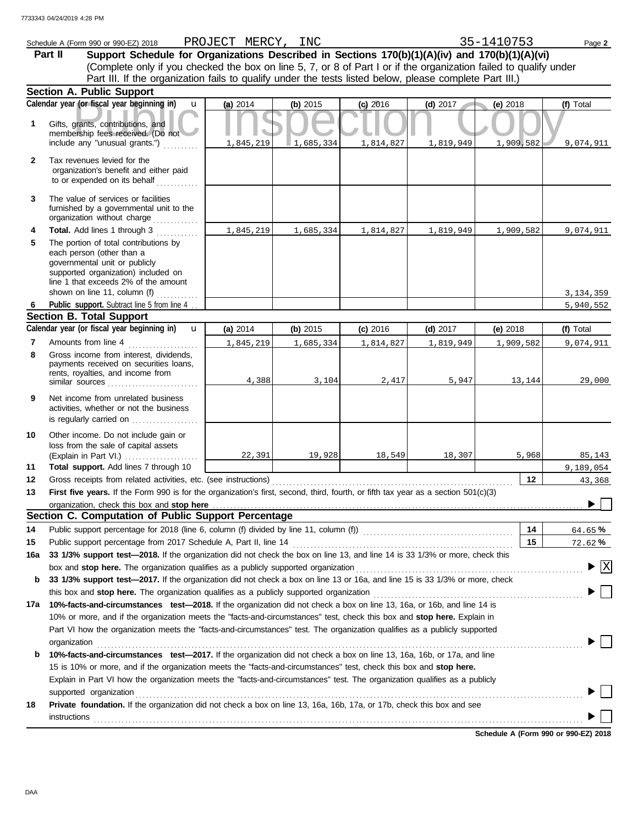|              | Schedule A (Form 990 or 990-EZ) 2018                                                                                                                                               | PROJECT MERCY, INC |           |            |            | 35-1410753 | Page 2                                                      |
|--------------|------------------------------------------------------------------------------------------------------------------------------------------------------------------------------------|--------------------|-----------|------------|------------|------------|-------------------------------------------------------------|
|              | Support Schedule for Organizations Described in Sections 170(b)(1)(A)(iv) and 170(b)(1)(A)(vi)<br>Part II                                                                          |                    |           |            |            |            |                                                             |
|              | (Complete only if you checked the box on line 5, 7, or 8 of Part I or if the organization failed to qualify under                                                                  |                    |           |            |            |            |                                                             |
|              | Part III. If the organization fails to qualify under the tests listed below, please complete Part III.)                                                                            |                    |           |            |            |            |                                                             |
|              | <b>Section A. Public Support</b>                                                                                                                                                   |                    |           |            |            |            |                                                             |
|              | Calendar year (or fiscal year beginning in)<br>$\mathbf{u}$                                                                                                                        | (a) 2014           | (b) 2015  | $(c)$ 2016 | $(d)$ 2017 | (e) $2018$ | (f) Total                                                   |
| 1            | Gifts, grants, contributions, and<br>membership fees received. (Do not                                                                                                             |                    |           |            |            |            |                                                             |
|              | include any "unusual grants.")                                                                                                                                                     | 1,845,219          | 1,685,334 | 1,814,827  | 1,819,949  | 1,909,582  | 9,074,911                                                   |
| $\mathbf{2}$ | Tax revenues levied for the<br>organization's benefit and either paid<br>to or expended on its behalf                                                                              |                    |           |            |            |            |                                                             |
| 3            | The value of services or facilities<br>furnished by a governmental unit to the<br>organization without charge                                                                      |                    |           |            |            |            |                                                             |
| 4            | Total. Add lines 1 through 3                                                                                                                                                       | 1,845,219          | 1,685,334 | 1,814,827  | 1,819,949  | 1,909,582  | 9,074,911                                                   |
| 5            | The portion of total contributions by<br>each person (other than a<br>governmental unit or publicly<br>supported organization) included on<br>line 1 that exceeds 2% of the amount |                    |           |            |            |            |                                                             |
|              | shown on line 11, column (f)<br>Public support. Subtract line 5 from line 4.                                                                                                       |                    |           |            |            |            | 3, 134, 359                                                 |
| -6           | <b>Section B. Total Support</b>                                                                                                                                                    |                    |           |            |            |            | 5,940,552                                                   |
|              | Calendar year (or fiscal year beginning in)<br>$\mathbf{u}$                                                                                                                        | (a) 2014           | (b) 2015  | $(c)$ 2016 | $(d)$ 2017 | (e) 2018   | (f) Total                                                   |
| 7            | Amounts from line 4                                                                                                                                                                | 1,845,219          | 1,685,334 | 1,814,827  | 1,819,949  | 1,909,582  | 9,074,911                                                   |
| 8            | Gross income from interest, dividends,<br>payments received on securities loans,<br>rents, royalties, and income from                                                              | 4,388              | 3,104     | 2,417      | 5,947      | 13,144     | 29,000                                                      |
| 9            | Net income from unrelated business<br>activities, whether or not the business<br>is regularly carried on                                                                           |                    |           |            |            |            |                                                             |
| 10           | Other income. Do not include gain or<br>loss from the sale of capital assets<br>(Explain in Part VI.)                                                                              | 22,391             | 19,928    | 18,549     | 18,307     | 5,968      | 85,143                                                      |
| 11           | Total support. Add lines 7 through 10                                                                                                                                              |                    |           |            |            |            | 9,189,054                                                   |
| 12           | Gross receipts from related activities, etc. (see instructions)                                                                                                                    |                    |           |            |            | 12         | 43,368                                                      |
| 13           | First five years. If the Form 990 is for the organization's first, second, third, fourth, or fifth tax year as a section 501(c)(3)                                                 |                    |           |            |            |            |                                                             |
|              | Section C. Computation of Public Support Percentage                                                                                                                                |                    |           |            |            |            |                                                             |
| 14           |                                                                                                                                                                                    |                    |           |            |            | 14         | 64.65%                                                      |
| 15           |                                                                                                                                                                                    |                    |           |            |            | 15         | 72.62%                                                      |
| 16a          | 33 1/3% support test-2018. If the organization did not check the box on line 13, and line 14 is 33 1/3% or more, check this                                                        |                    |           |            |            |            |                                                             |
|              |                                                                                                                                                                                    |                    |           |            |            |            | $\blacktriangleright$ $\lceil \text{\textnormal{X}} \rceil$ |
| b            | 33 1/3% support test-2017. If the organization did not check a box on line 13 or 16a, and line 15 is 33 1/3% or more, check                                                        |                    |           |            |            |            |                                                             |
|              |                                                                                                                                                                                    |                    |           |            |            |            |                                                             |
| 17а          | 10%-facts-and-circumstances test-2018. If the organization did not check a box on line 13, 16a, or 16b, and line 14 is                                                             |                    |           |            |            |            |                                                             |
|              | 10% or more, and if the organization meets the "facts-and-circumstances" test, check this box and stop here. Explain in                                                            |                    |           |            |            |            |                                                             |
|              | Part VI how the organization meets the "facts-and-circumstances" test. The organization qualifies as a publicly supported                                                          |                    |           |            |            |            |                                                             |
|              | organization                                                                                                                                                                       |                    |           |            |            |            |                                                             |
| b            | 10%-facts-and-circumstances test-2017. If the organization did not check a box on line 13, 16a, 16b, or 17a, and line                                                              |                    |           |            |            |            |                                                             |
|              | 15 is 10% or more, and if the organization meets the "facts-and-circumstances" test, check this box and stop here.                                                                 |                    |           |            |            |            |                                                             |
|              | Explain in Part VI how the organization meets the "facts-and-circumstances" test. The organization qualifies as a publicly                                                         |                    |           |            |            |            |                                                             |
|              | supported organization                                                                                                                                                             |                    |           |            |            |            |                                                             |
| 18           | Private foundation. If the organization did not check a box on line 13, 16a, 16b, 17a, or 17b, check this box and see<br>instructions                                              |                    |           |            |            |            |                                                             |

**Schedule A (Form 990 or 990-EZ) 2018**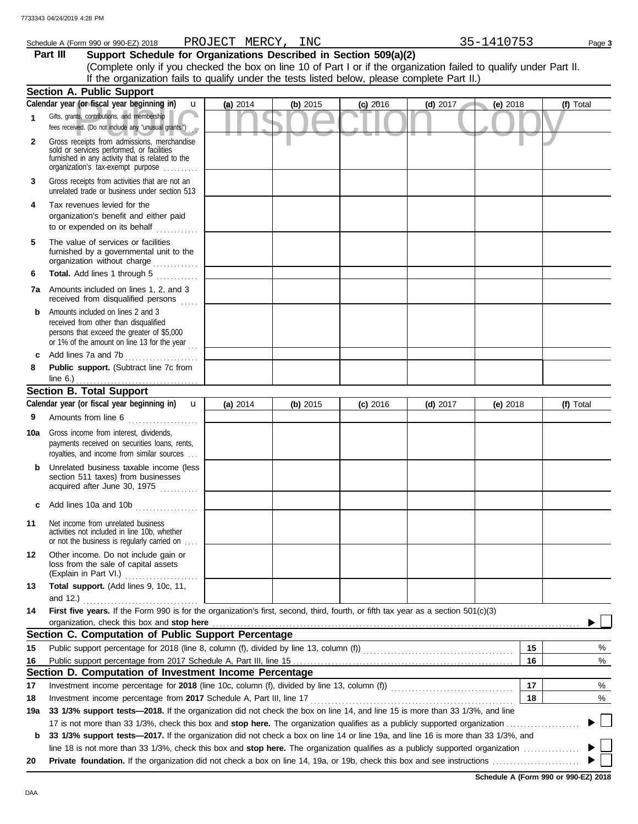|              | Schedule A (Form 990 or 990-EZ) 2018 PROJECT MERCY, INC                                                                                                                           |          |          |            |            | 35-1410753 | Page 3    |
|--------------|-----------------------------------------------------------------------------------------------------------------------------------------------------------------------------------|----------|----------|------------|------------|------------|-----------|
|              | Support Schedule for Organizations Described in Section 509(a)(2)<br>Part III                                                                                                     |          |          |            |            |            |           |
|              | (Complete only if you checked the box on line 10 of Part I or if the organization failed to qualify under Part II.                                                                |          |          |            |            |            |           |
|              | If the organization fails to qualify under the tests listed below, please complete Part II.)                                                                                      |          |          |            |            |            |           |
|              | <b>Section A. Public Support</b>                                                                                                                                                  |          |          |            |            |            |           |
|              | Calendar year (or fiscal year beginning in)<br>$\mathbf{u}$                                                                                                                       | (a) 2014 | (b) 2015 | $(c)$ 2016 | $(d)$ 2017 | (e) $2018$ | (f) Total |
| 1            | Gifts, grants, contributions, and membership<br>fees received. (Do not include any "unusual grants.")                                                                             |          |          |            |            |            |           |
| $\mathbf{2}$ | Gross receipts from admissions, merchandise<br>sold or services performed, or facilities<br>furnished in any activity that is related to the<br>organization's tax-exempt purpose |          |          |            |            |            |           |
| 3            | Gross receipts from activities that are not an<br>unrelated trade or business under section 513                                                                                   |          |          |            |            |            |           |
| 4            | Tax revenues levied for the<br>organization's benefit and either paid<br>to or expended on its behalf                                                                             |          |          |            |            |            |           |
| 5            | The value of services or facilities<br>furnished by a governmental unit to the<br>organization without charge                                                                     |          |          |            |            |            |           |
| 6            | Total. Add lines 1 through 5                                                                                                                                                      |          |          |            |            |            |           |
|              | 7a Amounts included on lines 1, 2, and 3<br>received from disqualified persons                                                                                                    |          |          |            |            |            |           |
| b            | Amounts included on lines 2 and 3<br>received from other than disqualified<br>persons that exceed the greater of \$5,000<br>or 1% of the amount on line 13 for the year           |          |          |            |            |            |           |
| c            | Add lines 7a and 7b                                                                                                                                                               |          |          |            |            |            |           |
| 8            | Public support. (Subtract line 7c from                                                                                                                                            |          |          |            |            |            |           |
|              | line $6.$ )                                                                                                                                                                       |          |          |            |            |            |           |
|              | <b>Section B. Total Support</b>                                                                                                                                                   |          |          |            |            |            |           |
|              | Calendar year (or fiscal year beginning in)<br>$\mathbf{u}$                                                                                                                       | (a) 2014 | (b) 2015 | $(c)$ 2016 | $(d)$ 2017 | (e) $2018$ | (f) Total |
| 9            | Amounts from line 6                                                                                                                                                               |          |          |            |            |            |           |
| 10a          | Gross income from interest, dividends,<br>payments received on securities loans, rents,<br>royalties, and income from similar sources                                             |          |          |            |            |            |           |
|              | Unrelated business taxable income (less<br>section 511 taxes) from businesses<br>acquired after June 30, 1975                                                                     |          |          |            |            |            |           |
| c            | Add lines 10a and 10b                                                                                                                                                             |          |          |            |            |            |           |
| 11           | Net income from unrelated business<br>activities not included in line 10b, whether<br>or not the business is regularly carried on                                                 |          |          |            |            |            |           |
| 12           | Other income. Do not include gain or<br>loss from the sale of capital assets<br>(Explain in Part VI.)                                                                             |          |          |            |            |            |           |
| 13           | Total support. (Add lines 9, 10c, 11,                                                                                                                                             |          |          |            |            |            |           |
|              |                                                                                                                                                                                   |          |          |            |            |            |           |
| 14           | First five years. If the Form 990 is for the organization's first, second, third, fourth, or fifth tax year as a section 501(c)(3)                                                |          |          |            |            |            |           |
|              | organization, check this box and stop here                                                                                                                                        |          |          |            |            |            |           |
|              | Section C. Computation of Public Support Percentage                                                                                                                               |          |          |            |            |            |           |
| 15           |                                                                                                                                                                                   |          |          |            |            | 15         | %         |
| 16           |                                                                                                                                                                                   |          |          |            |            | 16         | %         |
|              | Section D. Computation of Investment Income Percentage                                                                                                                            |          |          |            |            |            |           |
| 17           |                                                                                                                                                                                   |          |          |            |            | 17         | %         |
| 18           |                                                                                                                                                                                   |          |          |            |            | 18         | %         |
| 19a          | 33 1/3% support tests-2018. If the organization did not check the box on line 14, and line 15 is more than 33 1/3%, and line                                                      |          |          |            |            |            |           |
|              |                                                                                                                                                                                   |          |          |            |            |            |           |
| b            | 33 1/3% support tests-2017. If the organization did not check a box on line 14 or line 19a, and line 16 is more than 33 1/3%, and                                                 |          |          |            |            |            |           |
|              | line 18 is not more than 33 1/3%, check this box and stop here. The organization qualifies as a publicly supported organization                                                   |          |          |            |            |            |           |
| 20           |                                                                                                                                                                                   |          |          |            |            |            |           |

|  |  |  |  |  |  |  |  |  |  | line 18 is not more than 33 1/3%, check this box and stop here. The organization qualifies as a publicly supported organization |  |
|--|--|--|--|--|--|--|--|--|--|---------------------------------------------------------------------------------------------------------------------------------|--|
|  |  |  |  |  |  |  |  |  |  |                                                                                                                                 |  |

**20 Private foundation.** If the organization did not check a box on line 14, 19a, or 19b, check this box and see instructions . . . . . . . . . . . . . . . . . . . . . . . . .

**Schedule A (Form 990 or 990-EZ) 2018**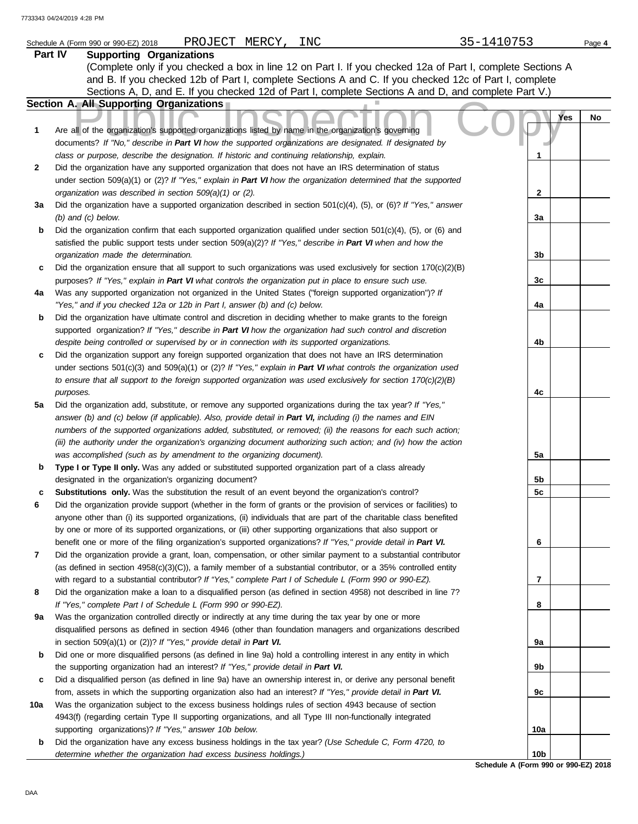|     | PROJECT MERCY, INC<br>Schedule A (Form 990 or 990-EZ) 2018                                                               | 35-1410753                           | Page 4 |
|-----|--------------------------------------------------------------------------------------------------------------------------|--------------------------------------|--------|
|     | Part IV<br><b>Supporting Organizations</b>                                                                               |                                      |        |
|     | (Complete only if you checked a box in line 12 on Part I. If you checked 12a of Part I, complete Sections A              |                                      |        |
|     | and B. If you checked 12b of Part I, complete Sections A and C. If you checked 12c of Part I, complete                   |                                      |        |
|     | Sections A, D, and E. If you checked 12d of Part I, complete Sections A and D, and complete Part V.)                     |                                      |        |
|     | Section A. All Supporting Organizations                                                                                  |                                      |        |
|     |                                                                                                                          | Yes                                  | No     |
| 1   | Are all of the organization's supported organizations listed by name in the organization's governing                     |                                      |        |
|     | documents? If "No," describe in Part VI how the supported organizations are designated. If designated by                 |                                      |        |
|     | class or purpose, describe the designation. If historic and continuing relationship, explain.                            | 1                                    |        |
| 2   | Did the organization have any supported organization that does not have an IRS determination of status                   |                                      |        |
|     | under section 509(a)(1) or (2)? If "Yes," explain in Part VI how the organization determined that the supported          |                                      |        |
|     | organization was described in section 509(a)(1) or (2).                                                                  | 2                                    |        |
| За  | Did the organization have a supported organization described in section $501(c)(4)$ , (5), or (6)? If "Yes," answer      |                                      |        |
|     | $(b)$ and $(c)$ below.                                                                                                   | За                                   |        |
| b   | Did the organization confirm that each supported organization qualified under section $501(c)(4)$ , $(5)$ , or $(6)$ and |                                      |        |
|     | satisfied the public support tests under section 509(a)(2)? If "Yes," describe in Part VI when and how the               |                                      |        |
|     | organization made the determination.                                                                                     | 3b                                   |        |
| c   | Did the organization ensure that all support to such organizations was used exclusively for section $170(c)(2)(B)$       |                                      |        |
|     | purposes? If "Yes," explain in Part VI what controls the organization put in place to ensure such use.                   | 3c                                   |        |
| 4a  | Was any supported organization not organized in the United States ("foreign supported organization")? If                 |                                      |        |
|     | "Yes," and if you checked 12a or 12b in Part I, answer (b) and (c) below.                                                | 4a                                   |        |
| b   | Did the organization have ultimate control and discretion in deciding whether to make grants to the foreign              |                                      |        |
|     | supported organization? If "Yes," describe in Part VI how the organization had such control and discretion               |                                      |        |
|     | despite being controlled or supervised by or in connection with its supported organizations.                             | 4b                                   |        |
| С   | Did the organization support any foreign supported organization that does not have an IRS determination                  |                                      |        |
|     | under sections $501(c)(3)$ and $509(a)(1)$ or (2)? If "Yes," explain in Part VI what controls the organization used      |                                      |        |
|     | to ensure that all support to the foreign supported organization was used exclusively for section $170(c)(2)(B)$         |                                      |        |
|     |                                                                                                                          | 4c                                   |        |
| 5a  | purposes.<br>Did the organization add, substitute, or remove any supported organizations during the tax year? If "Yes,"  |                                      |        |
|     |                                                                                                                          |                                      |        |
|     | answer (b) and (c) below (if applicable). Also, provide detail in Part VI, including (i) the names and EIN               |                                      |        |
|     | numbers of the supported organizations added, substituted, or removed; (ii) the reasons for each such action;            |                                      |        |
|     | (iii) the authority under the organization's organizing document authorizing such action; and (iv) how the action        |                                      |        |
|     | was accomplished (such as by amendment to the organizing document).                                                      | 5a                                   |        |
| b   | Type I or Type II only. Was any added or substituted supported organization part of a class already                      |                                      |        |
|     | designated in the organization's organizing document?                                                                    | 5b                                   |        |
| с   | Substitutions only. Was the substitution the result of an event beyond the organization's control?                       | 5c                                   |        |
| 6   | Did the organization provide support (whether in the form of grants or the provision of services or facilities) to       |                                      |        |
|     | anyone other than (i) its supported organizations, (ii) individuals that are part of the charitable class benefited      |                                      |        |
|     | by one or more of its supported organizations, or (iii) other supporting organizations that also support or              |                                      |        |
|     | benefit one or more of the filing organization's supported organizations? If "Yes," provide detail in Part VI.           | 6                                    |        |
| 7   | Did the organization provide a grant, loan, compensation, or other similar payment to a substantial contributor          |                                      |        |
|     | (as defined in section 4958(c)(3)(C)), a family member of a substantial contributor, or a 35% controlled entity          |                                      |        |
|     | with regard to a substantial contributor? If "Yes," complete Part I of Schedule L (Form 990 or 990-EZ).                  | 7                                    |        |
| 8   | Did the organization make a loan to a disqualified person (as defined in section 4958) not described in line 7?          |                                      |        |
|     | If "Yes," complete Part I of Schedule L (Form 990 or 990-EZ).                                                            | 8                                    |        |
| 9а  | Was the organization controlled directly or indirectly at any time during the tax year by one or more                    |                                      |        |
|     | disqualified persons as defined in section 4946 (other than foundation managers and organizations described              |                                      |        |
|     | in section $509(a)(1)$ or (2))? If "Yes," provide detail in Part VI.                                                     | 9a                                   |        |
| b   | Did one or more disqualified persons (as defined in line 9a) hold a controlling interest in any entity in which          |                                      |        |
|     | the supporting organization had an interest? If "Yes," provide detail in Part VI.                                        | 9b                                   |        |
| c   | Did a disqualified person (as defined in line 9a) have an ownership interest in, or derive any personal benefit          |                                      |        |
|     | from, assets in which the supporting organization also had an interest? If "Yes," provide detail in Part VI.             | 9с                                   |        |
| 10a | Was the organization subject to the excess business holdings rules of section 4943 because of section                    |                                      |        |
|     | 4943(f) (regarding certain Type II supporting organizations, and all Type III non-functionally integrated                |                                      |        |
|     | supporting organizations)? If "Yes," answer 10b below.                                                                   | 10a                                  |        |
| b   | Did the organization have any excess business holdings in the tax year? (Use Schedule C, Form 4720, to                   |                                      |        |
|     | determine whether the organization had excess business holdings.)                                                        | 10 <sub>b</sub>                      |        |
|     |                                                                                                                          | Schedule A (Form 990 or 990-EZ) 2018 |        |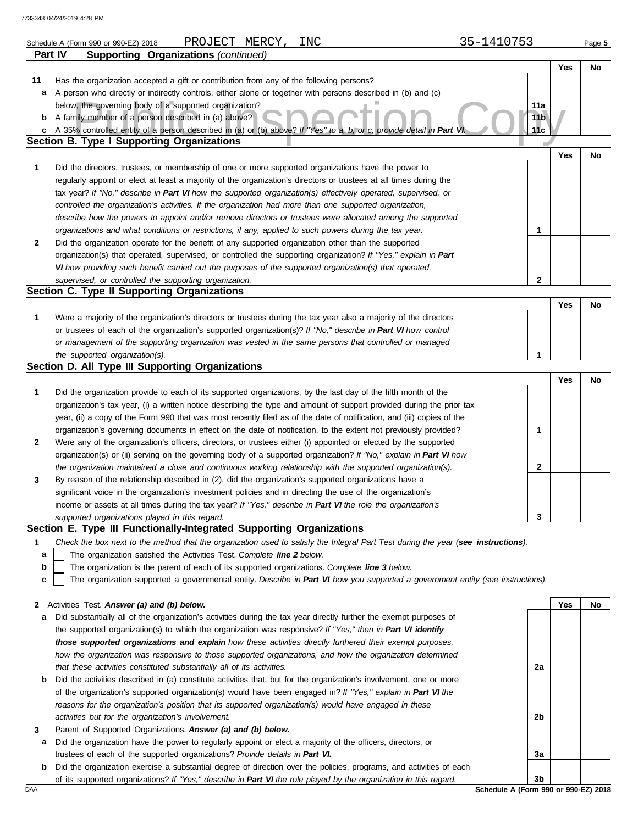|              | PROJECT MERCY,<br>INC<br>Schedule A (Form 990 or 990-EZ) 2018                                                                     | 35-1410753      |     | Page 5 |
|--------------|-----------------------------------------------------------------------------------------------------------------------------------|-----------------|-----|--------|
| Part IV      | <b>Supporting Organizations (continued)</b>                                                                                       |                 |     |        |
|              |                                                                                                                                   |                 | Yes | No     |
| 11           | Has the organization accepted a gift or contribution from any of the following persons?                                           |                 |     |        |
| а            | A person who directly or indirectly controls, either alone or together with persons described in (b) and (c)                      |                 |     |        |
|              | below, the governing body of a supported organization?                                                                            | 11a             |     |        |
| b            | A family member of a person described in (a) above?                                                                               | 11 <sub>b</sub> |     |        |
| c            | A 35% controlled entity of a person described in (a) or (b) above? If "Yes" to a, b, or c, provide detail in Part VI.             | 11c             |     |        |
|              | Section B. Type I Supporting Organizations                                                                                        |                 |     |        |
|              |                                                                                                                                   |                 | Yes | No     |
| $\mathbf 1$  | Did the directors, trustees, or membership of one or more supported organizations have the power to                               |                 |     |        |
|              | regularly appoint or elect at least a majority of the organization's directors or trustees at all times during the                |                 |     |        |
|              | tax year? If "No," describe in Part VI how the supported organization(s) effectively operated, supervised, or                     |                 |     |        |
|              | controlled the organization's activities. If the organization had more than one supported organization,                           |                 |     |        |
|              | describe how the powers to appoint and/or remove directors or trustees were allocated among the supported                         |                 |     |        |
|              | organizations and what conditions or restrictions, if any, applied to such powers during the tax year.                            | 1               |     |        |
| $\mathbf{2}$ | Did the organization operate for the benefit of any supported organization other than the supported                               |                 |     |        |
|              | organization(s) that operated, supervised, or controlled the supporting organization? If "Yes," explain in Part                   |                 |     |        |
|              | VI how providing such benefit carried out the purposes of the supported organization(s) that operated,                            |                 |     |        |
|              | supervised, or controlled the supporting organization.                                                                            | $\mathbf{2}$    |     |        |
|              | Section C. Type II Supporting Organizations                                                                                       |                 |     |        |
|              |                                                                                                                                   |                 | Yes | No     |
| $\mathbf 1$  | Were a majority of the organization's directors or trustees during the tax year also a majority of the directors                  |                 |     |        |
|              | or trustees of each of the organization's supported organization(s)? If "No," describe in Part VI how control                     |                 |     |        |
|              | or management of the supporting organization was vested in the same persons that controlled or managed                            |                 |     |        |
|              | the supported organization(s).                                                                                                    | 1               |     |        |
|              | Section D. All Type III Supporting Organizations                                                                                  |                 |     |        |
|              |                                                                                                                                   |                 | Yes | No     |
| 1            | Did the organization provide to each of its supported organizations, by the last day of the fifth month of the                    |                 |     |        |
|              | organization's tax year, (i) a written notice describing the type and amount of support provided during the prior tax             |                 |     |        |
|              | year, (ii) a copy of the Form 990 that was most recently filed as of the date of notification, and (iii) copies of the            |                 |     |        |
|              | organization's governing documents in effect on the date of notification, to the extent not previously provided?                  | 1               |     |        |
| $\mathbf{2}$ | Were any of the organization's officers, directors, or trustees either (i) appointed or elected by the supported                  |                 |     |        |
|              | organization(s) or (ii) serving on the governing body of a supported organization? If "No," explain in Part VI how                |                 |     |        |
|              | the organization maintained a close and continuous working relationship with the supported organization(s).                       | 2               |     |        |
| 3            | By reason of the relationship described in (2), did the organization's supported organizations have a                             |                 |     |        |
|              | significant voice in the organization's investment policies and in directing the use of the organization's                        |                 |     |        |
|              | income or assets at all times during the tax year? If "Yes," describe in Part VI the role the organization's                      |                 |     |        |
|              | supported organizations played in this regard.                                                                                    | 3               |     |        |
|              | Section E. Type III Functionally-Integrated Supporting Organizations                                                              |                 |     |        |
| 1            | Check the box next to the method that the organization used to satisfy the Integral Part Test during the year (see instructions). |                 |     |        |
| а            | The organization satisfied the Activities Test. Complete line 2 below.                                                            |                 |     |        |
| b            | The organization is the parent of each of its supported organizations. Complete line 3 below.                                     |                 |     |        |
| c            | The organization supported a governmental entity. Describe in Part VI how you supported a government entity (see instructions).   |                 |     |        |
|              |                                                                                                                                   |                 |     |        |
| 2            | Activities Test. Answer (a) and (b) below.                                                                                        |                 | Yes | No     |
| a            | Did substantially all of the organization's activities during the tax year directly further the exempt purposes of                |                 |     |        |
|              | the supported organization(s) to which the organization was responsive? If "Yes," then in Part VI identify                        |                 |     |        |
|              | those supported organizations and explain how these activities directly furthered their exempt purposes,                          |                 |     |        |
|              | how the organization was responsive to those supported organizations, and how the organization determined                         |                 |     |        |
|              | that these activities constituted substantially all of its activities.                                                            | 2a              |     |        |
| b            | Did the activities described in (a) constitute activities that, but for the organization's involvement, one or more               |                 |     |        |
|              | of the organization's supported organization(s) would have been engaged in? If "Yes," explain in Part VI the                      |                 |     |        |
|              | reasons for the organization's position that its supported organization(s) would have engaged in these                            |                 |     |        |
|              | activities but for the organization's involvement.                                                                                | 2b              |     |        |
| 3            | Parent of Supported Organizations. Answer (a) and (b) below.                                                                      |                 |     |        |
| a            | Did the organization have the power to regularly appoint or elect a majority of the officers, directors, or                       |                 |     |        |
|              | trustees of each of the supported organizations? Provide details in Part VI.                                                      | За              |     |        |
| b            | Did the organization exercise a substantial degree of direction over the policies, programs, and activities of each               |                 |     |        |
|              | of its supported organizations? If "Yes," describe in Part VI the role played by the organization in this regard.                 | 3b              |     |        |

DAA **Schedule A (Form 990 or 990-EZ) 2018**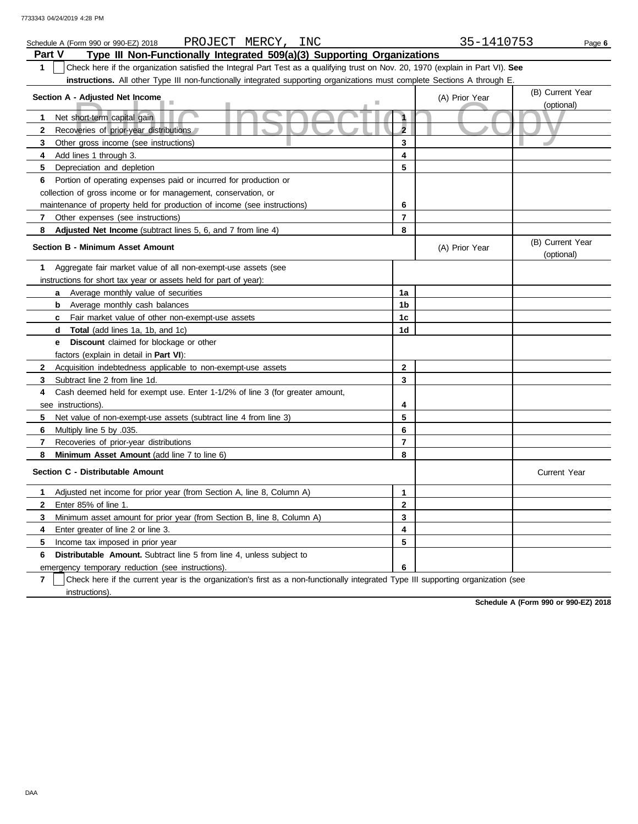| PROJECT MERCY, INC<br>Schedule A (Form 990 or 990-EZ) 2018                                                                            |                | 35-1410753     | Page 6                         |
|---------------------------------------------------------------------------------------------------------------------------------------|----------------|----------------|--------------------------------|
| Part V<br>Type III Non-Functionally Integrated 509(a)(3) Supporting Organizations                                                     |                |                |                                |
| 1<br>Check here if the organization satisfied the Integral Part Test as a qualifying trust on Nov. 20, 1970 (explain in Part VI). See |                |                |                                |
| <b>instructions.</b> All other Type III non-functionally integrated supporting organizations must complete Sections A through E       |                |                |                                |
| Section A - Adjusted Net Income                                                                                                       |                | (A) Prior Year | (B) Current Year               |
|                                                                                                                                       |                |                | (optional)                     |
| $\mathbf{1}$<br>Net short-term capital gain                                                                                           | 1              |                |                                |
| Recoveries of prior-year distributions<br>$\overline{2}$                                                                              | $\overline{2}$ |                |                                |
| 3<br>Other gross income (see instructions)                                                                                            | 3              |                |                                |
| Add lines 1 through 3.<br>4                                                                                                           | 4              |                |                                |
| 5<br>Depreciation and depletion                                                                                                       | 5              |                |                                |
| Portion of operating expenses paid or incurred for production or<br>6                                                                 |                |                |                                |
| collection of gross income or for management, conservation, or                                                                        |                |                |                                |
| maintenance of property held for production of income (see instructions)                                                              | 6              |                |                                |
| Other expenses (see instructions)<br>7                                                                                                | 7              |                |                                |
| 8<br>Adjusted Net Income (subtract lines 5, 6, and 7 from line 4)                                                                     | 8              |                |                                |
| <b>Section B - Minimum Asset Amount</b>                                                                                               |                | (A) Prior Year | (B) Current Year<br>(optional) |
| Aggregate fair market value of all non-exempt-use assets (see<br>$\mathbf 1$                                                          |                |                |                                |
| instructions for short tax year or assets held for part of year):                                                                     |                |                |                                |
| <b>a</b> Average monthly value of securities                                                                                          | 1a             |                |                                |
| <b>b</b> Average monthly cash balances                                                                                                | 1b             |                |                                |
| Fair market value of other non-exempt-use assets<br>c.                                                                                | 1c             |                |                                |
| <b>Total</b> (add lines 1a, 1b, and 1c)<br>d                                                                                          | 1d             |                |                                |
| <b>e</b> Discount claimed for blockage or other                                                                                       |                |                |                                |
| factors (explain in detail in <b>Part VI</b> ):                                                                                       |                |                |                                |
| $\mathbf{2}$<br>Acquisition indebtedness applicable to non-exempt-use assets                                                          | $\mathbf 2$    |                |                                |
| Subtract line 2 from line 1d<br>3                                                                                                     | 3              |                |                                |
| Cash deemed held for exempt use. Enter 1-1/2% of line 3 (for greater amount,<br>4                                                     |                |                |                                |
| see instructions)                                                                                                                     | 4              |                |                                |
| 5<br>Net value of non-exempt-use assets (subtract line 4 from line 3)                                                                 | 5              |                |                                |
| 6<br>Multiply line 5 by .035.                                                                                                         | 6              |                |                                |
| 7<br>Recoveries of prior-year distributions                                                                                           | $\overline{7}$ |                |                                |
| 8<br>Minimum Asset Amount (add line 7 to line 6)                                                                                      | 8              |                |                                |
| Section C - Distributable Amount                                                                                                      |                |                | <b>Current Year</b>            |
| Adjusted net income for prior year (from Section A, line 8, Column A)<br>$\mathbf 1$                                                  | $\mathbf{1}$   |                |                                |
| $\mathbf{2}$<br>Enter 85% of line 1.                                                                                                  | $\overline{2}$ |                |                                |
| 3<br>Minimum asset amount for prior year (from Section B, line 8, Column A)                                                           | 3              |                |                                |
| 4<br>Enter greater of line 2 or line 3.                                                                                               | 4              |                |                                |
| 5<br>Income tax imposed in prior year                                                                                                 | 5              |                |                                |
| <b>Distributable Amount.</b> Subtract line 5 from line 4, unless subject to<br>6                                                      |                |                |                                |
| emergency temporary reduction (see instructions).                                                                                     | 6              |                |                                |

emergency temporary reduction (see instructions).

**7** instructions). Check here if the current year is the organization's first as a non-functionally integrated Type III supporting organization (see

**Schedule A (Form 990 or 990-EZ) 2018**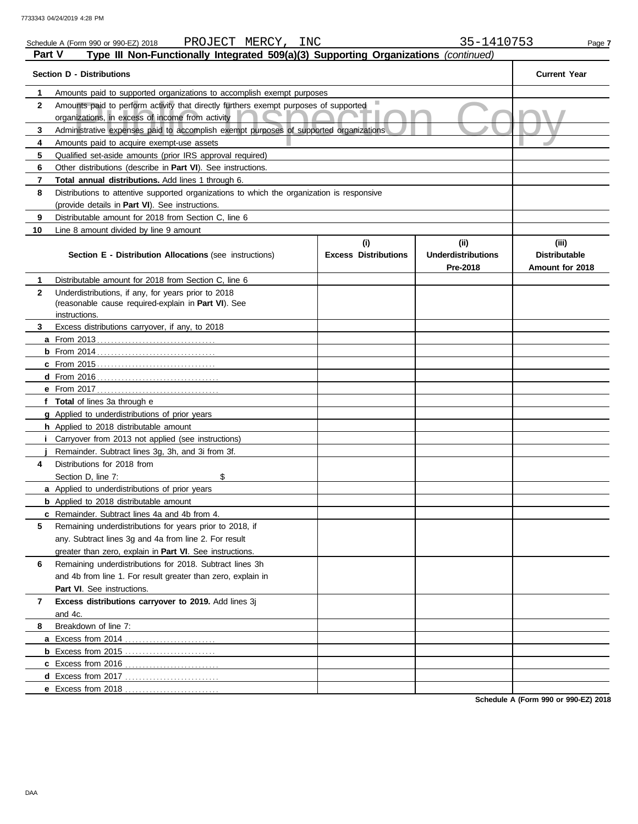|              | PROJECT MERCY, INC<br>Schedule A (Form 990 or 990-EZ) 2018                                                                               |                             | 35-1410753                            | Page 7                                  |
|--------------|------------------------------------------------------------------------------------------------------------------------------------------|-----------------------------|---------------------------------------|-----------------------------------------|
| Part V       | Type III Non-Functionally Integrated 509(a)(3) Supporting Organizations (continued)                                                      |                             |                                       |                                         |
|              | <b>Section D - Distributions</b>                                                                                                         |                             |                                       | <b>Current Year</b>                     |
| 1            | Amounts paid to supported organizations to accomplish exempt purposes                                                                    |                             |                                       |                                         |
| $\mathbf{2}$ | Amounts paid to perform activity that directly furthers exempt purposes of supported<br>organizations, in excess of income from activity |                             |                                       |                                         |
| 3            | Administrative expenses paid to accomplish exempt purposes of supported organizations                                                    |                             |                                       |                                         |
| 4            | Amounts paid to acquire exempt-use assets                                                                                                |                             |                                       |                                         |
| 5            | Qualified set-aside amounts (prior IRS approval required)                                                                                |                             |                                       |                                         |
| 6            | Other distributions (describe in Part VI). See instructions.                                                                             |                             |                                       |                                         |
| 7            | Total annual distributions. Add lines 1 through 6.                                                                                       |                             |                                       |                                         |
| 8            | Distributions to attentive supported organizations to which the organization is responsive                                               |                             |                                       |                                         |
|              | (provide details in Part VI). See instructions.                                                                                          |                             |                                       |                                         |
| 9            | Distributable amount for 2018 from Section C, line 6                                                                                     |                             |                                       |                                         |
| 10           | Line 8 amount divided by line 9 amount                                                                                                   |                             |                                       |                                         |
|              |                                                                                                                                          | (i)                         | (ii)                                  | (iii)                                   |
|              | Section E - Distribution Allocations (see instructions)                                                                                  | <b>Excess Distributions</b> | <b>Underdistributions</b><br>Pre-2018 | <b>Distributable</b><br>Amount for 2018 |
| 1            | Distributable amount for 2018 from Section C, line 6                                                                                     |                             |                                       |                                         |
| $\mathbf{2}$ | Underdistributions, if any, for years prior to 2018                                                                                      |                             |                                       |                                         |
|              | (reasonable cause required-explain in Part VI). See                                                                                      |                             |                                       |                                         |
|              | instructions.                                                                                                                            |                             |                                       |                                         |
| 3            | Excess distributions carryover, if any, to 2018                                                                                          |                             |                                       |                                         |
|              |                                                                                                                                          |                             |                                       |                                         |
|              |                                                                                                                                          |                             |                                       |                                         |
|              |                                                                                                                                          |                             |                                       |                                         |
|              |                                                                                                                                          |                             |                                       |                                         |
|              |                                                                                                                                          |                             |                                       |                                         |
|              | f Total of lines 3a through e                                                                                                            |                             |                                       |                                         |
|              | g Applied to underdistributions of prior years                                                                                           |                             |                                       |                                         |
|              | <b>h</b> Applied to 2018 distributable amount                                                                                            |                             |                                       |                                         |
|              | Carryover from 2013 not applied (see instructions)                                                                                       |                             |                                       |                                         |
|              | Remainder. Subtract lines 3g, 3h, and 3i from 3f.                                                                                        |                             |                                       |                                         |
| 4            | Distributions for 2018 from                                                                                                              |                             |                                       |                                         |
|              | \$<br>Section D, line 7:                                                                                                                 |                             |                                       |                                         |
|              | a Applied to underdistributions of prior years                                                                                           |                             |                                       |                                         |
|              | <b>b</b> Applied to 2018 distributable amount                                                                                            |                             |                                       |                                         |
|              | <b>c</b> Remainder. Subtract lines 4a and 4b from 4.                                                                                     |                             |                                       |                                         |
| 5            | Remaining underdistributions for years prior to 2018, if                                                                                 |                             |                                       |                                         |
|              | any. Subtract lines 3g and 4a from line 2. For result                                                                                    |                             |                                       |                                         |
|              | greater than zero, explain in Part VI. See instructions.                                                                                 |                             |                                       |                                         |
| 6            | Remaining underdistributions for 2018. Subtract lines 3h                                                                                 |                             |                                       |                                         |
|              | and 4b from line 1. For result greater than zero, explain in                                                                             |                             |                                       |                                         |
|              | Part VI. See instructions.                                                                                                               |                             |                                       |                                         |
| 7            | Excess distributions carryover to 2019. Add lines 3j                                                                                     |                             |                                       |                                         |
|              | and 4c.                                                                                                                                  |                             |                                       |                                         |
| 8            | Breakdown of line 7:                                                                                                                     |                             |                                       |                                         |
|              |                                                                                                                                          |                             |                                       |                                         |
|              |                                                                                                                                          |                             |                                       |                                         |
|              |                                                                                                                                          |                             |                                       |                                         |
|              |                                                                                                                                          |                             |                                       |                                         |
|              | <b>e</b> Excess from 2018                                                                                                                |                             |                                       |                                         |

**Schedule A (Form 990 or 990-EZ) 2018**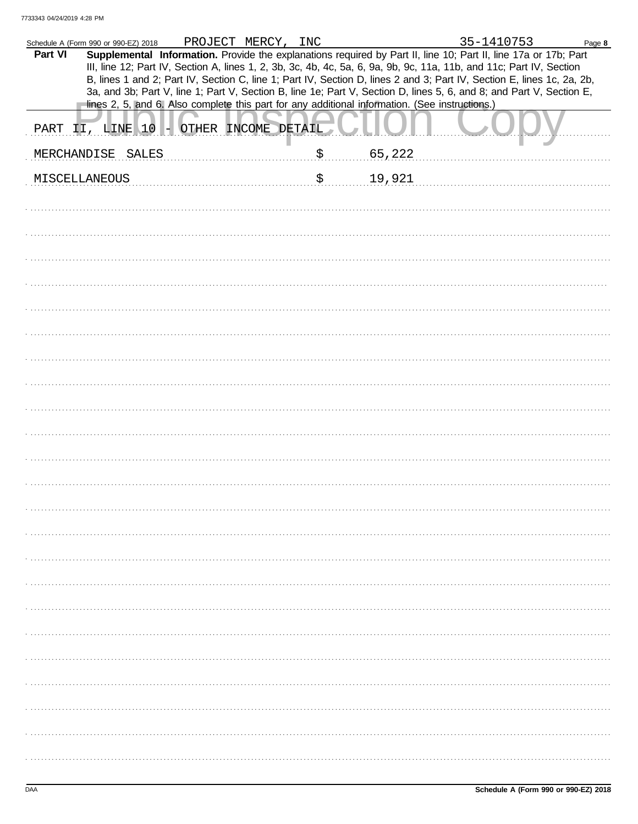|         | Schedule A (Form 990 or 990-EZ) 2018                                                           | PROJECT MERCY, INC |              | 35-1410753                                                                                                                                                                                                                                                                                                                                                                                                                                                                                | Page 8 |
|---------|------------------------------------------------------------------------------------------------|--------------------|--------------|-------------------------------------------------------------------------------------------------------------------------------------------------------------------------------------------------------------------------------------------------------------------------------------------------------------------------------------------------------------------------------------------------------------------------------------------------------------------------------------------|--------|
| Part VI | lines 2, 5, and 6. Also complete this part for any additional information. (See instructions.) |                    |              | Supplemental Information. Provide the explanations required by Part II, line 10; Part II, line 17a or 17b; Part<br>III, line 12; Part IV, Section A, lines 1, 2, 3b, 3c, 4b, 4c, 5a, 6, 9a, 9b, 9c, 11a, 11b, and 11c; Part IV, Section<br>B, lines 1 and 2; Part IV, Section C, line 1; Part IV, Section D, lines 2 and 3; Part IV, Section E, lines 1c, 2a, 2b,<br>3a, and 3b; Part V, line 1; Part V, Section B, line 1e; Part V, Section D, lines 5, 6, and 8; and Part V, Section E, |        |
|         |                                                                                                |                    |              |                                                                                                                                                                                                                                                                                                                                                                                                                                                                                           |        |
|         | PART II, LINE 10 - OTHER INCOME DETAIL                                                         |                    |              |                                                                                                                                                                                                                                                                                                                                                                                                                                                                                           |        |
|         | MERCHANDISE SALES                                                                              |                    | \$<br>65,222 |                                                                                                                                                                                                                                                                                                                                                                                                                                                                                           |        |
|         | MISCELLANEOUS                                                                                  |                    | \$<br>19,921 |                                                                                                                                                                                                                                                                                                                                                                                                                                                                                           |        |
|         |                                                                                                |                    |              |                                                                                                                                                                                                                                                                                                                                                                                                                                                                                           |        |
|         |                                                                                                |                    |              |                                                                                                                                                                                                                                                                                                                                                                                                                                                                                           |        |
|         |                                                                                                |                    |              |                                                                                                                                                                                                                                                                                                                                                                                                                                                                                           |        |
|         |                                                                                                |                    |              |                                                                                                                                                                                                                                                                                                                                                                                                                                                                                           |        |
|         |                                                                                                |                    |              |                                                                                                                                                                                                                                                                                                                                                                                                                                                                                           |        |
|         |                                                                                                |                    |              |                                                                                                                                                                                                                                                                                                                                                                                                                                                                                           |        |
|         |                                                                                                |                    |              |                                                                                                                                                                                                                                                                                                                                                                                                                                                                                           |        |
|         |                                                                                                |                    |              |                                                                                                                                                                                                                                                                                                                                                                                                                                                                                           |        |
|         |                                                                                                |                    |              |                                                                                                                                                                                                                                                                                                                                                                                                                                                                                           |        |
|         |                                                                                                |                    |              |                                                                                                                                                                                                                                                                                                                                                                                                                                                                                           |        |
|         |                                                                                                |                    |              |                                                                                                                                                                                                                                                                                                                                                                                                                                                                                           |        |
|         |                                                                                                |                    |              |                                                                                                                                                                                                                                                                                                                                                                                                                                                                                           |        |
|         |                                                                                                |                    |              |                                                                                                                                                                                                                                                                                                                                                                                                                                                                                           |        |
|         |                                                                                                |                    |              |                                                                                                                                                                                                                                                                                                                                                                                                                                                                                           |        |
|         |                                                                                                |                    |              |                                                                                                                                                                                                                                                                                                                                                                                                                                                                                           |        |
|         |                                                                                                |                    |              |                                                                                                                                                                                                                                                                                                                                                                                                                                                                                           |        |
|         |                                                                                                |                    |              |                                                                                                                                                                                                                                                                                                                                                                                                                                                                                           |        |
|         |                                                                                                |                    |              |                                                                                                                                                                                                                                                                                                                                                                                                                                                                                           |        |
|         |                                                                                                |                    |              |                                                                                                                                                                                                                                                                                                                                                                                                                                                                                           |        |
|         |                                                                                                |                    |              |                                                                                                                                                                                                                                                                                                                                                                                                                                                                                           |        |
|         |                                                                                                |                    |              |                                                                                                                                                                                                                                                                                                                                                                                                                                                                                           |        |
|         |                                                                                                |                    |              |                                                                                                                                                                                                                                                                                                                                                                                                                                                                                           |        |
|         |                                                                                                |                    |              |                                                                                                                                                                                                                                                                                                                                                                                                                                                                                           |        |
|         |                                                                                                |                    |              |                                                                                                                                                                                                                                                                                                                                                                                                                                                                                           |        |
|         |                                                                                                |                    |              |                                                                                                                                                                                                                                                                                                                                                                                                                                                                                           |        |
|         |                                                                                                |                    |              |                                                                                                                                                                                                                                                                                                                                                                                                                                                                                           |        |
|         |                                                                                                |                    |              |                                                                                                                                                                                                                                                                                                                                                                                                                                                                                           |        |
|         |                                                                                                |                    |              |                                                                                                                                                                                                                                                                                                                                                                                                                                                                                           |        |
|         |                                                                                                |                    |              |                                                                                                                                                                                                                                                                                                                                                                                                                                                                                           |        |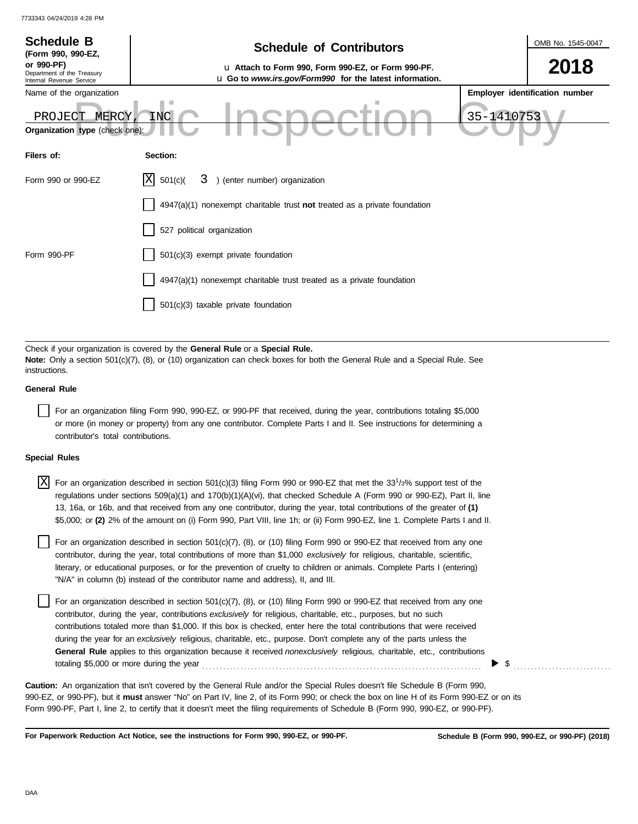| <b>Schedule B</b><br>(Form 990, 990-EZ,                              | <b>Schedule of Contributors</b>                                                                                                                                                                             |            | OMB No. 1545-0047              |
|----------------------------------------------------------------------|-------------------------------------------------------------------------------------------------------------------------------------------------------------------------------------------------------------|------------|--------------------------------|
| or 990-PF)<br>Department of the Treasury<br>Internal Revenue Service | u Attach to Form 990, Form 990-EZ, or Form 990-PF.<br>u Go to www.irs.gov/Form990 for the latest information.                                                                                               |            | 2018                           |
| Name of the organization                                             |                                                                                                                                                                                                             |            | Employer identification number |
| MERCY<br>PROJECT<br>Organization type (check one):                   | INC                                                                                                                                                                                                         | 35-1410753 |                                |
| Filers of:                                                           | Section:                                                                                                                                                                                                    |            |                                |
| Form 990 or 990-EZ                                                   | X <br>3 ) (enter number) organization<br>501(c)                                                                                                                                                             |            |                                |
|                                                                      | $4947(a)(1)$ nonexempt charitable trust not treated as a private foundation                                                                                                                                 |            |                                |
|                                                                      | 527 political organization                                                                                                                                                                                  |            |                                |
| Form 990-PF                                                          | 501(c)(3) exempt private foundation                                                                                                                                                                         |            |                                |
|                                                                      | 4947(a)(1) nonexempt charitable trust treated as a private foundation                                                                                                                                       |            |                                |
|                                                                      | 501(c)(3) taxable private foundation                                                                                                                                                                        |            |                                |
|                                                                      |                                                                                                                                                                                                             |            |                                |
| instructions.                                                        | Check if your organization is covered by the General Rule or a Special Rule.<br>Note: Only a section 501(c)(7), (8), or (10) organization can check boxes for both the General Rule and a Special Rule. See |            |                                |

## **General Rule**

For an organization filing Form 990, 990-EZ, or 990-PF that received, during the year, contributions totaling \$5,000 or more (in money or property) from any one contributor. Complete Parts I and II. See instructions for determining a contributor's total contributions.

## **Special Rules**

| $\overline{X}$ For an organization described in section 501(c)(3) filing Form 990 or 990-EZ that met the 33 <sup>1</sup> /3% support test of the |
|--------------------------------------------------------------------------------------------------------------------------------------------------|
| regulations under sections 509(a)(1) and 170(b)(1)(A)(vi), that checked Schedule A (Form 990 or 990-EZ), Part II, line                           |
| 13, 16a, or 16b, and that received from any one contributor, during the year, total contributions of the greater of (1)                          |
| \$5,000; or (2) 2% of the amount on (i) Form 990, Part VIII, line 1h; or (ii) Form 990-EZ, line 1. Complete Parts I and II.                      |

literary, or educational purposes, or for the prevention of cruelty to children or animals. Complete Parts I (entering) For an organization described in section 501(c)(7), (8), or (10) filing Form 990 or 990-EZ that received from any one contributor, during the year, total contributions of more than \$1,000 *exclusively* for religious, charitable, scientific, "N/A" in column (b) instead of the contributor name and address), II, and III.

For an organization described in section 501(c)(7), (8), or (10) filing Form 990 or 990-EZ that received from any one contributor, during the year, contributions *exclusively* for religious, charitable, etc., purposes, but no such contributions totaled more than \$1,000. If this box is checked, enter here the total contributions that were received during the year for an *exclusively* religious, charitable, etc., purpose. Don't complete any of the parts unless the **General Rule** applies to this organization because it received *nonexclusively* religious, charitable, etc., contributions totaling \$5,000 or more during the year . . . . . . . . . . . . . . . . . . . . . . . . . . . . . . . . . . . . . . . . . . . . . . . . . . . . . . . . . . . . . . . . . . . . . . . . . . . . . . . .

990-EZ, or 990-PF), but it **must** answer "No" on Part IV, line 2, of its Form 990; or check the box on line H of its Form 990-EZ or on its Form 990-PF, Part I, line 2, to certify that it doesn't meet the filing requirements of Schedule B (Form 990, 990-EZ, or 990-PF). **Caution:** An organization that isn't covered by the General Rule and/or the Special Rules doesn't file Schedule B (Form 990,

**For Paperwork Reduction Act Notice, see the instructions for Form 990, 990-EZ, or 990-PF.**

\$ . . . . . . . . . . . . . . . . . . . . . . . . . . . .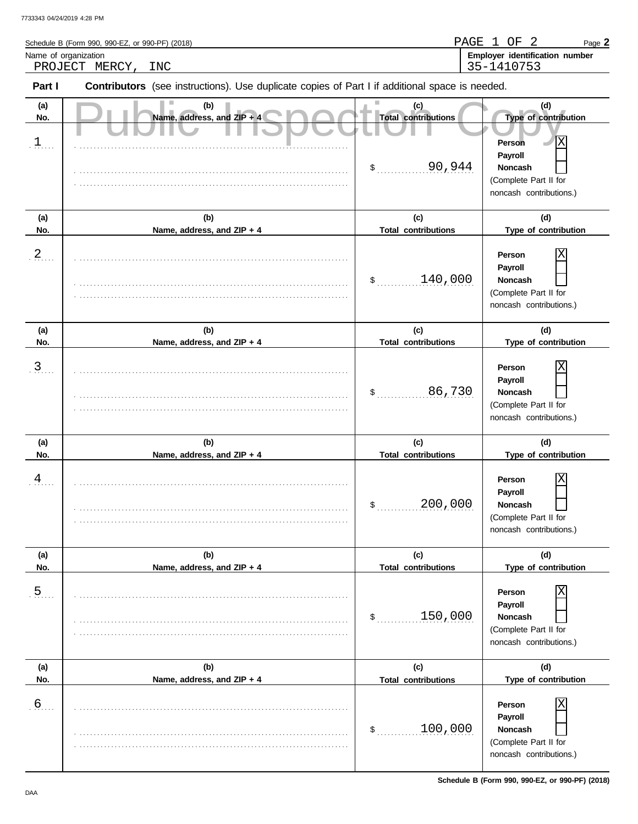|                           | Schedule B (Form 990, 990-EZ, or 990-PF) (2018)                                                |                                                   | PAGE 1 OF 2<br>Page 2                                                                                                       |
|---------------------------|------------------------------------------------------------------------------------------------|---------------------------------------------------|-----------------------------------------------------------------------------------------------------------------------------|
| Name of organization      | PROJECT MERCY,<br><b>INC</b>                                                                   |                                                   | Employer identification number<br>35-1410753                                                                                |
| Part I                    | Contributors (see instructions). Use duplicate copies of Part I if additional space is needed. |                                                   |                                                                                                                             |
| (a)<br>No.<br>$\exists$ . | (b)<br>Name, address, and ZIP + 4                                                              | (c)<br><b>Total contributions</b><br>90,944<br>\$ | (d)<br>Type of contribution<br>Χ<br>Person<br>Payroll<br><b>Noncash</b><br>(Complete Part II for<br>noncash contributions.) |
| (a)<br>No.                | (b)<br>Name, address, and ZIP + 4                                                              | (c)<br><b>Total contributions</b>                 | (d)<br>Type of contribution                                                                                                 |
| $\frac{2}{3}$             |                                                                                                | 140,000<br>\$                                     | Χ<br>Person<br>Payroll<br><b>Noncash</b><br>(Complete Part II for<br>noncash contributions.)                                |
| (a)<br>No.                | (b)<br>Name, address, and ZIP + 4                                                              | (c)<br><b>Total contributions</b>                 | (d)<br>Type of contribution                                                                                                 |
| $\overline{3}$            |                                                                                                | 86,730<br>$\mathfrak{S}$                          | Χ<br>Person<br>Payroll<br><b>Noncash</b><br>(Complete Part II for<br>noncash contributions.)                                |
| (a)<br>No.                | (b)<br>Name, address, and ZIP + 4                                                              | (c)<br><b>Total contributions</b>                 | (d)<br>Type of contribution                                                                                                 |
| $\frac{4}{1}$             |                                                                                                | 200,000<br>\$                                     | Χ<br>Person<br>Payroll<br>Noncash<br>(Complete Part II for<br>noncash contributions.)                                       |
| (a)<br>No.                | (b)<br>Name, address, and ZIP + 4                                                              | (c)<br><b>Total contributions</b>                 | (d)<br>Type of contribution                                                                                                 |
| .5.                       |                                                                                                | 150,000<br>\$                                     | Person<br>Payroll<br>Noncash<br>(Complete Part II for<br>noncash contributions.)                                            |
| (a)<br>No.                | (b)<br>Name, address, and ZIP + 4                                                              | (c)<br><b>Total contributions</b>                 | (d)<br>Type of contribution                                                                                                 |
| .6                        |                                                                                                | 100,000<br>\$                                     | Person<br>Payroll<br>Noncash<br>(Complete Part II for<br>noncash contributions.)                                            |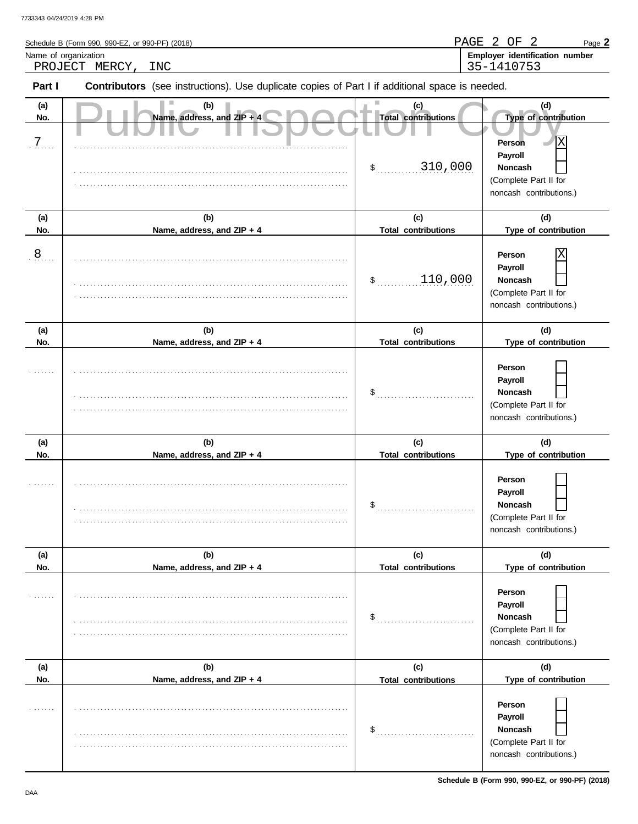| Name of organization | Schedule B (Form 990, 990-EZ, or 990-PF) (2018)<br>PROJECT MERCY,<br>INC                       |                                                        | PAGE 2 OF<br>2<br>Page 2<br>Employer identification number<br>35-1410753                                                    |
|----------------------|------------------------------------------------------------------------------------------------|--------------------------------------------------------|-----------------------------------------------------------------------------------------------------------------------------|
| Part I               | Contributors (see instructions). Use duplicate copies of Part I if additional space is needed. |                                                        |                                                                                                                             |
| (a)<br>No.<br>7      | (b)<br>Name, address, and ZIP + 4                                                              | (c)<br><b>Total contributions</b><br>310,000<br>$\sim$ | (d)<br>Type of contribution<br>Х<br>Person<br>Payroll<br><b>Noncash</b><br>(Complete Part II for<br>noncash contributions.) |
| (a)<br>No.           | (b)<br>Name, address, and ZIP + 4                                                              | (c)<br><b>Total contributions</b>                      | (d)<br>Type of contribution                                                                                                 |
| $\overline{8}$       |                                                                                                | 110,000<br>\$                                          | Χ<br>Person<br>Payroll<br>Noncash<br>(Complete Part II for<br>noncash contributions.)                                       |
| (a)<br>No.           | (b)<br>Name, address, and ZIP + 4                                                              | (c)<br><b>Total contributions</b>                      | (d)<br>Type of contribution                                                                                                 |
|                      |                                                                                                | \$                                                     | Person<br>Payroll<br><b>Noncash</b><br>(Complete Part II for<br>noncash contributions.)                                     |
| (a)<br>No.           | (b)<br>Name, address, and ZIP + 4                                                              | (c)<br><b>Total contributions</b>                      | (d)<br>Type of contribution                                                                                                 |
|                      |                                                                                                | \$                                                     | Person<br>Payroll<br>Noncash<br>(Complete Part II for<br>noncash contributions.)                                            |
| (a)<br>No.           | (b)<br>Name, address, and ZIP + 4                                                              | (c)<br><b>Total contributions</b>                      | (d)<br>Type of contribution                                                                                                 |
|                      |                                                                                                | $\frac{1}{2}$                                          | Person<br>Payroll<br>Noncash<br>(Complete Part II for<br>noncash contributions.)                                            |
| (a)<br>No.           | (b)<br>Name, address, and ZIP + 4                                                              | (c)<br><b>Total contributions</b>                      | (d)<br>Type of contribution                                                                                                 |
|                      |                                                                                                | $\mathsf{\$}$                                          | Person<br>Payroll<br>Noncash<br>(Complete Part II for<br>noncash contributions.)                                            |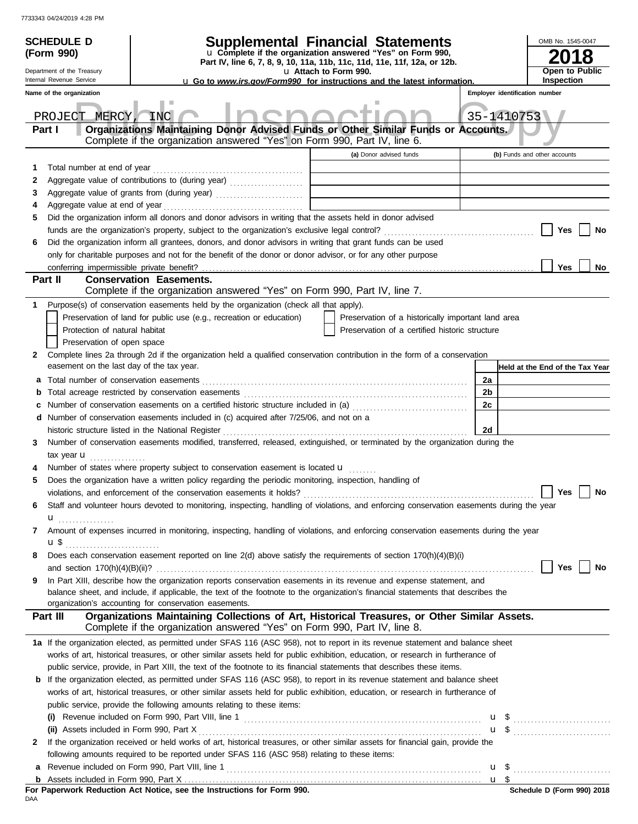|   | <b>SCHEDULE D</b>                                                                                                                                    |                                                                                                                                                                                            | Supplemental Financial Statements                                        |                         |                                                    |                                |                              |  | OMB No. 1545-0047 |                                      |
|---|------------------------------------------------------------------------------------------------------------------------------------------------------|--------------------------------------------------------------------------------------------------------------------------------------------------------------------------------------------|--------------------------------------------------------------------------|-------------------------|----------------------------------------------------|--------------------------------|------------------------------|--|-------------------|--------------------------------------|
|   | u Complete if the organization answered "Yes" on Form 990,<br>(Form 990)<br>Part IV, line 6, 7, 8, 9, 10, 11a, 11b, 11c, 11d, 11e, 11f, 12a, or 12b. |                                                                                                                                                                                            |                                                                          |                         |                                                    |                                |                              |  |                   |                                      |
|   | Department of the Treasury                                                                                                                           |                                                                                                                                                                                            |                                                                          | u Attach to Form 990.   |                                                    |                                |                              |  |                   | Open to Public                       |
|   | Internal Revenue Service                                                                                                                             |                                                                                                                                                                                            | u Go to www.irs.gov/Form990 for instructions and the latest information. |                         |                                                    |                                |                              |  | Inspection        |                                      |
|   | Name of the organization                                                                                                                             |                                                                                                                                                                                            |                                                                          |                         |                                                    | Employer identification number |                              |  |                   |                                      |
|   | PROJECT MERCY,                                                                                                                                       | INC                                                                                                                                                                                        |                                                                          |                         |                                                    | 35-1410753                     |                              |  |                   |                                      |
|   | Part I                                                                                                                                               | Organizations Maintaining Donor Advised Funds or Other Similar Funds or Accounts.                                                                                                          |                                                                          |                         |                                                    |                                |                              |  |                   |                                      |
|   |                                                                                                                                                      | Complete if the organization answered "Yes" on Form 990, Part IV, line 6.                                                                                                                  |                                                                          | (a) Donor advised funds |                                                    |                                | (b) Funds and other accounts |  |                   |                                      |
| 1 | Total number at end of year                                                                                                                          |                                                                                                                                                                                            |                                                                          |                         |                                                    |                                |                              |  |                   |                                      |
| 2 |                                                                                                                                                      |                                                                                                                                                                                            |                                                                          |                         |                                                    |                                |                              |  |                   |                                      |
| 3 |                                                                                                                                                      |                                                                                                                                                                                            |                                                                          |                         |                                                    |                                |                              |  |                   |                                      |
| 4 |                                                                                                                                                      |                                                                                                                                                                                            |                                                                          |                         |                                                    |                                |                              |  |                   |                                      |
| 5 |                                                                                                                                                      | Did the organization inform all donors and donor advisors in writing that the assets held in donor advised                                                                                 |                                                                          |                         |                                                    |                                |                              |  |                   |                                      |
|   |                                                                                                                                                      |                                                                                                                                                                                            |                                                                          |                         |                                                    |                                |                              |  | Yes               | No                                   |
| 6 |                                                                                                                                                      | Did the organization inform all grantees, donors, and donor advisors in writing that grant funds can be used                                                                               |                                                                          |                         |                                                    |                                |                              |  |                   |                                      |
|   |                                                                                                                                                      | only for charitable purposes and not for the benefit of the donor or donor advisor, or for any other purpose                                                                               |                                                                          |                         |                                                    |                                |                              |  |                   |                                      |
|   |                                                                                                                                                      |                                                                                                                                                                                            |                                                                          |                         |                                                    |                                |                              |  | Yes               | No                                   |
|   | Part II                                                                                                                                              | <b>Conservation Easements.</b><br>Complete if the organization answered "Yes" on Form 990, Part IV, line 7.                                                                                |                                                                          |                         |                                                    |                                |                              |  |                   |                                      |
|   |                                                                                                                                                      | Purpose(s) of conservation easements held by the organization (check all that apply).                                                                                                      |                                                                          |                         |                                                    |                                |                              |  |                   |                                      |
|   |                                                                                                                                                      | Preservation of land for public use (e.g., recreation or education)                                                                                                                        |                                                                          |                         | Preservation of a historically important land area |                                |                              |  |                   |                                      |
|   | Protection of natural habitat                                                                                                                        |                                                                                                                                                                                            |                                                                          |                         | Preservation of a certified historic structure     |                                |                              |  |                   |                                      |
|   | Preservation of open space                                                                                                                           |                                                                                                                                                                                            |                                                                          |                         |                                                    |                                |                              |  |                   |                                      |
| 2 |                                                                                                                                                      | Complete lines 2a through 2d if the organization held a qualified conservation contribution in the form of a conservation                                                                  |                                                                          |                         |                                                    |                                |                              |  |                   |                                      |
|   | easement on the last day of the tax year.                                                                                                            |                                                                                                                                                                                            |                                                                          |                         |                                                    |                                |                              |  |                   | Held at the End of the Tax Year      |
| а |                                                                                                                                                      |                                                                                                                                                                                            |                                                                          |                         |                                                    | 2a                             |                              |  |                   |                                      |
| b |                                                                                                                                                      |                                                                                                                                                                                            |                                                                          |                         |                                                    | 2b                             |                              |  |                   |                                      |
|   |                                                                                                                                                      |                                                                                                                                                                                            |                                                                          |                         |                                                    | 2c                             |                              |  |                   |                                      |
| d |                                                                                                                                                      | Number of conservation easements included in (c) acquired after 7/25/06, and not on a                                                                                                      |                                                                          |                         |                                                    |                                |                              |  |                   |                                      |
|   |                                                                                                                                                      | historic structure listed in the National Register                                                                                                                                         |                                                                          |                         |                                                    | 2d                             |                              |  |                   |                                      |
| З |                                                                                                                                                      | Number of conservation easements modified, transferred, released, extinguished, or terminated by the organization during the                                                               |                                                                          |                         |                                                    |                                |                              |  |                   |                                      |
|   | tax year <b>u</b>                                                                                                                                    |                                                                                                                                                                                            |                                                                          |                         |                                                    |                                |                              |  |                   |                                      |
|   |                                                                                                                                                      | Number of states where property subject to conservation easement is located u                                                                                                              |                                                                          |                         |                                                    |                                |                              |  |                   |                                      |
| 5 |                                                                                                                                                      | Does the organization have a written policy regarding the periodic monitoring, inspection, handling of                                                                                     |                                                                          |                         |                                                    |                                |                              |  |                   |                                      |
|   |                                                                                                                                                      |                                                                                                                                                                                            |                                                                          |                         |                                                    |                                |                              |  |                   | $\blacksquare$ Yes $\blacksquare$ No |
| 6 |                                                                                                                                                      | Staff and volunteer hours devoted to monitoring, inspecting, handling of violations, and enforcing conservation easements during the year                                                  |                                                                          |                         |                                                    |                                |                              |  |                   |                                      |
|   | u <u>.</u> .                                                                                                                                         |                                                                                                                                                                                            |                                                                          |                         |                                                    |                                |                              |  |                   |                                      |
| 7 |                                                                                                                                                      | Amount of expenses incurred in monitoring, inspecting, handling of violations, and enforcing conservation easements during the year                                                        |                                                                          |                         |                                                    |                                |                              |  |                   |                                      |
|   |                                                                                                                                                      |                                                                                                                                                                                            |                                                                          |                         |                                                    |                                |                              |  |                   |                                      |
| 8 |                                                                                                                                                      | Does each conservation easement reported on line 2(d) above satisfy the requirements of section 170(h)(4)(B)(i)                                                                            |                                                                          |                         |                                                    |                                |                              |  |                   |                                      |
|   |                                                                                                                                                      |                                                                                                                                                                                            |                                                                          |                         |                                                    |                                |                              |  | <b>Yes</b>        | No                                   |
| 9 |                                                                                                                                                      | In Part XIII, describe how the organization reports conservation easements in its revenue and expense statement, and                                                                       |                                                                          |                         |                                                    |                                |                              |  |                   |                                      |
|   |                                                                                                                                                      | balance sheet, and include, if applicable, the text of the footnote to the organization's financial statements that describes the<br>organization's accounting for conservation easements. |                                                                          |                         |                                                    |                                |                              |  |                   |                                      |
|   | Part III                                                                                                                                             | Organizations Maintaining Collections of Art, Historical Treasures, or Other Similar Assets.                                                                                               |                                                                          |                         |                                                    |                                |                              |  |                   |                                      |
|   |                                                                                                                                                      | Complete if the organization answered "Yes" on Form 990, Part IV, line 8.                                                                                                                  |                                                                          |                         |                                                    |                                |                              |  |                   |                                      |
|   |                                                                                                                                                      | 1a If the organization elected, as permitted under SFAS 116 (ASC 958), not to report in its revenue statement and balance sheet                                                            |                                                                          |                         |                                                    |                                |                              |  |                   |                                      |
|   |                                                                                                                                                      | works of art, historical treasures, or other similar assets held for public exhibition, education, or research in furtherance of                                                           |                                                                          |                         |                                                    |                                |                              |  |                   |                                      |
|   |                                                                                                                                                      | public service, provide, in Part XIII, the text of the footnote to its financial statements that describes these items.                                                                    |                                                                          |                         |                                                    |                                |                              |  |                   |                                      |
|   |                                                                                                                                                      | <b>b</b> If the organization elected, as permitted under SFAS 116 (ASC 958), to report in its revenue statement and balance sheet                                                          |                                                                          |                         |                                                    |                                |                              |  |                   |                                      |
|   |                                                                                                                                                      | works of art, historical treasures, or other similar assets held for public exhibition, education, or research in furtherance of                                                           |                                                                          |                         |                                                    |                                |                              |  |                   |                                      |
|   |                                                                                                                                                      | public service, provide the following amounts relating to these items:                                                                                                                     |                                                                          |                         |                                                    |                                |                              |  |                   |                                      |
|   |                                                                                                                                                      |                                                                                                                                                                                            |                                                                          |                         |                                                    |                                |                              |  |                   | $\mathbf{u}$ \$                      |
|   |                                                                                                                                                      |                                                                                                                                                                                            |                                                                          |                         |                                                    |                                |                              |  |                   | $\mathbf{u}$ \$ $\ldots$             |
| 2 |                                                                                                                                                      | If the organization received or held works of art, historical treasures, or other similar assets for financial gain, provide the                                                           |                                                                          |                         |                                                    |                                |                              |  |                   |                                      |
|   |                                                                                                                                                      | following amounts required to be reported under SFAS 116 (ASC 958) relating to these items:                                                                                                |                                                                          |                         |                                                    |                                |                              |  |                   |                                      |
| a |                                                                                                                                                      |                                                                                                                                                                                            |                                                                          |                         |                                                    |                                |                              |  |                   |                                      |
|   |                                                                                                                                                      |                                                                                                                                                                                            |                                                                          |                         |                                                    |                                |                              |  |                   |                                      |

For Paperwork Reduction Act Notice, see the Instructions for Form 990.<br><sub>DAA</sub>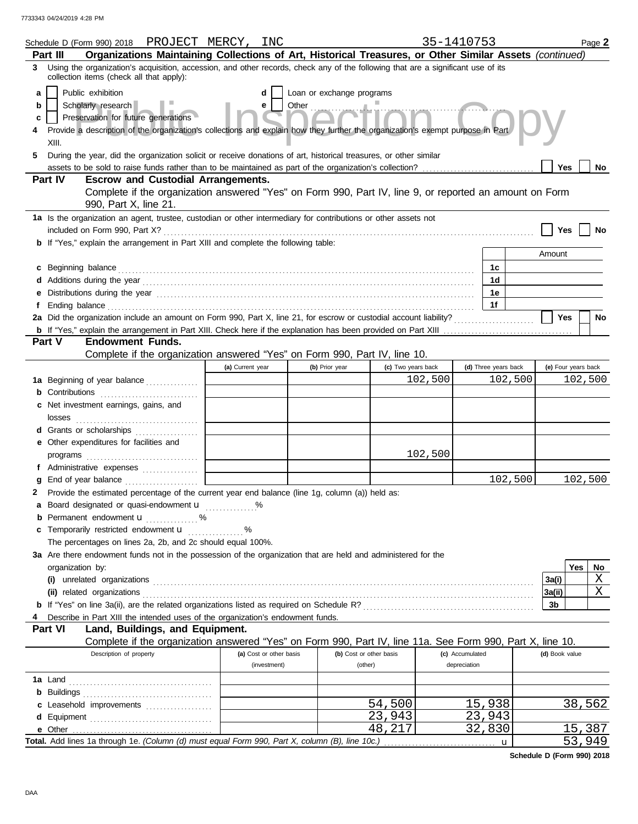|    | Schedule D (Form 990) 2018 PROJECT MERCY, INC                                                                                                                                                                                        |                                              |                         |                           |                         | 35-1410753         |                 |                      |                     |     | Page 2  |
|----|--------------------------------------------------------------------------------------------------------------------------------------------------------------------------------------------------------------------------------------|----------------------------------------------|-------------------------|---------------------------|-------------------------|--------------------|-----------------|----------------------|---------------------|-----|---------|
|    | Organizations Maintaining Collections of Art, Historical Treasures, or Other Similar Assets (continued)<br>Part III                                                                                                                  |                                              |                         |                           |                         |                    |                 |                      |                     |     |         |
| 3  | Using the organization's acquisition, accession, and other records, check any of the following that are a significant use of its<br>collection items (check all that apply):                                                         |                                              |                         |                           |                         |                    |                 |                      |                     |     |         |
| a  | Public exhibition                                                                                                                                                                                                                    |                                              | d                       | Loan or exchange programs |                         |                    |                 |                      |                     |     |         |
| b  | Scholarly research                                                                                                                                                                                                                   |                                              | e                       | Other                     |                         |                    |                 |                      |                     |     |         |
| С  | Preservation for future generations                                                                                                                                                                                                  |                                              |                         |                           |                         |                    |                 |                      |                     |     |         |
|    | Provide a description of the organization's collections and explain how they further the organization's exempt purpose in Part                                                                                                       |                                              |                         |                           |                         |                    |                 |                      |                     |     |         |
|    | XIII.                                                                                                                                                                                                                                |                                              |                         |                           |                         |                    |                 |                      |                     |     |         |
| 5  | During the year, did the organization solicit or receive donations of art, historical treasures, or other similar                                                                                                                    |                                              |                         |                           |                         |                    |                 |                      |                     |     |         |
|    |                                                                                                                                                                                                                                      |                                              |                         |                           |                         |                    |                 |                      | <b>Yes</b>          |     | No      |
|    | Part IV<br><b>Escrow and Custodial Arrangements.</b>                                                                                                                                                                                 |                                              |                         |                           |                         |                    |                 |                      |                     |     |         |
|    | Complete if the organization answered "Yes" on Form 990, Part IV, line 9, or reported an amount on Form                                                                                                                              |                                              |                         |                           |                         |                    |                 |                      |                     |     |         |
|    | 990, Part X, line 21.                                                                                                                                                                                                                |                                              |                         |                           |                         |                    |                 |                      |                     |     |         |
|    | 1a Is the organization an agent, trustee, custodian or other intermediary for contributions or other assets not                                                                                                                      |                                              |                         |                           |                         |                    |                 |                      |                     |     |         |
|    |                                                                                                                                                                                                                                      |                                              |                         |                           |                         |                    |                 |                      | Yes                 |     |         |
|    | <b>b</b> If "Yes," explain the arrangement in Part XIII and complete the following table:                                                                                                                                            |                                              |                         |                           |                         |                    |                 |                      |                     |     |         |
|    |                                                                                                                                                                                                                                      |                                              |                         |                           |                         |                    |                 |                      | Amount              |     |         |
|    | c Beginning balance <b>contract to the contract of the contract of the contract of the contract of the contract of the contract of the contract of the contract of the contract of the contract of the contract of the contract </b> |                                              |                         |                           |                         |                    |                 | 1с.                  |                     |     |         |
|    |                                                                                                                                                                                                                                      |                                              |                         |                           |                         |                    |                 | 1d                   |                     |     |         |
| е  |                                                                                                                                                                                                                                      |                                              |                         |                           |                         |                    |                 | 1е                   |                     |     |         |
|    |                                                                                                                                                                                                                                      |                                              |                         |                           |                         |                    |                 | 1f                   |                     |     |         |
|    | 2a Did the organization include an amount on Form 990, Part X, line 21, for escrow or custodial account liability?                                                                                                                   |                                              |                         |                           |                         |                    |                 |                      | Yes                 |     | No      |
|    |                                                                                                                                                                                                                                      |                                              |                         |                           |                         |                    |                 |                      |                     |     |         |
|    | <b>Endowment Funds.</b><br><b>Part V</b>                                                                                                                                                                                             |                                              |                         |                           |                         |                    |                 |                      |                     |     |         |
|    | Complete if the organization answered "Yes" on Form 990, Part IV, line 10.                                                                                                                                                           |                                              |                         |                           |                         |                    |                 |                      |                     |     |         |
|    |                                                                                                                                                                                                                                      | (a) Current year                             |                         | (b) Prior year            |                         | (c) Two years back |                 | (d) Three years back | (e) Four years back |     |         |
|    | 1a Beginning of year balance                                                                                                                                                                                                         | the control of the control of the control of |                         |                           |                         | 102,500            |                 | 102,500              |                     |     | 102,500 |
|    | <b>b</b> Contributions <b>contributions</b>                                                                                                                                                                                          |                                              |                         |                           |                         |                    |                 |                      |                     |     |         |
|    | c Net investment earnings, gains, and                                                                                                                                                                                                |                                              |                         |                           |                         |                    |                 |                      |                     |     |         |
|    |                                                                                                                                                                                                                                      |                                              |                         |                           |                         |                    |                 |                      |                     |     |         |
|    | d Grants or scholarships                                                                                                                                                                                                             |                                              |                         |                           |                         |                    |                 |                      |                     |     |         |
|    | e Other expenditures for facilities and                                                                                                                                                                                              |                                              |                         |                           |                         |                    |                 |                      |                     |     |         |
|    |                                                                                                                                                                                                                                      |                                              |                         |                           |                         | 102,500            |                 |                      |                     |     |         |
|    |                                                                                                                                                                                                                                      |                                              |                         |                           |                         |                    |                 | 102,500              |                     |     | 102,500 |
|    | End of year balance<br>Provide the estimated percentage of the current year end balance (line 1g, column (a)) held as:                                                                                                               |                                              |                         |                           |                         |                    |                 |                      |                     |     |         |
| 2. | a Board designated or quasi-endowment <b>u</b> %                                                                                                                                                                                     |                                              |                         |                           |                         |                    |                 |                      |                     |     |         |
|    | <b>b</b> Permanent endowment $\mathbf{u}$ %                                                                                                                                                                                          |                                              |                         |                           |                         |                    |                 |                      |                     |     |         |
|    | c Temporarily restricted endowment <b>u</b> %                                                                                                                                                                                        |                                              |                         |                           |                         |                    |                 |                      |                     |     |         |
|    | The percentages on lines 2a, 2b, and 2c should equal 100%.                                                                                                                                                                           |                                              |                         |                           |                         |                    |                 |                      |                     |     |         |
|    | 3a Are there endowment funds not in the possession of the organization that are held and administered for the                                                                                                                        |                                              |                         |                           |                         |                    |                 |                      |                     |     |         |
|    | organization by:                                                                                                                                                                                                                     |                                              |                         |                           |                         |                    |                 |                      |                     | Yes | No      |
|    |                                                                                                                                                                                                                                      |                                              |                         |                           |                         |                    |                 |                      | 3a(i)               |     | Χ       |
|    |                                                                                                                                                                                                                                      |                                              |                         |                           |                         |                    |                 |                      | 3a(ii)              |     | Χ       |
|    |                                                                                                                                                                                                                                      |                                              |                         |                           |                         |                    |                 |                      | 3b                  |     |         |
|    | Describe in Part XIII the intended uses of the organization's endowment funds.                                                                                                                                                       |                                              |                         |                           |                         |                    |                 |                      |                     |     |         |
|    | Part VI<br>Land, Buildings, and Equipment.                                                                                                                                                                                           |                                              |                         |                           |                         |                    |                 |                      |                     |     |         |
|    | Complete if the organization answered "Yes" on Form 990, Part IV, line 11a. See Form 990, Part X, line 10.                                                                                                                           |                                              |                         |                           |                         |                    |                 |                      |                     |     |         |
|    | Description of property                                                                                                                                                                                                              |                                              | (a) Cost or other basis |                           | (b) Cost or other basis |                    | (c) Accumulated |                      | (d) Book value      |     |         |
|    |                                                                                                                                                                                                                                      |                                              | (investment)            |                           | (other)                 |                    | depreciation    |                      |                     |     |         |
|    |                                                                                                                                                                                                                                      |                                              |                         |                           |                         |                    |                 |                      |                     |     |         |
|    |                                                                                                                                                                                                                                      |                                              |                         |                           |                         |                    |                 |                      |                     |     |         |
|    | c Leasehold improvements                                                                                                                                                                                                             |                                              |                         |                           | 54,500                  |                    |                 | 15,938               |                     |     | 38,562  |
|    |                                                                                                                                                                                                                                      |                                              |                         |                           | 23,943                  |                    |                 | 23,943               |                     |     |         |
|    |                                                                                                                                                                                                                                      |                                              |                         |                           | 48,217                  |                    |                 | 32,830               |                     |     | 15,387  |
|    |                                                                                                                                                                                                                                      |                                              |                         |                           |                         |                    |                 | $\mathbf u$          |                     |     | 53,949  |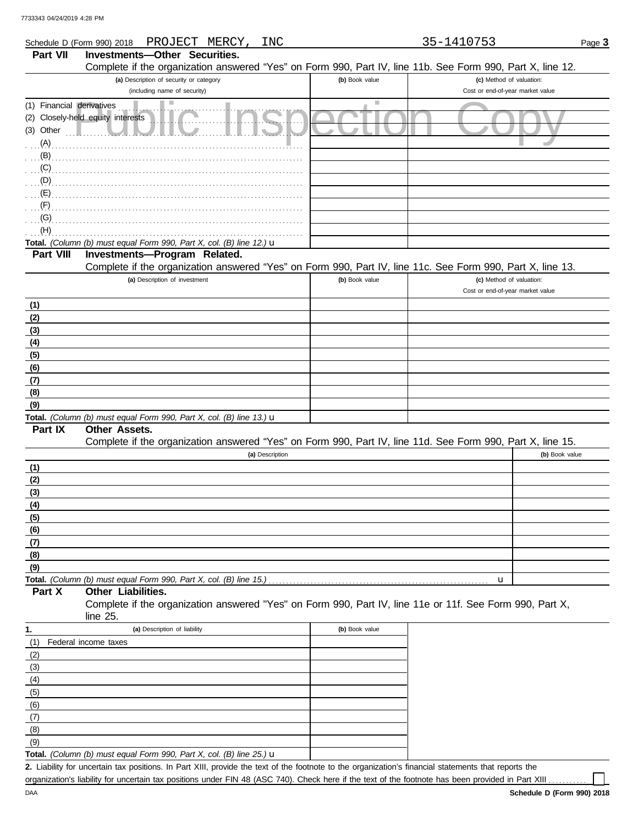|                           | PROJECT MERCY,<br>INC<br>Schedule D (Form 990) 2018                                                        |                | 35-1410753                       | Page 3         |
|---------------------------|------------------------------------------------------------------------------------------------------------|----------------|----------------------------------|----------------|
| Part VII                  | Investments-Other Securities.                                                                              |                |                                  |                |
|                           | Complete if the organization answered "Yes" on Form 990, Part IV, line 11b. See Form 990, Part X, line 12. |                |                                  |                |
|                           | (a) Description of security or category                                                                    | (b) Book value | (c) Method of valuation:         |                |
|                           | (including name of security)                                                                               |                | Cost or end-of-year market value |                |
| (1) Financial derivatives |                                                                                                            | ш              |                                  |                |
|                           | (2) Closely-held equity interests                                                                          |                |                                  |                |
| $(3)$ Other $\Box$        |                                                                                                            |                |                                  |                |
| (A)                       |                                                                                                            |                |                                  |                |
| (B)                       |                                                                                                            |                |                                  |                |
| (C)                       |                                                                                                            |                |                                  |                |
| (D)                       |                                                                                                            |                |                                  |                |
| (E)                       |                                                                                                            |                |                                  |                |
| (F)                       |                                                                                                            |                |                                  |                |
| (G)                       |                                                                                                            |                |                                  |                |
| (H)                       |                                                                                                            |                |                                  |                |
|                           | Total. (Column (b) must equal Form 990, Part X, col. (B) line 12.) u                                       |                |                                  |                |
| Part VIII                 | Investments-Program Related.                                                                               |                |                                  |                |
|                           | Complete if the organization answered "Yes" on Form 990, Part IV, line 11c. See Form 990, Part X, line 13. |                |                                  |                |
|                           | (a) Description of investment                                                                              | (b) Book value | (c) Method of valuation:         |                |
|                           |                                                                                                            |                | Cost or end-of-year market value |                |
| (1)                       |                                                                                                            |                |                                  |                |
| (2)                       |                                                                                                            |                |                                  |                |
| (3)                       |                                                                                                            |                |                                  |                |
| (4)                       |                                                                                                            |                |                                  |                |
| (5)                       |                                                                                                            |                |                                  |                |
| (6)                       |                                                                                                            |                |                                  |                |
| (7)                       |                                                                                                            |                |                                  |                |
| (8)                       |                                                                                                            |                |                                  |                |
| (9)                       |                                                                                                            |                |                                  |                |
|                           | Total. (Column (b) must equal Form 990, Part X, col. (B) line 13.) u                                       |                |                                  |                |
| Part IX                   | Other Assets.                                                                                              |                |                                  |                |
|                           | Complete if the organization answered "Yes" on Form 990, Part IV, line 11d. See Form 990, Part X, line 15. |                |                                  |                |
|                           | (a) Description                                                                                            |                |                                  | (b) Book value |
| (1)                       |                                                                                                            |                |                                  |                |
| (2)                       |                                                                                                            |                |                                  |                |
| (3)                       |                                                                                                            |                |                                  |                |
| (4)                       |                                                                                                            |                |                                  |                |
| (5)                       |                                                                                                            |                |                                  |                |
| (6)                       |                                                                                                            |                |                                  |                |
| (7)                       |                                                                                                            |                |                                  |                |
| (8)                       |                                                                                                            |                |                                  |                |
| (9)                       |                                                                                                            |                |                                  |                |
|                           |                                                                                                            |                | u                                |                |
| Part X                    | Other Liabilities.                                                                                         |                |                                  |                |
|                           | Complete if the organization answered "Yes" on Form 990, Part IV, line 11e or 11f. See Form 990, Part X,   |                |                                  |                |
|                           | line 25.                                                                                                   |                |                                  |                |
| 1.                        | (a) Description of liability                                                                               | (b) Book value |                                  |                |
| (1)                       | Federal income taxes                                                                                       |                |                                  |                |
| (2)                       |                                                                                                            |                |                                  |                |
| (3)                       |                                                                                                            |                |                                  |                |
| (4)                       |                                                                                                            |                |                                  |                |

Liability for uncertain tax positions. In Part XIII, provide the text of the footnote to the organization's financial statements that reports the **2.** organization's liability for uncertain tax positions under FIN 48 (ASC 740). Check here if the text of the footnote has been provided in Part XIII ..

 $(9)$  $(8)$  $(7)$  $(6)$  $(5)$ 

**Total.** *(Column (b) must equal Form 990, Part X, col. (B) line 25.)* u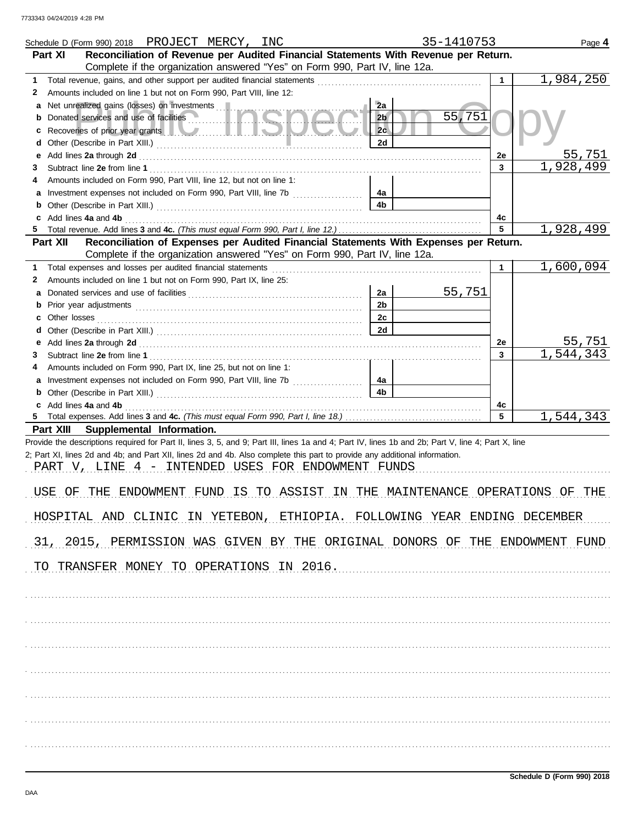|                   | Schedule D (Form 990) 2018 PROJECT MERCY, INC                                                                                                                                                                                                                                                                                          | 35-1410753               |              | Page 4    |
|-------------------|----------------------------------------------------------------------------------------------------------------------------------------------------------------------------------------------------------------------------------------------------------------------------------------------------------------------------------------|--------------------------|--------------|-----------|
| Part XI           | Reconciliation of Revenue per Audited Financial Statements With Revenue per Return.<br>Complete if the organization answered "Yes" on Form 990, Part IV, line 12a.                                                                                                                                                                     |                          |              |           |
| 1.                |                                                                                                                                                                                                                                                                                                                                        |                          | $\mathbf{1}$ | 1,984,250 |
| 2                 | Amounts included on line 1 but not on Form 990, Part VIII, line 12:                                                                                                                                                                                                                                                                    |                          |              |           |
| a                 | Net unrealized gains (losses) on investments                                                                                                                                                                                                                                                                                           | 2a                       |              |           |
| b                 | Donated services and use of facilities                                                                                                                                                                                                                                                                                                 | 55,751<br>2 <sub>b</sub> |              |           |
| c                 | Recoveries of prior year grants <b>All According to the Contract of Prior</b>                                                                                                                                                                                                                                                          | 2 <sub>c</sub>           |              |           |
| d                 |                                                                                                                                                                                                                                                                                                                                        | 2d                       |              |           |
| е                 | Add lines 2a through 2d [11] And The Contract of the Contract of the Contract of the Contract of the Contract of the Contract of the Contract of the Contract of the Contract of the Contract of the Contract of the Contract                                                                                                          |                          | 2e           | 55,751    |
| 3                 |                                                                                                                                                                                                                                                                                                                                        |                          | 3            | 1,928,499 |
| 4                 | Amounts included on Form 990, Part VIII, line 12, but not on line 1:                                                                                                                                                                                                                                                                   |                          |              |           |
| а                 | Investment expenses not included on Form 990, Part VIII, line 7b [                                                                                                                                                                                                                                                                     | 4а                       |              |           |
|                   |                                                                                                                                                                                                                                                                                                                                        | 4 <sub>b</sub>           |              |           |
|                   | c Add lines 4a and 4b                                                                                                                                                                                                                                                                                                                  |                          | 4c           |           |
|                   |                                                                                                                                                                                                                                                                                                                                        |                          | 5            | 1,928,499 |
| Part XII          | Reconciliation of Expenses per Audited Financial Statements With Expenses per Return.                                                                                                                                                                                                                                                  |                          |              |           |
|                   | Complete if the organization answered "Yes" on Form 990, Part IV, line 12a.                                                                                                                                                                                                                                                            |                          |              |           |
| 1.                |                                                                                                                                                                                                                                                                                                                                        |                          | $\mathbf{1}$ | 1,600,094 |
| 2                 | Amounts included on line 1 but not on Form 990, Part IX, line 25:                                                                                                                                                                                                                                                                      |                          |              |           |
| а                 |                                                                                                                                                                                                                                                                                                                                        | 55,751<br>2a             |              |           |
| b                 |                                                                                                                                                                                                                                                                                                                                        | 2 <sub>b</sub>           |              |           |
| Other losses<br>c |                                                                                                                                                                                                                                                                                                                                        | 2c                       |              |           |
| d                 |                                                                                                                                                                                                                                                                                                                                        | 2d                       |              |           |
| е                 |                                                                                                                                                                                                                                                                                                                                        |                          | 2e           | 55,751    |
| 3                 |                                                                                                                                                                                                                                                                                                                                        |                          | 3            | 1,544,343 |
| 4                 | Amounts included on Form 990, Part IX, line 25, but not on line 1:                                                                                                                                                                                                                                                                     |                          |              |           |
| a                 |                                                                                                                                                                                                                                                                                                                                        | 4а                       |              |           |
|                   |                                                                                                                                                                                                                                                                                                                                        | 4 <sub>b</sub>           |              |           |
|                   | c Add lines 4a and 4b                                                                                                                                                                                                                                                                                                                  |                          | 4c<br>5      |           |
| Part XIII         | Supplemental Information.                                                                                                                                                                                                                                                                                                              |                          |              | 1,544,343 |
|                   | Provide the descriptions required for Part II, lines 3, 5, and 9; Part III, lines 1a and 4; Part IV, lines 1b and 2b; Part V, line 4; Part X, line<br>2; Part XI, lines 2d and 4b; and Part XII, lines 2d and 4b. Also complete this part to provide any additional information.<br>PART V, LINE 4 - INTENDED USES FOR ENDOWMENT FUNDS |                          |              |           |
|                   |                                                                                                                                                                                                                                                                                                                                        |                          |              |           |
| USE<br>ΟF         | IS TO ASSIST IN THE MAINTENANCE OPERATIONS<br>THE<br>ENDOWMENT FUND                                                                                                                                                                                                                                                                    |                          |              | ΟF<br>THE |
|                   | HOSPITAL AND CLINIC IN YETEBON, ETHIOPIA. FOLLOWING YEAR ENDING DECEMBER                                                                                                                                                                                                                                                               |                          |              |           |
|                   | 31, 2015, PERMISSION WAS GIVEN BY THE ORIGINAL DONORS OF THE ENDOWMENT FUND                                                                                                                                                                                                                                                            |                          |              |           |
|                   | TO TRANSFER MONEY TO OPERATIONS IN 2016.                                                                                                                                                                                                                                                                                               |                          |              |           |
|                   |                                                                                                                                                                                                                                                                                                                                        |                          |              |           |
|                   |                                                                                                                                                                                                                                                                                                                                        |                          |              |           |
|                   |                                                                                                                                                                                                                                                                                                                                        |                          |              |           |
|                   |                                                                                                                                                                                                                                                                                                                                        |                          |              |           |
|                   |                                                                                                                                                                                                                                                                                                                                        |                          |              |           |
|                   |                                                                                                                                                                                                                                                                                                                                        |                          |              |           |
|                   |                                                                                                                                                                                                                                                                                                                                        |                          |              |           |
|                   |                                                                                                                                                                                                                                                                                                                                        |                          |              |           |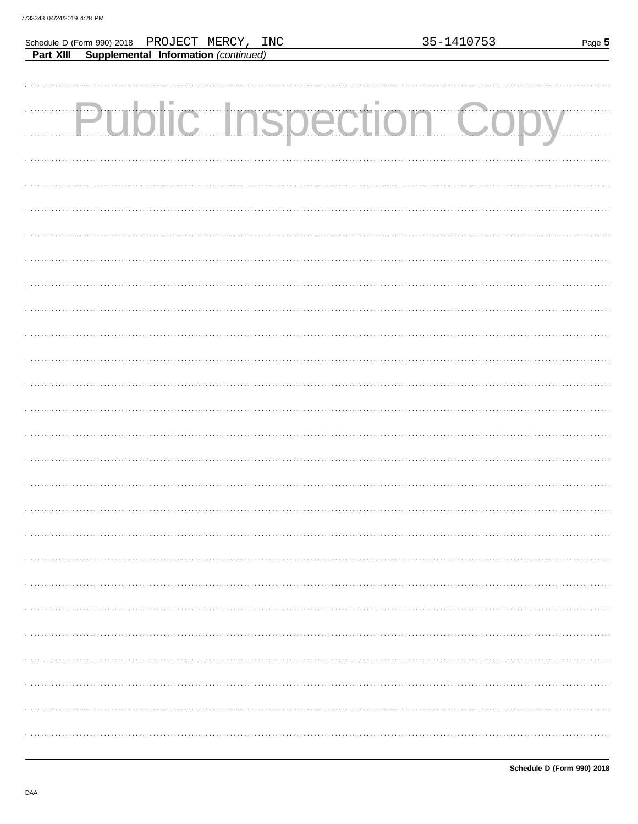|  | Schedule D (Form 990) 2018 PROJECT MERCY, INC  |  | 35-1410753            | Page 5 |
|--|------------------------------------------------|--|-----------------------|--------|
|  | Part XIII Supplemental Information (continued) |  |                       |        |
|  |                                                |  |                       |        |
|  |                                                |  |                       |        |
|  |                                                |  |                       |        |
|  |                                                |  | Public Inspection Cop |        |
|  |                                                |  |                       |        |
|  |                                                |  |                       |        |
|  |                                                |  |                       |        |
|  |                                                |  |                       |        |
|  |                                                |  |                       |        |
|  |                                                |  |                       |        |
|  |                                                |  |                       |        |
|  |                                                |  |                       |        |
|  |                                                |  |                       |        |
|  |                                                |  |                       |        |
|  |                                                |  |                       |        |
|  |                                                |  |                       |        |
|  |                                                |  |                       |        |
|  |                                                |  |                       |        |
|  |                                                |  |                       |        |
|  |                                                |  |                       |        |
|  |                                                |  |                       |        |
|  |                                                |  |                       |        |
|  |                                                |  |                       |        |
|  |                                                |  |                       |        |
|  |                                                |  |                       |        |
|  |                                                |  |                       |        |
|  |                                                |  |                       |        |
|  |                                                |  |                       |        |
|  |                                                |  |                       |        |
|  |                                                |  |                       |        |
|  |                                                |  |                       |        |
|  |                                                |  |                       |        |
|  |                                                |  |                       |        |
|  |                                                |  |                       |        |
|  |                                                |  |                       |        |
|  |                                                |  |                       |        |
|  |                                                |  |                       |        |
|  |                                                |  |                       |        |
|  |                                                |  |                       |        |
|  |                                                |  |                       |        |
|  |                                                |  |                       |        |
|  |                                                |  |                       |        |
|  |                                                |  |                       |        |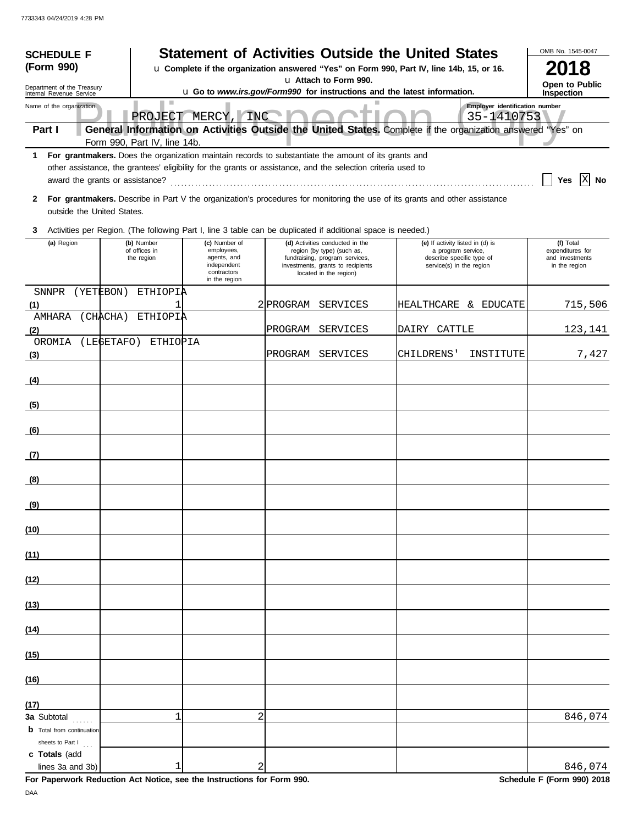| <b>SCHEDULE F</b>                                                                                                                                                                    |                                 |                                                                                                              |           |                                                                                               | <b>Statement of Activities Outside the United States</b>                                                                      |            | OMB No. 1545-0047                |
|--------------------------------------------------------------------------------------------------------------------------------------------------------------------------------------|---------------------------------|--------------------------------------------------------------------------------------------------------------|-----------|-----------------------------------------------------------------------------------------------|-------------------------------------------------------------------------------------------------------------------------------|------------|----------------------------------|
| (Form 990)                                                                                                                                                                           |                                 |                                                                                                              |           |                                                                                               | u Complete if the organization answered "Yes" on Form 990, Part IV, line 14b, 15, or 16.                                      |            | 2018                             |
| Department of the Treasury                                                                                                                                                           |                                 |                                                                                                              |           | u Attach to Form 990.                                                                         |                                                                                                                               |            | Open to Public                   |
| u Go to www.irs.gov/Form990 for instructions and the latest information.<br>Internal Revenue Service<br>$\mathbb{R}^n$<br>Employer identification number<br>Name of the organization |                                 |                                                                                                              |           |                                                                                               |                                                                                                                               |            | Inspection                       |
|                                                                                                                                                                                      |                                 | PROJECT MERCY, INC                                                                                           |           |                                                                                               |                                                                                                                               | 35-1410753 |                                  |
| Part I                                                                                                                                                                               | Form 990, Part IV, line 14b.    |                                                                                                              |           |                                                                                               | General Information on Activities Outside the United States. Complete if the organization answered "Yes" on                   |            |                                  |
|                                                                                                                                                                                      |                                 | 1 For grantmakers. Does the organization maintain records to substantiate the amount of its grants and       |           |                                                                                               |                                                                                                                               |            |                                  |
|                                                                                                                                                                                      |                                 | other assistance, the grantees' eligibility for the grants or assistance, and the selection criteria used to |           |                                                                                               |                                                                                                                               |            |                                  |
|                                                                                                                                                                                      | award the grants or assistance? |                                                                                                              |           |                                                                                               |                                                                                                                               |            | XI No<br>Yes                     |
|                                                                                                                                                                                      |                                 |                                                                                                              |           |                                                                                               | 2 For grantmakers. Describe in Part V the organization's procedures for monitoring the use of its grants and other assistance |            |                                  |
| outside the United States.                                                                                                                                                           |                                 |                                                                                                              |           |                                                                                               |                                                                                                                               |            |                                  |
| 3                                                                                                                                                                                    |                                 | Activities per Region. (The following Part I, line 3 table can be duplicated if additional space is needed.) |           |                                                                                               |                                                                                                                               |            |                                  |
| (a) Region                                                                                                                                                                           | (b) Number<br>of offices in     | (c) Number of<br>employees,                                                                                  |           | (d) Activities conducted in the<br>region (by type) (such as,                                 | (e) If activity listed in (d) is<br>a program service,                                                                        |            | (f) Total<br>expenditures for    |
|                                                                                                                                                                                      | the region                      | agents, and<br>independent<br>contractors                                                                    |           | fundraising, program services,<br>investments, grants to recipients<br>located in the region) | describe specific type of<br>service(s) in the region                                                                         |            | and investments<br>in the region |
|                                                                                                                                                                                      |                                 | in the region                                                                                                |           |                                                                                               |                                                                                                                               |            |                                  |
| <b>SNNPR</b><br>(1)                                                                                                                                                                  | (YETEBON)<br>ETHIOPIA           |                                                                                                              | 2 PROGRAM | <b>SERVICES</b>                                                                               | HEALTHCARE & EDUCATE                                                                                                          |            | 715,506                          |
| AMHARA                                                                                                                                                                               | (CHACHA)<br>ETHIOPIA            |                                                                                                              |           |                                                                                               |                                                                                                                               |            |                                  |
| (2)                                                                                                                                                                                  |                                 |                                                                                                              | PROGRAM   | SERVICES                                                                                      | DAIRY CATTLE                                                                                                                  |            | 123,141                          |
| OROMIA                                                                                                                                                                               | (LEGETAFO) ETHIOPIA             |                                                                                                              | PROGRAM   | <b>SERVICES</b>                                                                               | CHILDRENS'                                                                                                                    | INSTITUTE  | 7,427                            |
| (3)                                                                                                                                                                                  |                                 |                                                                                                              |           |                                                                                               |                                                                                                                               |            |                                  |
| (4)                                                                                                                                                                                  |                                 |                                                                                                              |           |                                                                                               |                                                                                                                               |            |                                  |
| (5)                                                                                                                                                                                  |                                 |                                                                                                              |           |                                                                                               |                                                                                                                               |            |                                  |
|                                                                                                                                                                                      |                                 |                                                                                                              |           |                                                                                               |                                                                                                                               |            |                                  |
| (6)                                                                                                                                                                                  |                                 |                                                                                                              |           |                                                                                               |                                                                                                                               |            |                                  |
| (7)                                                                                                                                                                                  |                                 |                                                                                                              |           |                                                                                               |                                                                                                                               |            |                                  |
|                                                                                                                                                                                      |                                 |                                                                                                              |           |                                                                                               |                                                                                                                               |            |                                  |
| (8)                                                                                                                                                                                  |                                 |                                                                                                              |           |                                                                                               |                                                                                                                               |            |                                  |
| (9)                                                                                                                                                                                  |                                 |                                                                                                              |           |                                                                                               |                                                                                                                               |            |                                  |
| (10)                                                                                                                                                                                 |                                 |                                                                                                              |           |                                                                                               |                                                                                                                               |            |                                  |
| (11)                                                                                                                                                                                 |                                 |                                                                                                              |           |                                                                                               |                                                                                                                               |            |                                  |
| (12)                                                                                                                                                                                 |                                 |                                                                                                              |           |                                                                                               |                                                                                                                               |            |                                  |
| (13)                                                                                                                                                                                 |                                 |                                                                                                              |           |                                                                                               |                                                                                                                               |            |                                  |
| (14)                                                                                                                                                                                 |                                 |                                                                                                              |           |                                                                                               |                                                                                                                               |            |                                  |
| (15)                                                                                                                                                                                 |                                 |                                                                                                              |           |                                                                                               |                                                                                                                               |            |                                  |
| (16)                                                                                                                                                                                 |                                 |                                                                                                              |           |                                                                                               |                                                                                                                               |            |                                  |
|                                                                                                                                                                                      |                                 |                                                                                                              |           |                                                                                               |                                                                                                                               |            |                                  |
| (17)<br>3a Subtotal                                                                                                                                                                  | $\mathbf{1}$                    | $\overline{2}$                                                                                               |           |                                                                                               |                                                                                                                               |            | 846,074                          |
| <b>b</b> Total from continuation                                                                                                                                                     |                                 |                                                                                                              |           |                                                                                               |                                                                                                                               |            |                                  |
| sheets to Part I                                                                                                                                                                     |                                 |                                                                                                              |           |                                                                                               |                                                                                                                               |            |                                  |
| c Totals (add<br>lines 3a and 3b)                                                                                                                                                    | 1                               | 2                                                                                                            |           |                                                                                               |                                                                                                                               |            | 846,074                          |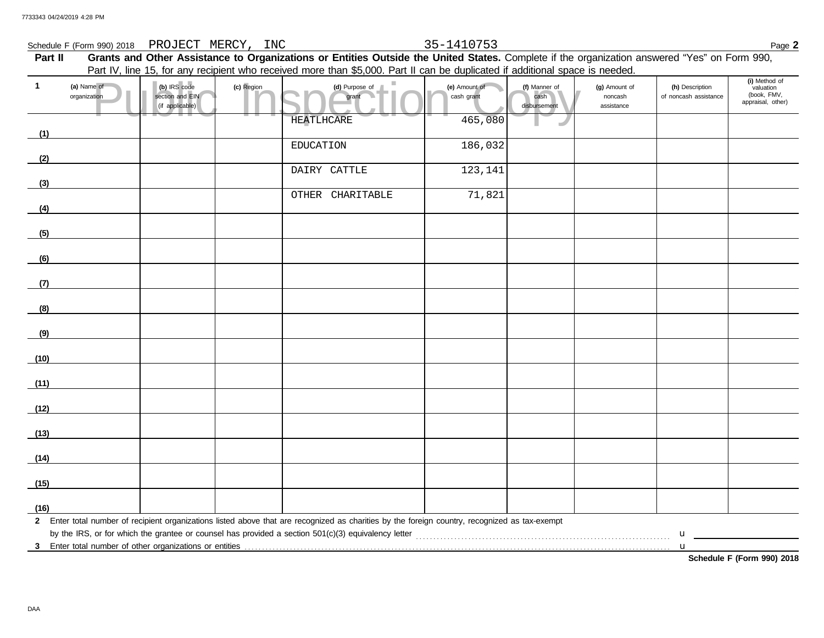## Schedule F (Form 990) 2018 Page **2** PROJECT MERCY, INC 35-1410753

|              |                                                         |                                                    |            | Part IV, line 15, for any recipient who received more than \$5,000. Part II can be duplicated if additional space is needed.                   |                             |                                       |                                        |                                          |                                                                |
|--------------|---------------------------------------------------------|----------------------------------------------------|------------|------------------------------------------------------------------------------------------------------------------------------------------------|-----------------------------|---------------------------------------|----------------------------------------|------------------------------------------|----------------------------------------------------------------|
| $\mathbf{1}$ | (a) Name of<br>organization                             | (b) IRS code<br>section and EIN<br>(if applicable) | (c) Region | (d) Purpose of<br>grant                                                                                                                        | (e) Amount of<br>cash grant | (f) Manner of<br>cash<br>disbursement | (g) Amount of<br>noncash<br>assistance | (h) Description<br>of noncash assistance | (i) Method of<br>valuation<br>(book, FMV,<br>appraisal, other) |
| (1)          |                                                         |                                                    |            | HEATLHCARE                                                                                                                                     | 465,080                     |                                       |                                        |                                          |                                                                |
|              |                                                         |                                                    |            | <b>EDUCATION</b>                                                                                                                               | 186,032                     |                                       |                                        |                                          |                                                                |
| (2)          |                                                         |                                                    |            | DAIRY CATTLE                                                                                                                                   | 123,141                     |                                       |                                        |                                          |                                                                |
| (3)          |                                                         |                                                    |            |                                                                                                                                                |                             |                                       |                                        |                                          |                                                                |
| (4)          |                                                         |                                                    |            | OTHER CHARITABLE                                                                                                                               | 71,821                      |                                       |                                        |                                          |                                                                |
| (5)          |                                                         |                                                    |            |                                                                                                                                                |                             |                                       |                                        |                                          |                                                                |
| (6)          |                                                         |                                                    |            |                                                                                                                                                |                             |                                       |                                        |                                          |                                                                |
| (7)          |                                                         |                                                    |            |                                                                                                                                                |                             |                                       |                                        |                                          |                                                                |
| (8)          |                                                         |                                                    |            |                                                                                                                                                |                             |                                       |                                        |                                          |                                                                |
| (9)          |                                                         |                                                    |            |                                                                                                                                                |                             |                                       |                                        |                                          |                                                                |
| (10)         |                                                         |                                                    |            |                                                                                                                                                |                             |                                       |                                        |                                          |                                                                |
| (11)         |                                                         |                                                    |            |                                                                                                                                                |                             |                                       |                                        |                                          |                                                                |
| (12)         |                                                         |                                                    |            |                                                                                                                                                |                             |                                       |                                        |                                          |                                                                |
| (13)         |                                                         |                                                    |            |                                                                                                                                                |                             |                                       |                                        |                                          |                                                                |
| (14)         |                                                         |                                                    |            |                                                                                                                                                |                             |                                       |                                        |                                          |                                                                |
| (15)         |                                                         |                                                    |            |                                                                                                                                                |                             |                                       |                                        |                                          |                                                                |
| (16)         |                                                         |                                                    |            |                                                                                                                                                |                             |                                       |                                        |                                          |                                                                |
|              |                                                         |                                                    |            | 2 Enter total number of recipient organizations listed above that are recognized as charities by the foreign country, recognized as tax-exempt |                             |                                       |                                        |                                          |                                                                |
|              | 3 Enter total number of other organizations or entities |                                                    |            |                                                                                                                                                |                             |                                       |                                        | u                                        |                                                                |

**Part II Grants and Other Assistance to Organizations or Entities Outside the United States.** Complete if the organization answered "Yes" on Form 990,

DAA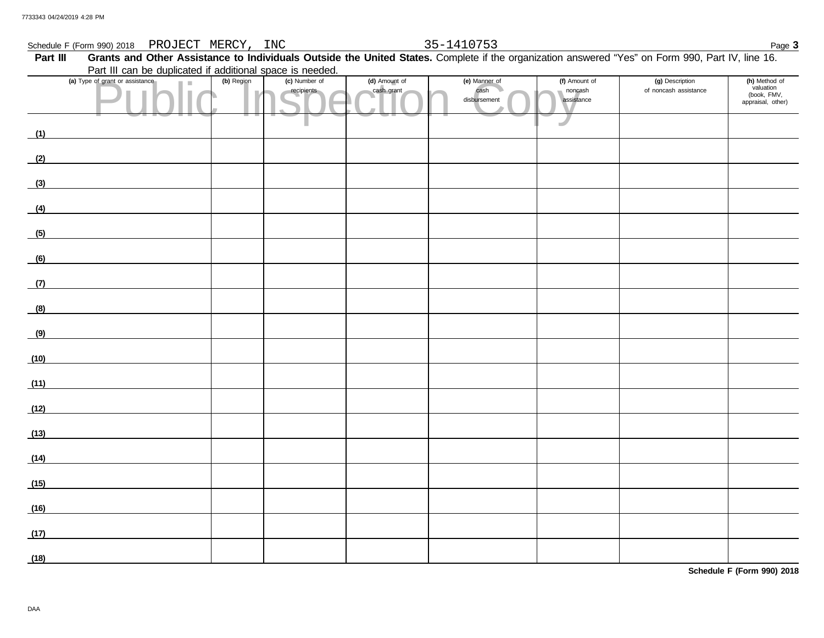## Schedule F (Form 990) 2018 Page **3** PROJECT MERCY, INC 35-1410753

## of grant or assistance (b) Region (c) Number of (d) Amount of (e) Manner of (c) Namount of (c) Number of (d) Amount of (c) Namount of (c) Namount of (c) Namount of (c) Namount of (c) Namount of (c) Namount of (c) Namount o Part III Grants and Other Assistance to Individuals Outside the United States. Complete if the organization answered "Yes" on Form 990, Part IV, line 16. disbursement cash grant cash **(a)** Type of grant or assistance **(b)** Region **(c)** Number of **(d)** Amount of **(e)** Manner of **(f)** Amount of noncash assistance of noncash assistance **(g)** Description **(h)** Method of valuation (book, FMV, appraisal, other) Part III can be duplicated if additional space is needed. **(1) (2) (3) (4) (5) (6) (7) (8) (9) (10) (11) (12) (13) (14) (15) (16) (17) (18)**

DAA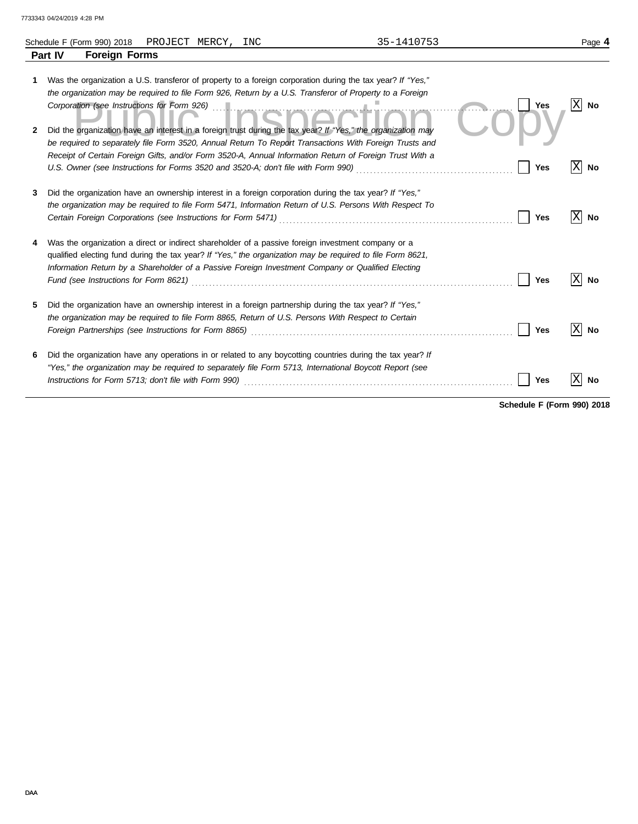|         | Schedule F (Form 990) 2018<br>PROJECT MERCY,<br>INC                                                                                                                                                                                                                                                                                                                                  | 35-1410753 | Page 4           |
|---------|--------------------------------------------------------------------------------------------------------------------------------------------------------------------------------------------------------------------------------------------------------------------------------------------------------------------------------------------------------------------------------------|------------|------------------|
|         | <b>Foreign Forms</b><br><b>Part IV</b>                                                                                                                                                                                                                                                                                                                                               |            |                  |
| 1.<br>2 | Was the organization a U.S. transferor of property to a foreign corporation during the tax year? If "Yes,"<br>the organization may be required to file Form 926, Return by a U.S. Transferor of Property to a Foreign<br>Corporation (see Instructions for Form 926)<br>Did the organization have an interest in a foreign trust during the tax year? If "Yes," the organization may |            | $ X $ No<br>Yes  |
|         | be required to separately file Form 3520, Annual Return To Report Transactions With Foreign Trusts and<br>Receipt of Certain Foreign Gifts, and/or Form 3520-A, Annual Information Return of Foreign Trust With a                                                                                                                                                                    |            | X<br>Yes<br>No   |
| 3       | Did the organization have an ownership interest in a foreign corporation during the tax year? If "Yes,"<br>the organization may be required to file Form 5471, Information Return of U.S. Persons With Respect To                                                                                                                                                                    |            | Χ<br>Yes<br>No   |
|         | Was the organization a direct or indirect shareholder of a passive foreign investment company or a<br>qualified electing fund during the tax year? If "Yes," the organization may be required to file Form 8621,<br>Information Return by a Shareholder of a Passive Foreign Investment Company or Qualified Electing                                                                |            | X<br>Yes<br>No   |
| 5       | Did the organization have an ownership interest in a foreign partnership during the tax year? If "Yes,"<br>the organization may be required to file Form 8865, Return of U.S. Persons With Respect to Certain                                                                                                                                                                        |            | Yes<br><b>No</b> |
| 6       | Did the organization have any operations in or related to any boycotting countries during the tax year? If<br>"Yes," the organization may be required to separately file Form 5713, International Boycott Report (see                                                                                                                                                                |            | Yes<br>No        |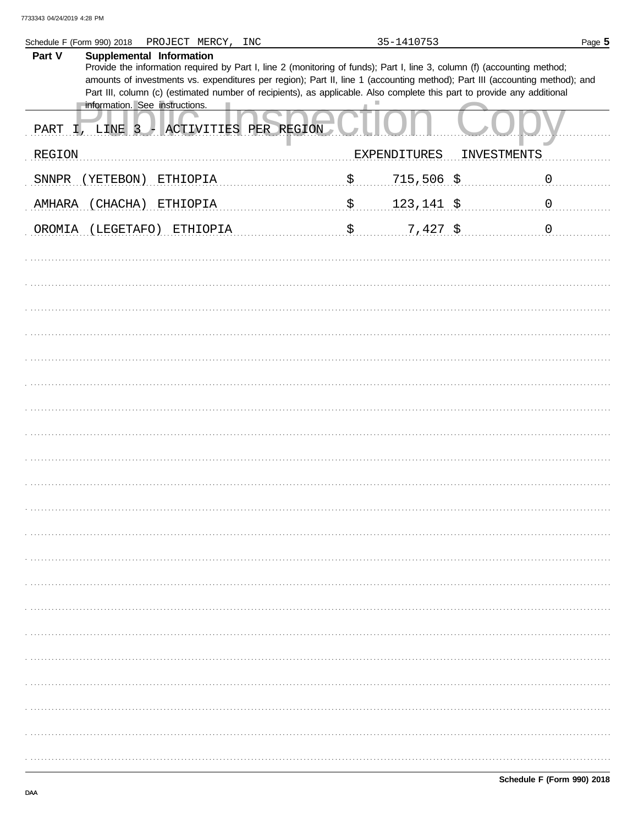|        | Schedule F (Form 990) 2018<br>PROJECT MERCY, INC                                                                                                                                                                                                        | 35-1410753          | Page 5         |
|--------|---------------------------------------------------------------------------------------------------------------------------------------------------------------------------------------------------------------------------------------------------------|---------------------|----------------|
| Part V | Supplemental Information                                                                                                                                                                                                                                |                     |                |
|        | Provide the information required by Part I, line 2 (monitoring of funds); Part I, line 3, column (f) (accounting method;<br>amounts of investments vs. expenditures per region); Part II, line 1 (accounting method); Part III (accounting method); and |                     |                |
|        | Part III, column (c) (estimated number of recipients), as applicable. Also complete this part to provide any additional                                                                                                                                 |                     |                |
|        | information. See instructions.                                                                                                                                                                                                                          |                     |                |
| PART   | ACTIVITIES PER REGION<br>LINE 3                                                                                                                                                                                                                         |                     |                |
| REGION |                                                                                                                                                                                                                                                         | <b>EXPENDITURES</b> | INVESTMENTS    |
|        |                                                                                                                                                                                                                                                         |                     |                |
| SNNPR  | YETEBON)<br>ETHIOPIA                                                                                                                                                                                                                                    | \$<br>$715,506$ \$  | $\overline{0}$ |
| AMHARA | CHACHA)<br>ETHIOPIA                                                                                                                                                                                                                                     | \$<br>123, 141, 5   | $\mathbf 0$    |
|        |                                                                                                                                                                                                                                                         |                     |                |
| OROMIA | (LEGETAFO) ETHIOPIA                                                                                                                                                                                                                                     | \$<br>$7,427$ \$    | $\mathbf 0$    |
|        |                                                                                                                                                                                                                                                         |                     |                |
|        |                                                                                                                                                                                                                                                         |                     |                |
|        |                                                                                                                                                                                                                                                         |                     |                |
|        |                                                                                                                                                                                                                                                         |                     |                |
|        |                                                                                                                                                                                                                                                         |                     |                |
|        |                                                                                                                                                                                                                                                         |                     |                |
|        |                                                                                                                                                                                                                                                         |                     |                |
|        |                                                                                                                                                                                                                                                         |                     |                |
|        |                                                                                                                                                                                                                                                         |                     |                |
|        |                                                                                                                                                                                                                                                         |                     |                |
|        |                                                                                                                                                                                                                                                         |                     |                |
|        |                                                                                                                                                                                                                                                         |                     |                |
|        |                                                                                                                                                                                                                                                         |                     |                |
|        |                                                                                                                                                                                                                                                         |                     |                |
|        |                                                                                                                                                                                                                                                         |                     |                |
|        |                                                                                                                                                                                                                                                         |                     |                |
|        |                                                                                                                                                                                                                                                         |                     |                |
|        |                                                                                                                                                                                                                                                         |                     |                |
|        |                                                                                                                                                                                                                                                         |                     |                |
|        |                                                                                                                                                                                                                                                         |                     |                |
|        |                                                                                                                                                                                                                                                         |                     |                |
|        |                                                                                                                                                                                                                                                         |                     |                |
|        |                                                                                                                                                                                                                                                         |                     |                |
|        |                                                                                                                                                                                                                                                         |                     |                |
|        |                                                                                                                                                                                                                                                         |                     |                |
|        |                                                                                                                                                                                                                                                         |                     |                |
|        |                                                                                                                                                                                                                                                         |                     |                |
|        |                                                                                                                                                                                                                                                         |                     |                |
|        |                                                                                                                                                                                                                                                         |                     |                |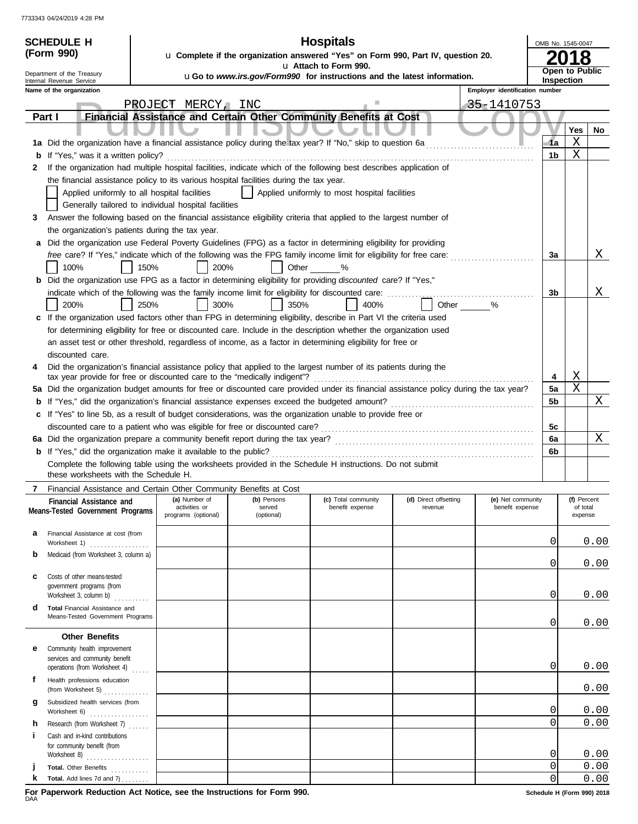| <b>Hospitals</b><br><b>SCHEDULE H</b><br>OMB No. 1545-0047<br>(Form 990)<br>u Complete if the organization answered "Yes" on Form 990, Part IV, question 20. |                                                                                                                                     |                                                                                                                                        |                                               |                                                                         |                                |                   |                     |              |  |  |
|--------------------------------------------------------------------------------------------------------------------------------------------------------------|-------------------------------------------------------------------------------------------------------------------------------------|----------------------------------------------------------------------------------------------------------------------------------------|-----------------------------------------------|-------------------------------------------------------------------------|--------------------------------|-------------------|---------------------|--------------|--|--|
|                                                                                                                                                              |                                                                                                                                     |                                                                                                                                        | u Attach to Form 990.                         |                                                                         |                                |                   | 8                   |              |  |  |
| Department of the Treasury<br>Internal Revenue Service                                                                                                       |                                                                                                                                     |                                                                                                                                        |                                               | uGo to www.irs.gov/Form990 for instructions and the latest information. |                                | <b>Inspection</b> | Open to Public      |              |  |  |
| Name of the organization                                                                                                                                     |                                                                                                                                     |                                                                                                                                        |                                               |                                                                         | Employer identification number |                   |                     |              |  |  |
|                                                                                                                                                              | PROJECT MERCY, INC                                                                                                                  |                                                                                                                                        |                                               |                                                                         | 35-1410753                     |                   |                     |              |  |  |
| Part I                                                                                                                                                       | Financial Assistance and Certain Other Community Benefits at Cost                                                                   |                                                                                                                                        |                                               |                                                                         |                                |                   |                     |              |  |  |
|                                                                                                                                                              |                                                                                                                                     |                                                                                                                                        |                                               |                                                                         |                                |                   | Yes                 | No           |  |  |
| 1a Did the organization have a financial assistance policy during the tax year? If "No," skip to question 6a                                                 |                                                                                                                                     |                                                                                                                                        |                                               |                                                                         |                                | -1a               | Х                   |              |  |  |
| If "Yes," was it a written policy?<br>b                                                                                                                      |                                                                                                                                     |                                                                                                                                        |                                               |                                                                         |                                | 1b                | X                   |              |  |  |
| 2                                                                                                                                                            | If the organization had multiple hospital facilities, indicate which of the following best describes application of                 |                                                                                                                                        |                                               |                                                                         |                                |                   |                     |              |  |  |
|                                                                                                                                                              | the financial assistance policy to its various hospital facilities during the tax year.                                             |                                                                                                                                        |                                               |                                                                         |                                |                   |                     |              |  |  |
|                                                                                                                                                              | Applied uniformly to all hospital facilities                                                                                        |                                                                                                                                        | Applied uniformly to most hospital facilities |                                                                         |                                |                   |                     |              |  |  |
|                                                                                                                                                              | Generally tailored to individual hospital facilities                                                                                |                                                                                                                                        |                                               |                                                                         |                                |                   |                     |              |  |  |
| 3                                                                                                                                                            | Answer the following based on the financial assistance eligibility criteria that applied to the largest number of                   |                                                                                                                                        |                                               |                                                                         |                                |                   |                     |              |  |  |
|                                                                                                                                                              | the organization's patients during the tax year.                                                                                    |                                                                                                                                        |                                               |                                                                         |                                |                   |                     |              |  |  |
|                                                                                                                                                              | a Did the organization use Federal Poverty Guidelines (FPG) as a factor in determining eligibility for providing                    |                                                                                                                                        |                                               |                                                                         |                                |                   |                     | Χ            |  |  |
| 100%                                                                                                                                                         | free care? If "Yes," indicate which of the following was the FPG family income limit for eligibility for free care:<br>150%<br>200% | Other                                                                                                                                  | $\%$                                          |                                                                         |                                | 3a                |                     |              |  |  |
|                                                                                                                                                              | <b>b</b> Did the organization use FPG as a factor in determining eligibility for providing discounted care? If "Yes,"               |                                                                                                                                        |                                               |                                                                         |                                |                   |                     |              |  |  |
|                                                                                                                                                              | indicate which of the following was the family income limit for eligibility for discounted care:                                    |                                                                                                                                        |                                               |                                                                         |                                | 3b                |                     | Χ            |  |  |
| 200%                                                                                                                                                         | 250%<br>300%                                                                                                                        | 350%                                                                                                                                   | 400%                                          | Other                                                                   | %                              |                   |                     |              |  |  |
|                                                                                                                                                              | c If the organization used factors other than FPG in determining eligibility, describe in Part VI the criteria used                 |                                                                                                                                        |                                               |                                                                         |                                |                   |                     |              |  |  |
|                                                                                                                                                              | for determining eligibility for free or discounted care. Include in the description whether the organization used                   |                                                                                                                                        |                                               |                                                                         |                                |                   |                     |              |  |  |
|                                                                                                                                                              | an asset test or other threshold, regardless of income, as a factor in determining eligibility for free or                          |                                                                                                                                        |                                               |                                                                         |                                |                   |                     |              |  |  |
| discounted care.                                                                                                                                             |                                                                                                                                     |                                                                                                                                        |                                               |                                                                         |                                |                   |                     |              |  |  |
| 4                                                                                                                                                            | Did the organization's financial assistance policy that applied to the largest number of its patients during the                    |                                                                                                                                        |                                               |                                                                         |                                |                   | Χ                   |              |  |  |
|                                                                                                                                                              |                                                                                                                                     | tax year provide for free or discounted care to the "medically indigent"?                                                              |                                               |                                                                         |                                |                   |                     |              |  |  |
|                                                                                                                                                              |                                                                                                                                     | 5a Did the organization budget amounts for free or discounted care provided under its financial assistance policy during the tax year? |                                               |                                                                         |                                |                   |                     |              |  |  |
| b                                                                                                                                                            |                                                                                                                                     |                                                                                                                                        |                                               |                                                                         |                                | 5b                |                     | Χ            |  |  |
|                                                                                                                                                              | c If "Yes" to line 5b, as a result of budget considerations, was the organization unable to provide free or                         |                                                                                                                                        |                                               |                                                                         |                                |                   |                     |              |  |  |
|                                                                                                                                                              |                                                                                                                                     |                                                                                                                                        |                                               |                                                                         |                                | 5c                |                     |              |  |  |
|                                                                                                                                                              |                                                                                                                                     |                                                                                                                                        |                                               |                                                                         |                                | 6a                |                     | Χ            |  |  |
|                                                                                                                                                              |                                                                                                                                     |                                                                                                                                        |                                               |                                                                         |                                | 6b                |                     |              |  |  |
| these worksheets with the Schedule H.                                                                                                                        | Complete the following table using the worksheets provided in the Schedule H instructions. Do not submit                            |                                                                                                                                        |                                               |                                                                         |                                |                   |                     |              |  |  |
|                                                                                                                                                              | Financial Assistance and Certain Other Community Benefits at Cost                                                                   |                                                                                                                                        |                                               |                                                                         |                                |                   |                     |              |  |  |
| Financial Assistance and                                                                                                                                     | (a) Number of                                                                                                                       | (b) Persons                                                                                                                            | (c) Total community                           | (d) Direct offsetting                                                   | (e) Net community              |                   | (f) Percent         |              |  |  |
| Means-Tested Government Programs                                                                                                                             | activities or<br>programs (optional)                                                                                                | served<br>(optional)                                                                                                                   | benefit expense                               | revenue                                                                 | benefit expense                |                   | of total<br>expense |              |  |  |
|                                                                                                                                                              |                                                                                                                                     |                                                                                                                                        |                                               |                                                                         |                                |                   |                     |              |  |  |
| Financial Assistance at cost (from<br>а                                                                                                                      |                                                                                                                                     |                                                                                                                                        |                                               |                                                                         |                                | 0                 |                     | 0.00         |  |  |
| Worksheet 1)<br>.<br>Medicaid (from Worksheet 3, column a)<br>b                                                                                              |                                                                                                                                     |                                                                                                                                        |                                               |                                                                         |                                |                   |                     |              |  |  |
|                                                                                                                                                              |                                                                                                                                     |                                                                                                                                        |                                               |                                                                         |                                | 0                 |                     | 0.00         |  |  |
| Costs of other means-tested<br>c                                                                                                                             |                                                                                                                                     |                                                                                                                                        |                                               |                                                                         |                                |                   |                     |              |  |  |
| government programs (from                                                                                                                                    |                                                                                                                                     |                                                                                                                                        |                                               |                                                                         |                                | $\mathbf 0$       |                     | 0.00         |  |  |
| Worksheet 3, column b)<br>Total Financial Assistance and<br>d                                                                                                |                                                                                                                                     |                                                                                                                                        |                                               |                                                                         |                                |                   |                     |              |  |  |
| Means-Tested Government Programs                                                                                                                             |                                                                                                                                     |                                                                                                                                        |                                               |                                                                         |                                |                   |                     |              |  |  |
|                                                                                                                                                              |                                                                                                                                     |                                                                                                                                        |                                               |                                                                         |                                | 0                 |                     | 0.00         |  |  |
| <b>Other Benefits</b>                                                                                                                                        |                                                                                                                                     |                                                                                                                                        |                                               |                                                                         |                                |                   |                     |              |  |  |
| Community health improvement<br>е<br>services and community benefit                                                                                          |                                                                                                                                     |                                                                                                                                        |                                               |                                                                         |                                |                   |                     |              |  |  |
| operations (from Worksheet 4)                                                                                                                                |                                                                                                                                     |                                                                                                                                        |                                               |                                                                         |                                | 0                 |                     | 0.00         |  |  |
| f<br>Health professions education                                                                                                                            |                                                                                                                                     |                                                                                                                                        |                                               |                                                                         |                                |                   |                     |              |  |  |
| (from Worksheet 5) $\ldots$                                                                                                                                  |                                                                                                                                     |                                                                                                                                        |                                               |                                                                         |                                |                   |                     | 0.00         |  |  |
| Subsidized health services (from<br>g<br>Worksheet 6)                                                                                                        |                                                                                                                                     |                                                                                                                                        |                                               |                                                                         |                                | 0                 | 0.00                |              |  |  |
| Research (from Worksheet 7)<br>h                                                                                                                             |                                                                                                                                     |                                                                                                                                        |                                               |                                                                         |                                | $\Omega$          |                     | 0.00         |  |  |
| i.<br>Cash and in-kind contributions                                                                                                                         |                                                                                                                                     |                                                                                                                                        |                                               |                                                                         |                                |                   |                     |              |  |  |
| for community benefit (from                                                                                                                                  |                                                                                                                                     |                                                                                                                                        |                                               |                                                                         |                                |                   |                     |              |  |  |
|                                                                                                                                                              |                                                                                                                                     |                                                                                                                                        |                                               |                                                                         |                                | 0<br>$\mathbf 0$  |                     | 0.00<br>0.00 |  |  |
| Total. Other Benefits<br>k<br><b>Total.</b> Add lines 7d and $7j$                                                                                            |                                                                                                                                     |                                                                                                                                        |                                               |                                                                         |                                | 0                 |                     | 0.00         |  |  |
|                                                                                                                                                              |                                                                                                                                     |                                                                                                                                        |                                               |                                                                         |                                |                   |                     |              |  |  |

F<mark>or Paperwork Reduction Act Notice, see the Instructions for Form 990.</mark> **Schedule H** (Form 990) 2018<br>DAA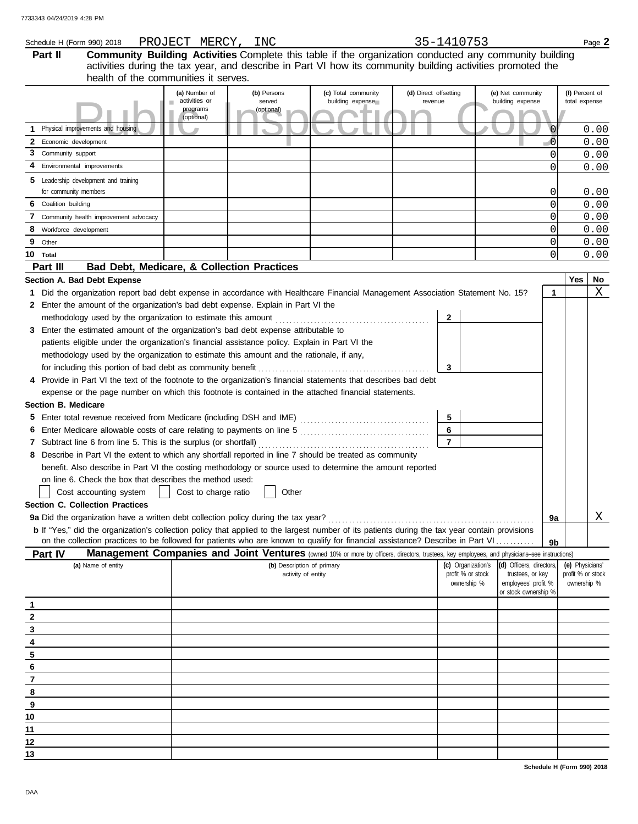|                                             | Schedule H (Form 990) 2018                                                                                                                                                     | PROJECT MERCY, INC             |                       |                                                                                                                                                     |                                  | 35-1410753                              |                                              |                |                                      | Page 2 |  |  |
|---------------------------------------------|--------------------------------------------------------------------------------------------------------------------------------------------------------------------------------|--------------------------------|-----------------------|-----------------------------------------------------------------------------------------------------------------------------------------------------|----------------------------------|-----------------------------------------|----------------------------------------------|----------------|--------------------------------------|--------|--|--|
| Part II                                     |                                                                                                                                                                                |                                |                       | Community Building Activities Complete this table if the organization conducted any community building                                              |                                  |                                         |                                              |                |                                      |        |  |  |
|                                             |                                                                                                                                                                                |                                |                       | activities during the tax year, and describe in Part VI how its community building activities promoted the                                          |                                  |                                         |                                              |                |                                      |        |  |  |
|                                             | health of the communities it serves.                                                                                                                                           |                                |                       |                                                                                                                                                     |                                  |                                         |                                              |                |                                      |        |  |  |
|                                             |                                                                                                                                                                                | (a) Number of<br>activities or | (b) Persons<br>served | (c) Total community<br>building expense                                                                                                             | (d) Direct offsetting<br>revenue |                                         | (e) Net community<br>building expense        |                | (f) Percent of<br>total expense      |        |  |  |
|                                             |                                                                                                                                                                                | programs                       | (optional)            |                                                                                                                                                     |                                  |                                         |                                              |                |                                      |        |  |  |
|                                             |                                                                                                                                                                                | (optional)                     |                       |                                                                                                                                                     |                                  |                                         |                                              |                |                                      |        |  |  |
|                                             | Physical improvements and housing                                                                                                                                              |                                |                       |                                                                                                                                                     |                                  |                                         |                                              | $\overline{0}$ |                                      | 0.00   |  |  |
| Economic development<br>3 Community support |                                                                                                                                                                                |                                |                       |                                                                                                                                                     |                                  |                                         |                                              | $\overline{0}$ |                                      | 0.00   |  |  |
|                                             | Environmental improvements                                                                                                                                                     |                                |                       |                                                                                                                                                     |                                  |                                         |                                              | 0              |                                      | 0.00   |  |  |
|                                             |                                                                                                                                                                                |                                |                       |                                                                                                                                                     |                                  |                                         |                                              | 0              |                                      | 0.00   |  |  |
| for community members                       | 5 Leadership development and training                                                                                                                                          |                                |                       |                                                                                                                                                     |                                  |                                         |                                              | 0              |                                      | 0.00   |  |  |
| 6 Coalition building                        |                                                                                                                                                                                |                                |                       |                                                                                                                                                     |                                  |                                         |                                              | 0              |                                      | 0.00   |  |  |
|                                             | 7 Community health improvement advocacy                                                                                                                                        |                                |                       |                                                                                                                                                     |                                  |                                         |                                              | 0              |                                      | 0.00   |  |  |
| 8 Workforce development                     |                                                                                                                                                                                |                                |                       |                                                                                                                                                     |                                  |                                         |                                              | 0              |                                      | 0.00   |  |  |
| 9<br>Other                                  |                                                                                                                                                                                |                                |                       |                                                                                                                                                     |                                  |                                         |                                              | 0              |                                      | 0.00   |  |  |
| 10 Total                                    |                                                                                                                                                                                |                                |                       |                                                                                                                                                     |                                  |                                         |                                              | 0              |                                      | 0.00   |  |  |
| Part III                                    | Bad Debt, Medicare, & Collection Practices                                                                                                                                     |                                |                       |                                                                                                                                                     |                                  |                                         |                                              |                |                                      |        |  |  |
|                                             | Section A. Bad Debt Expense                                                                                                                                                    |                                |                       |                                                                                                                                                     |                                  |                                         |                                              |                | Yes                                  | No     |  |  |
|                                             | 1 Did the organization report bad debt expense in accordance with Healthcare Financial Management Association Statement No. 15?                                                |                                |                       |                                                                                                                                                     |                                  |                                         |                                              | $\mathbf{1}$   |                                      | Χ      |  |  |
|                                             | 2 Enter the amount of the organization's bad debt expense. Explain in Part VI the                                                                                              |                                |                       |                                                                                                                                                     |                                  |                                         |                                              |                |                                      |        |  |  |
|                                             | methodology used by the organization to estimate this amount                                                                                                                   |                                |                       |                                                                                                                                                     |                                  | $\mathbf{2}$                            |                                              |                |                                      |        |  |  |
|                                             | 3 Enter the estimated amount of the organization's bad debt expense attributable to                                                                                            |                                |                       |                                                                                                                                                     |                                  |                                         |                                              |                |                                      |        |  |  |
|                                             | patients eligible under the organization's financial assistance policy. Explain in Part VI the                                                                                 |                                |                       |                                                                                                                                                     |                                  |                                         |                                              |                |                                      |        |  |  |
|                                             | methodology used by the organization to estimate this amount and the rationale, if any,                                                                                        |                                |                       |                                                                                                                                                     |                                  |                                         |                                              |                |                                      |        |  |  |
|                                             |                                                                                                                                                                                |                                |                       |                                                                                                                                                     |                                  | 3                                       |                                              |                |                                      |        |  |  |
|                                             | 4 Provide in Part VI the text of the footnote to the organization's financial statements that describes bad debt                                                               |                                |                       |                                                                                                                                                     |                                  |                                         |                                              |                |                                      |        |  |  |
|                                             | expense or the page number on which this footnote is contained in the attached financial statements.                                                                           |                                |                       |                                                                                                                                                     |                                  |                                         |                                              |                |                                      |        |  |  |
| <b>Section B. Medicare</b>                  |                                                                                                                                                                                |                                |                       |                                                                                                                                                     |                                  |                                         |                                              |                |                                      |        |  |  |
|                                             |                                                                                                                                                                                |                                |                       |                                                                                                                                                     |                                  | 5                                       |                                              |                |                                      |        |  |  |
|                                             | Enter Medicare allowable costs of care relating to payments on line 5 [11] [11] [11] [11] [11] [11] Enter Medicare allowable costs of care relating to payments on line 5      |                                |                       |                                                                                                                                                     |                                  | 6<br>$\overline{7}$                     |                                              |                |                                      |        |  |  |
|                                             | 7 Subtract line 6 from line 5. This is the surplus (or shortfall)<br>8 Describe in Part VI the extent to which any shortfall reported in line 7 should be treated as community |                                |                       |                                                                                                                                                     |                                  |                                         |                                              |                |                                      |        |  |  |
|                                             | benefit. Also describe in Part VI the costing methodology or source used to determine the amount reported                                                                      |                                |                       |                                                                                                                                                     |                                  |                                         |                                              |                |                                      |        |  |  |
|                                             | on line 6. Check the box that describes the method used:                                                                                                                       |                                |                       |                                                                                                                                                     |                                  |                                         |                                              |                |                                      |        |  |  |
|                                             | Cost accounting system                                                                                                                                                         | Cost to charge ratio           | Other                 |                                                                                                                                                     |                                  |                                         |                                              |                |                                      |        |  |  |
|                                             | <b>Section C. Collection Practices</b>                                                                                                                                         |                                |                       |                                                                                                                                                     |                                  |                                         |                                              |                |                                      |        |  |  |
|                                             | 9a Did the organization have a written debt collection policy during the tax year?                                                                                             |                                |                       |                                                                                                                                                     |                                  |                                         |                                              | 9a             |                                      | Χ      |  |  |
|                                             | b If "Yes," did the organization's collection policy that applied to the largest number of its patients during the tax year contain provisions                                 |                                |                       |                                                                                                                                                     |                                  |                                         |                                              |                |                                      |        |  |  |
|                                             | on the collection practices to be followed for patients who are known to qualify for financial assistance? Describe in Part VI                                                 |                                |                       |                                                                                                                                                     |                                  |                                         |                                              | 9 <sub>b</sub> |                                      |        |  |  |
| Part IV                                     |                                                                                                                                                                                |                                |                       | <b>Management Companies and Joint Ventures</b> (owned 10% or more by officers, directors, trustees, key employees, and physicians-see instructions) |                                  |                                         |                                              |                |                                      |        |  |  |
|                                             | (a) Name of entity                                                                                                                                                             |                                | activity of entity    | (b) Description of primary                                                                                                                          |                                  | (c) Organization's<br>profit % or stock | (d) Officers, directors,<br>trustees, or key |                | (e) Physicians'<br>profit % or stock |        |  |  |
|                                             |                                                                                                                                                                                |                                |                       |                                                                                                                                                     |                                  | ownership %                             | employees' profit %                          |                | ownership %                          |        |  |  |
|                                             |                                                                                                                                                                                |                                |                       |                                                                                                                                                     |                                  |                                         | or stock ownership %                         |                |                                      |        |  |  |
| 1                                           |                                                                                                                                                                                |                                |                       |                                                                                                                                                     |                                  |                                         |                                              |                |                                      |        |  |  |
| $\mathbf{2}$                                |                                                                                                                                                                                |                                |                       |                                                                                                                                                     |                                  |                                         |                                              |                |                                      |        |  |  |
| $\overline{\mathbf{3}}$                     |                                                                                                                                                                                |                                |                       |                                                                                                                                                     |                                  |                                         |                                              |                |                                      |        |  |  |
| 4                                           |                                                                                                                                                                                |                                |                       |                                                                                                                                                     |                                  |                                         |                                              |                |                                      |        |  |  |
| $\frac{5}{2}$                               |                                                                                                                                                                                |                                |                       |                                                                                                                                                     |                                  |                                         |                                              |                |                                      |        |  |  |
| 6<br>$\overline{7}$                         |                                                                                                                                                                                |                                |                       |                                                                                                                                                     |                                  |                                         |                                              |                |                                      |        |  |  |
| 8                                           |                                                                                                                                                                                |                                |                       |                                                                                                                                                     |                                  |                                         |                                              |                |                                      |        |  |  |
| 9                                           |                                                                                                                                                                                |                                |                       |                                                                                                                                                     |                                  |                                         |                                              |                |                                      |        |  |  |
| 10                                          |                                                                                                                                                                                |                                |                       |                                                                                                                                                     |                                  |                                         |                                              |                |                                      |        |  |  |
| 11                                          |                                                                                                                                                                                |                                |                       |                                                                                                                                                     |                                  |                                         |                                              |                |                                      |        |  |  |
| 12                                          |                                                                                                                                                                                |                                |                       |                                                                                                                                                     |                                  |                                         |                                              |                |                                      |        |  |  |
| 13                                          |                                                                                                                                                                                |                                |                       |                                                                                                                                                     |                                  |                                         |                                              |                |                                      |        |  |  |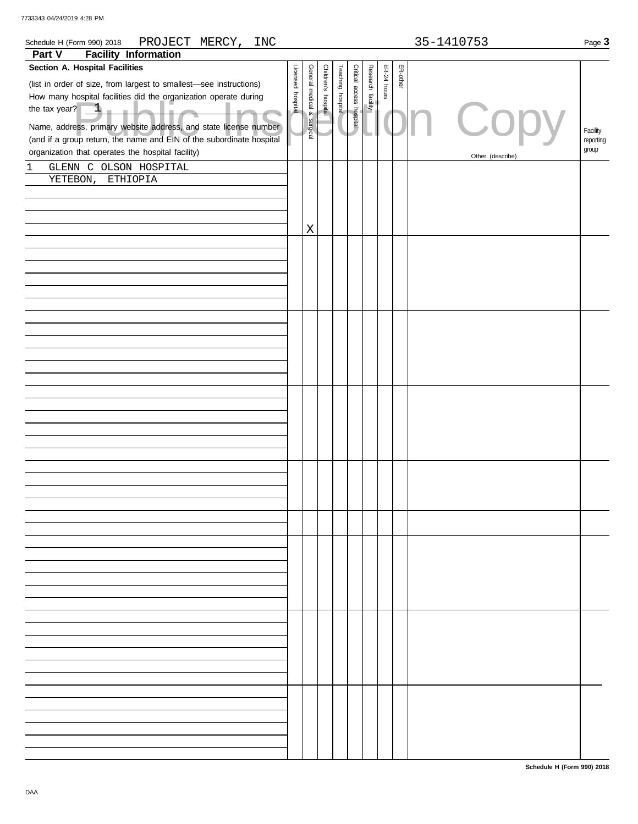| PROJECT MERCY,<br>Schedule H (Form 990) 2018<br><b>INC</b>           |                   |                 |                     |                   |                          |                   |             |          | 35-1410753       | Page 3    |
|----------------------------------------------------------------------|-------------------|-----------------|---------------------|-------------------|--------------------------|-------------------|-------------|----------|------------------|-----------|
| <b>Facility Information</b><br>Part V                                |                   |                 |                     |                   |                          |                   |             |          |                  |           |
| Section A. Hospital Facilities                                       |                   |                 |                     |                   |                          |                   |             |          |                  |           |
| (list in order of size, from largest to smallest-see instructions)   | Licensed hospital | General medical | Children's hospital | Teaching hospital | Critical access hospital | Research facility | ER-24 hours | ER-other |                  |           |
| How many hospital facilities did the organization operate during     |                   |                 |                     |                   |                          |                   |             |          |                  |           |
| the tax year? $1 -$                                                  |                   |                 |                     |                   |                          |                   |             |          |                  |           |
|                                                                      |                   | & surgical      |                     |                   |                          |                   |             |          | Copy             |           |
| Name, address, primary website address, and state license number     |                   |                 |                     |                   |                          |                   |             |          |                  | Facility  |
| (and if a group return, the name and EIN of the subordinate hospital |                   |                 |                     |                   |                          |                   |             |          |                  | reporting |
| organization that operates the hospital facility)                    |                   |                 |                     |                   |                          |                   |             |          | Other (describe) | group     |
| GLENN C OLSON HOSPITAL<br>1                                          |                   |                 |                     |                   |                          |                   |             |          |                  |           |
| YETEBON,<br>ETHIOPIA                                                 |                   |                 |                     |                   |                          |                   |             |          |                  |           |
|                                                                      |                   |                 |                     |                   |                          |                   |             |          |                  |           |
|                                                                      |                   |                 |                     |                   |                          |                   |             |          |                  |           |
|                                                                      |                   |                 |                     |                   |                          |                   |             |          |                  |           |
|                                                                      |                   | X               |                     |                   |                          |                   |             |          |                  |           |
|                                                                      |                   |                 |                     |                   |                          |                   |             |          |                  |           |
|                                                                      |                   |                 |                     |                   |                          |                   |             |          |                  |           |
|                                                                      |                   |                 |                     |                   |                          |                   |             |          |                  |           |
|                                                                      |                   |                 |                     |                   |                          |                   |             |          |                  |           |
|                                                                      |                   |                 |                     |                   |                          |                   |             |          |                  |           |
|                                                                      |                   |                 |                     |                   |                          |                   |             |          |                  |           |
|                                                                      |                   |                 |                     |                   |                          |                   |             |          |                  |           |
|                                                                      |                   |                 |                     |                   |                          |                   |             |          |                  |           |
|                                                                      |                   |                 |                     |                   |                          |                   |             |          |                  |           |
|                                                                      |                   |                 |                     |                   |                          |                   |             |          |                  |           |
|                                                                      |                   |                 |                     |                   |                          |                   |             |          |                  |           |
|                                                                      |                   |                 |                     |                   |                          |                   |             |          |                  |           |
|                                                                      |                   |                 |                     |                   |                          |                   |             |          |                  |           |
|                                                                      |                   |                 |                     |                   |                          |                   |             |          |                  |           |
|                                                                      |                   |                 |                     |                   |                          |                   |             |          |                  |           |
|                                                                      |                   |                 |                     |                   |                          |                   |             |          |                  |           |
|                                                                      |                   |                 |                     |                   |                          |                   |             |          |                  |           |
|                                                                      |                   |                 |                     |                   |                          |                   |             |          |                  |           |
|                                                                      |                   |                 |                     |                   |                          |                   |             |          |                  |           |
|                                                                      |                   |                 |                     |                   |                          |                   |             |          |                  |           |
|                                                                      |                   |                 |                     |                   |                          |                   |             |          |                  |           |
|                                                                      |                   |                 |                     |                   |                          |                   |             |          |                  |           |
|                                                                      |                   |                 |                     |                   |                          |                   |             |          |                  |           |
|                                                                      |                   |                 |                     |                   |                          |                   |             |          |                  |           |
|                                                                      |                   |                 |                     |                   |                          |                   |             |          |                  |           |
|                                                                      |                   |                 |                     |                   |                          |                   |             |          |                  |           |
|                                                                      |                   |                 |                     |                   |                          |                   |             |          |                  |           |
|                                                                      |                   |                 |                     |                   |                          |                   |             |          |                  |           |
|                                                                      |                   |                 |                     |                   |                          |                   |             |          |                  |           |
|                                                                      |                   |                 |                     |                   |                          |                   |             |          |                  |           |
|                                                                      |                   |                 |                     |                   |                          |                   |             |          |                  |           |
|                                                                      |                   |                 |                     |                   |                          |                   |             |          |                  |           |
|                                                                      |                   |                 |                     |                   |                          |                   |             |          |                  |           |
|                                                                      |                   |                 |                     |                   |                          |                   |             |          |                  |           |
|                                                                      |                   |                 |                     |                   |                          |                   |             |          |                  |           |
|                                                                      |                   |                 |                     |                   |                          |                   |             |          |                  |           |
|                                                                      |                   |                 |                     |                   |                          |                   |             |          |                  |           |
|                                                                      |                   |                 |                     |                   |                          |                   |             |          |                  |           |
|                                                                      |                   |                 |                     |                   |                          |                   |             |          |                  |           |
|                                                                      |                   |                 |                     |                   |                          |                   |             |          |                  |           |
|                                                                      |                   |                 |                     |                   |                          |                   |             |          |                  |           |
|                                                                      |                   |                 |                     |                   |                          |                   |             |          |                  |           |
|                                                                      |                   |                 |                     |                   |                          |                   |             |          |                  |           |
|                                                                      |                   |                 |                     |                   |                          |                   |             |          |                  |           |
|                                                                      |                   |                 |                     |                   |                          |                   |             |          |                  |           |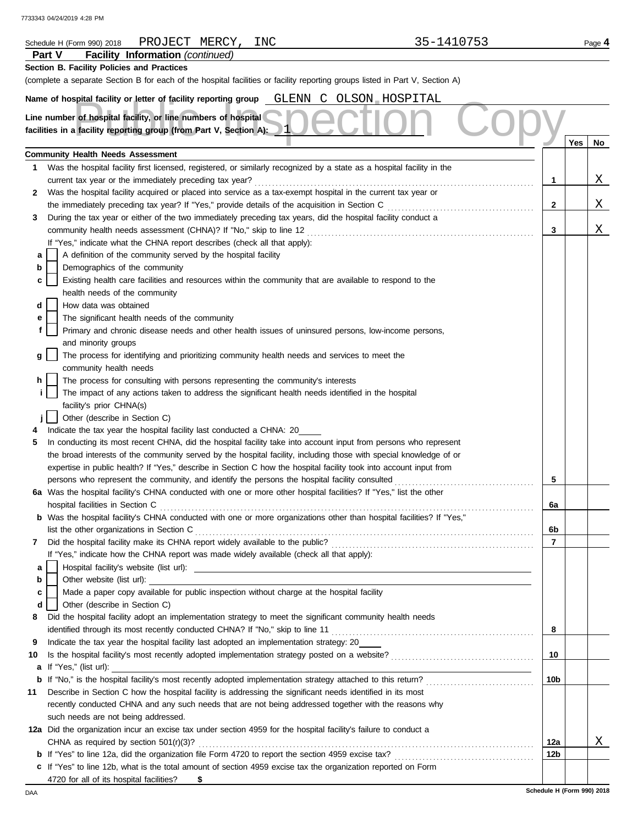|        | 35-1410753<br>PROJECT MERCY,<br>INC<br>Schedule H (Form 990) 2018                                                                                                                                                                        |     |     | Page 4 |
|--------|------------------------------------------------------------------------------------------------------------------------------------------------------------------------------------------------------------------------------------------|-----|-----|--------|
|        | <b>Facility Information (continued)</b><br><b>Part V</b>                                                                                                                                                                                 |     |     |        |
|        | Section B. Facility Policies and Practices                                                                                                                                                                                               |     |     |        |
|        | (complete a separate Section B for each of the hospital facilities or facility reporting groups listed in Part V, Section A)                                                                                                             |     |     |        |
|        |                                                                                                                                                                                                                                          |     |     |        |
|        | Name of hospital facility or letter of facility reporting group GLENN C OLSON HOSPITAL                                                                                                                                                   |     |     |        |
|        | Line number of hospital facility, or line numbers of hospital                                                                                                                                                                            |     |     |        |
|        | facilities in a facility reporting group (from Part V, Section A):                                                                                                                                                                       |     |     |        |
|        |                                                                                                                                                                                                                                          |     | Yes | No     |
|        | <b>Community Health Needs Assessment</b>                                                                                                                                                                                                 |     |     |        |
| 1      | Was the hospital facility first licensed, registered, or similarly recognized by a state as a hospital facility in the                                                                                                                   |     |     |        |
|        | current tax year or the immediately preceding tax year?                                                                                                                                                                                  | 1   |     | X      |
| 2      | Was the hospital facility acquired or placed into service as a tax-exempt hospital in the current tax year or                                                                                                                            |     |     |        |
|        | the immediately preceding tax year? If "Yes," provide details of the acquisition in Section C                                                                                                                                            | 2   |     | Χ      |
| 3      | During the tax year or either of the two immediately preceding tax years, did the hospital facility conduct a                                                                                                                            |     |     |        |
|        |                                                                                                                                                                                                                                          | 3   |     | Χ      |
|        | If "Yes," indicate what the CHNA report describes (check all that apply):                                                                                                                                                                |     |     |        |
| а      | A definition of the community served by the hospital facility                                                                                                                                                                            |     |     |        |
| b      | Demographics of the community                                                                                                                                                                                                            |     |     |        |
|        | Existing health care facilities and resources within the community that are available to respond to the                                                                                                                                  |     |     |        |
| с      | health needs of the community                                                                                                                                                                                                            |     |     |        |
| d      | How data was obtained                                                                                                                                                                                                                    |     |     |        |
|        | The significant health needs of the community                                                                                                                                                                                            |     |     |        |
| е<br>f | Primary and chronic disease needs and other health issues of uninsured persons, low-income persons,                                                                                                                                      |     |     |        |
|        |                                                                                                                                                                                                                                          |     |     |        |
|        | and minority groups                                                                                                                                                                                                                      |     |     |        |
| g      | The process for identifying and prioritizing community health needs and services to meet the                                                                                                                                             |     |     |        |
| h.     | community health needs                                                                                                                                                                                                                   |     |     |        |
| i.     | The process for consulting with persons representing the community's interests<br>The impact of any actions taken to address the significant health needs identified in the hospital                                                     |     |     |        |
|        | facility's prior CHNA(s)                                                                                                                                                                                                                 |     |     |        |
|        |                                                                                                                                                                                                                                          |     |     |        |
|        | Other (describe in Section C)                                                                                                                                                                                                            |     |     |        |
| 5      | Indicate the tax year the hospital facility last conducted a CHNA: 20                                                                                                                                                                    |     |     |        |
|        | In conducting its most recent CHNA, did the hospital facility take into account input from persons who represent                                                                                                                         |     |     |        |
|        | the broad interests of the community served by the hospital facility, including those with special knowledge of or<br>expertise in public health? If "Yes," describe in Section C how the hospital facility took into account input from |     |     |        |
|        | persons who represent the community, and identify the persons the hospital facility consulted                                                                                                                                            | 5   |     |        |
|        | 6a Was the hospital facility's CHNA conducted with one or more other hospital facilities? If "Yes," list the other                                                                                                                       |     |     |        |
|        | hospital facilities in Section C                                                                                                                                                                                                         | 6a  |     |        |
|        | b Was the hospital facility's CHNA conducted with one or more organizations other than hospital facilities? If "Yes,"                                                                                                                    |     |     |        |
|        |                                                                                                                                                                                                                                          | 6b  |     |        |
|        |                                                                                                                                                                                                                                          | 7   |     |        |
| 7      | If "Yes," indicate how the CHNA report was made widely available (check all that apply):                                                                                                                                                 |     |     |        |
|        |                                                                                                                                                                                                                                          |     |     |        |
| a      | Other website (list url): example and the state of the state of the state of the state of the state of the state of the state of the state of the state of the state of the state of the state of the state of the state of th           |     |     |        |
| b      | Made a paper copy available for public inspection without charge at the hospital facility                                                                                                                                                |     |     |        |
| c      |                                                                                                                                                                                                                                          |     |     |        |
| d      | Other (describe in Section C)                                                                                                                                                                                                            |     |     |        |
| 8      | Did the hospital facility adopt an implementation strategy to meet the significant community health needs                                                                                                                                |     |     |        |
|        | Indicate the tax year the hospital facility last adopted an implementation strategy: 20                                                                                                                                                  | 8   |     |        |
| 9      |                                                                                                                                                                                                                                          |     |     |        |
| 10     |                                                                                                                                                                                                                                          | 10  |     |        |
| а      | If "Yes," (list url):                                                                                                                                                                                                                    |     |     |        |
|        |                                                                                                                                                                                                                                          | 10b |     |        |
| 11     | Describe in Section C how the hospital facility is addressing the significant needs identified in its most                                                                                                                               |     |     |        |
|        | recently conducted CHNA and any such needs that are not being addressed together with the reasons why                                                                                                                                    |     |     |        |
|        | such needs are not being addressed.                                                                                                                                                                                                      |     |     |        |
|        | 12a Did the organization incur an excise tax under section 4959 for the hospital facility's failure to conduct a                                                                                                                         |     |     |        |
|        | CHNA as required by section $501(r)(3)?$                                                                                                                                                                                                 | 12a |     | Χ      |
|        |                                                                                                                                                                                                                                          | 12b |     |        |
|        | c If "Yes" to line 12b, what is the total amount of section 4959 excise tax the organization reported on Form                                                                                                                            |     |     |        |
|        | 4720 for all of its hospital facilities?<br>- \$                                                                                                                                                                                         |     |     |        |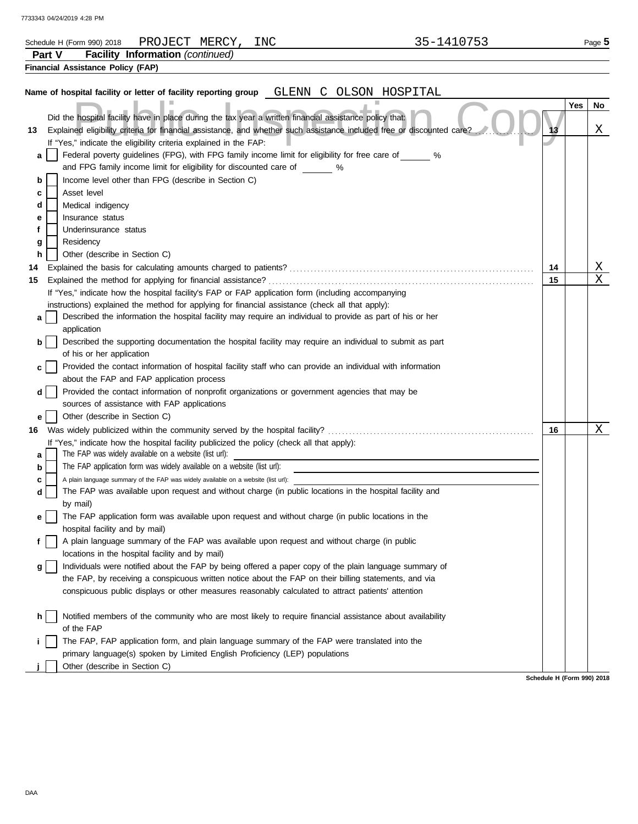| 7733343 04/24/2019 4:28 PM |  |  |  |  |
|----------------------------|--|--|--|--|
|----------------------------|--|--|--|--|

|                       | PROJECT MERCY,<br>Schedule H (Form 990) 2018                                                                                                                                                                                                                                                                                                                                                                                                                                                                                                                                                                                                                                                                                                                                                                                                                                                                                                                                                                                                                  | INC              | 35-1410753 |          | Page 5                  |
|-----------------------|---------------------------------------------------------------------------------------------------------------------------------------------------------------------------------------------------------------------------------------------------------------------------------------------------------------------------------------------------------------------------------------------------------------------------------------------------------------------------------------------------------------------------------------------------------------------------------------------------------------------------------------------------------------------------------------------------------------------------------------------------------------------------------------------------------------------------------------------------------------------------------------------------------------------------------------------------------------------------------------------------------------------------------------------------------------|------------------|------------|----------|-------------------------|
| Part V                | <b>Facility Information (continued)</b>                                                                                                                                                                                                                                                                                                                                                                                                                                                                                                                                                                                                                                                                                                                                                                                                                                                                                                                                                                                                                       |                  |            |          |                         |
|                       | <b>Financial Assistance Policy (FAP)</b>                                                                                                                                                                                                                                                                                                                                                                                                                                                                                                                                                                                                                                                                                                                                                                                                                                                                                                                                                                                                                      |                  |            |          |                         |
|                       | Name of hospital facility or letter of facility reporting group GLENN                                                                                                                                                                                                                                                                                                                                                                                                                                                                                                                                                                                                                                                                                                                                                                                                                                                                                                                                                                                         | C OLSON HOSPITAL |            |          |                         |
| 13                    | Did the hospital facility have in place during the tax year a written financial assistance policy that:<br>Explained eligibility criteria for financial assistance, and whether such assistance included free or discounted care?<br>If "Yes," indicate the eligibility criteria explained in the FAP:                                                                                                                                                                                                                                                                                                                                                                                                                                                                                                                                                                                                                                                                                                                                                        |                  |            | 13       | Yes<br>No<br>Χ          |
| a<br>b<br>c<br>d      | Federal poverty guidelines (FPG), with FPG family income limit for eligibility for free care of %<br>and FPG family income limit for eligibility for discounted care of \, \, \, \,<br>Income level other than FPG (describe in Section C)<br>Asset level<br>Medical indigency                                                                                                                                                                                                                                                                                                                                                                                                                                                                                                                                                                                                                                                                                                                                                                                |                  |            |          |                         |
| е<br>f<br>g<br>h      | Insurance status<br>Underinsurance status<br>Residency<br>Other (describe in Section C)                                                                                                                                                                                                                                                                                                                                                                                                                                                                                                                                                                                                                                                                                                                                                                                                                                                                                                                                                                       |                  |            |          | $\overline{\mathrm{X}}$ |
| 14<br>15              |                                                                                                                                                                                                                                                                                                                                                                                                                                                                                                                                                                                                                                                                                                                                                                                                                                                                                                                                                                                                                                                               |                  |            | 14<br>15 | $\mathbf X$             |
|                       | If "Yes," indicate how the hospital facility's FAP or FAP application form (including accompanying                                                                                                                                                                                                                                                                                                                                                                                                                                                                                                                                                                                                                                                                                                                                                                                                                                                                                                                                                            |                  |            |          |                         |
| a<br>b<br>d  <br>е    | instructions) explained the method for applying for financial assistance (check all that apply):<br>Described the information the hospital facility may require an individual to provide as part of his or her<br>application<br>Described the supporting documentation the hospital facility may require an individual to submit as part<br>of his or her application<br>Provided the contact information of hospital facility staff who can provide an individual with information<br>about the FAP and FAP application process<br>Provided the contact information of nonprofit organizations or government agencies that may be<br>sources of assistance with FAP applications<br>Other (describe in Section C)                                                                                                                                                                                                                                                                                                                                           |                  |            |          |                         |
|                       |                                                                                                                                                                                                                                                                                                                                                                                                                                                                                                                                                                                                                                                                                                                                                                                                                                                                                                                                                                                                                                                               |                  |            | 16       | X                       |
| a<br>b<br>c<br>d<br>g | If "Yes," indicate how the hospital facility publicized the policy (check all that apply):<br>The FAP was widely available on a website (list url):<br>The FAP application form was widely available on a website (list url):<br>A plain language summary of the FAP was widely available on a website (list url):<br>The FAP was available upon request and without charge (in public locations in the hospital facility and<br>by mail)<br>The FAP application form was available upon request and without charge (in public locations in the<br>hospital facility and by mail)<br>A plain language summary of the FAP was available upon request and without charge (in public<br>locations in the hospital facility and by mail)<br>Individuals were notified about the FAP by being offered a paper copy of the plain language summary of<br>the FAP, by receiving a conspicuous written notice about the FAP on their billing statements, and via<br>conspicuous public displays or other measures reasonably calculated to attract patients' attention |                  |            |          |                         |
| h.                    | Notified members of the community who are most likely to require financial assistance about availability<br>of the FAP<br>The FAP, FAP application form, and plain language summary of the FAP were translated into the<br>primary language(s) spoken by Limited English Proficiency (LEP) populations<br>Other (describe in Section C)                                                                                                                                                                                                                                                                                                                                                                                                                                                                                                                                                                                                                                                                                                                       |                  |            |          |                         |
|                       |                                                                                                                                                                                                                                                                                                                                                                                                                                                                                                                                                                                                                                                                                                                                                                                                                                                                                                                                                                                                                                                               |                  |            |          |                         |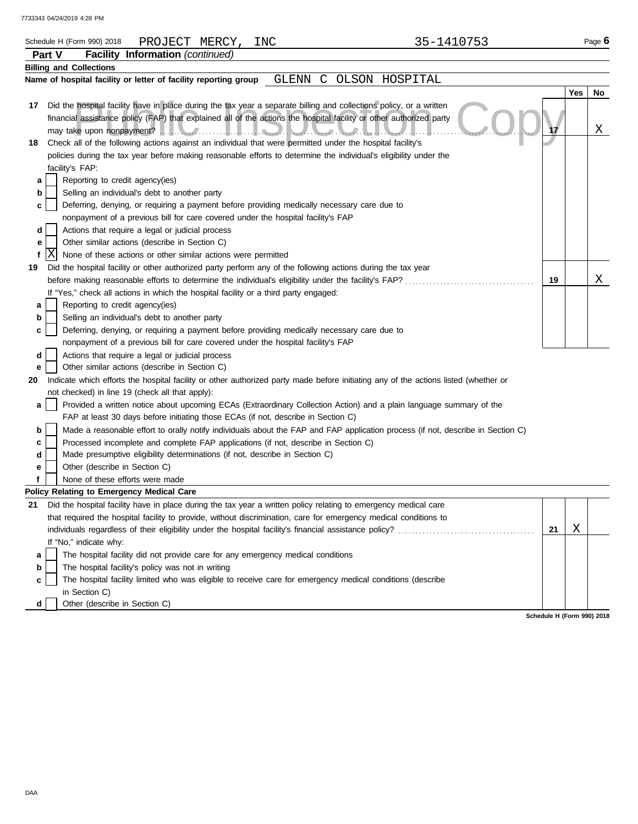|     | Schedule H (Form 990) 2018                      |                 |                                 |                                               | PROJECT MERCY,                                                                       | INC |              |                                                                                                                                                                                                                                            |                | 35-1410753 |    |     | Page $6$ |
|-----|-------------------------------------------------|-----------------|---------------------------------|-----------------------------------------------|--------------------------------------------------------------------------------------|-----|--------------|--------------------------------------------------------------------------------------------------------------------------------------------------------------------------------------------------------------------------------------------|----------------|------------|----|-----|----------|
|     | Part V                                          | <b>Facility</b> |                                 |                                               | <b>Information</b> (continued)                                                       |     |              |                                                                                                                                                                                                                                            |                |            |    |     |          |
|     | <b>Billing and Collections</b>                  |                 |                                 |                                               |                                                                                      |     |              |                                                                                                                                                                                                                                            |                |            |    |     |          |
|     |                                                 |                 |                                 |                                               | Name of hospital facility or letter of facility reporting group                      |     | <b>GLENN</b> | C                                                                                                                                                                                                                                          | OLSON HOSPITAL |            |    |     |          |
|     |                                                 |                 |                                 |                                               |                                                                                      |     |              |                                                                                                                                                                                                                                            |                |            |    | Yes | No       |
| 17  |                                                 |                 |                                 |                                               |                                                                                      |     |              | Did the hospital facility have in place during the tax year a separate billing and collections policy, or a written<br>financial assistance policy (FAP) that explained all of the actions the hospital facility or other authorized party |                |            |    |     |          |
|     |                                                 |                 |                                 |                                               |                                                                                      |     |              |                                                                                                                                                                                                                                            |                |            |    |     | Χ        |
| 18  |                                                 |                 |                                 |                                               |                                                                                      |     |              | Check all of the following actions against an individual that were permitted under the hospital facility's                                                                                                                                 |                |            |    |     |          |
|     |                                                 |                 |                                 |                                               |                                                                                      |     |              | policies during the tax year before making reasonable efforts to determine the individual's eligibility under the                                                                                                                          |                |            |    |     |          |
|     | facility's FAP:                                 |                 |                                 |                                               |                                                                                      |     |              |                                                                                                                                                                                                                                            |                |            |    |     |          |
| а   |                                                 |                 | Reporting to credit agency(ies) |                                               |                                                                                      |     |              |                                                                                                                                                                                                                                            |                |            |    |     |          |
| b   |                                                 |                 |                                 | Selling an individual's debt to another party |                                                                                      |     |              |                                                                                                                                                                                                                                            |                |            |    |     |          |
| c   |                                                 |                 |                                 |                                               |                                                                                      |     |              | Deferring, denying, or requiring a payment before providing medically necessary care due to                                                                                                                                                |                |            |    |     |          |
|     |                                                 |                 |                                 |                                               | nonpayment of a previous bill for care covered under the hospital facility's FAP     |     |              |                                                                                                                                                                                                                                            |                |            |    |     |          |
| d   |                                                 |                 |                                 |                                               | Actions that require a legal or judicial process                                     |     |              |                                                                                                                                                                                                                                            |                |            |    |     |          |
| е   |                                                 |                 |                                 | Other similar actions (describe in Section C) |                                                                                      |     |              |                                                                                                                                                                                                                                            |                |            |    |     |          |
| f   | Χ                                               |                 |                                 |                                               | None of these actions or other similar actions were permitted                        |     |              |                                                                                                                                                                                                                                            |                |            |    |     |          |
| 19  |                                                 |                 |                                 |                                               |                                                                                      |     |              | Did the hospital facility or other authorized party perform any of the following actions during the tax year                                                                                                                               |                |            |    |     |          |
|     |                                                 |                 |                                 |                                               |                                                                                      |     |              |                                                                                                                                                                                                                                            |                |            | 19 |     | Χ        |
|     |                                                 |                 |                                 |                                               | If "Yes," check all actions in which the hospital facility or a third party engaged: |     |              |                                                                                                                                                                                                                                            |                |            |    |     |          |
| а   |                                                 |                 | Reporting to credit agency(ies) |                                               |                                                                                      |     |              |                                                                                                                                                                                                                                            |                |            |    |     |          |
| b   |                                                 |                 |                                 | Selling an individual's debt to another party |                                                                                      |     |              |                                                                                                                                                                                                                                            |                |            |    |     |          |
| c   |                                                 |                 |                                 |                                               |                                                                                      |     |              | Deferring, denying, or requiring a payment before providing medically necessary care due to                                                                                                                                                |                |            |    |     |          |
|     |                                                 |                 |                                 |                                               | nonpayment of a previous bill for care covered under the hospital facility's FAP     |     |              |                                                                                                                                                                                                                                            |                |            |    |     |          |
| d   |                                                 |                 |                                 |                                               | Actions that require a legal or judicial process                                     |     |              |                                                                                                                                                                                                                                            |                |            |    |     |          |
| е   |                                                 |                 |                                 | Other similar actions (describe in Section C) |                                                                                      |     |              |                                                                                                                                                                                                                                            |                |            |    |     |          |
| 20  |                                                 |                 |                                 |                                               |                                                                                      |     |              | Indicate which efforts the hospital facility or other authorized party made before initiating any of the actions listed (whether or                                                                                                        |                |            |    |     |          |
|     | not checked) in line 19 (check all that apply): |                 |                                 |                                               |                                                                                      |     |              |                                                                                                                                                                                                                                            |                |            |    |     |          |
| a   |                                                 |                 |                                 |                                               | FAP at least 30 days before initiating those ECAs (if not, describe in Section C)    |     |              | Provided a written notice about upcoming ECAs (Extraordinary Collection Action) and a plain language summary of the                                                                                                                        |                |            |    |     |          |
| b   |                                                 |                 |                                 |                                               |                                                                                      |     |              | Made a reasonable effort to orally notify individuals about the FAP and FAP application process (if not, describe in Section C)                                                                                                            |                |            |    |     |          |
| с   |                                                 |                 |                                 |                                               |                                                                                      |     |              | Processed incomplete and complete FAP applications (if not, describe in Section C)                                                                                                                                                         |                |            |    |     |          |
| d   |                                                 |                 |                                 |                                               | Made presumptive eligibility determinations (if not, describe in Section C)          |     |              |                                                                                                                                                                                                                                            |                |            |    |     |          |
| е   |                                                 |                 | Other (describe in Section C)   |                                               |                                                                                      |     |              |                                                                                                                                                                                                                                            |                |            |    |     |          |
| f   |                                                 |                 | None of these efforts were made |                                               |                                                                                      |     |              |                                                                                                                                                                                                                                            |                |            |    |     |          |
|     | Policy Relating to Emergency Medical Care       |                 |                                 |                                               |                                                                                      |     |              |                                                                                                                                                                                                                                            |                |            |    |     |          |
|     |                                                 |                 |                                 |                                               |                                                                                      |     |              | 21 Did the hospital facility have in place during the tax year a written policy relating to emergency medical care                                                                                                                         |                |            |    |     |          |
|     |                                                 |                 |                                 |                                               |                                                                                      |     |              | that required the hospital facility to provide, without discrimination, care for emergency medical conditions to                                                                                                                           |                |            |    |     |          |
|     |                                                 |                 |                                 |                                               |                                                                                      |     |              |                                                                                                                                                                                                                                            |                |            | 21 | Χ   |          |
|     | If "No," indicate why:                          |                 |                                 |                                               |                                                                                      |     |              |                                                                                                                                                                                                                                            |                |            |    |     |          |
| а   |                                                 |                 |                                 |                                               | The hospital facility did not provide care for any emergency medical conditions      |     |              |                                                                                                                                                                                                                                            |                |            |    |     |          |
| b   |                                                 |                 |                                 |                                               | The hospital facility's policy was not in writing                                    |     |              |                                                                                                                                                                                                                                            |                |            |    |     |          |
| c   | in Section C)                                   |                 |                                 |                                               |                                                                                      |     |              | The hospital facility limited who was eligible to receive care for emergency medical conditions (describe                                                                                                                                  |                |            |    |     |          |
| d l |                                                 |                 | Other (describe in Section C)   |                                               |                                                                                      |     |              |                                                                                                                                                                                                                                            |                |            |    |     |          |

**d** Other (describe in Section C)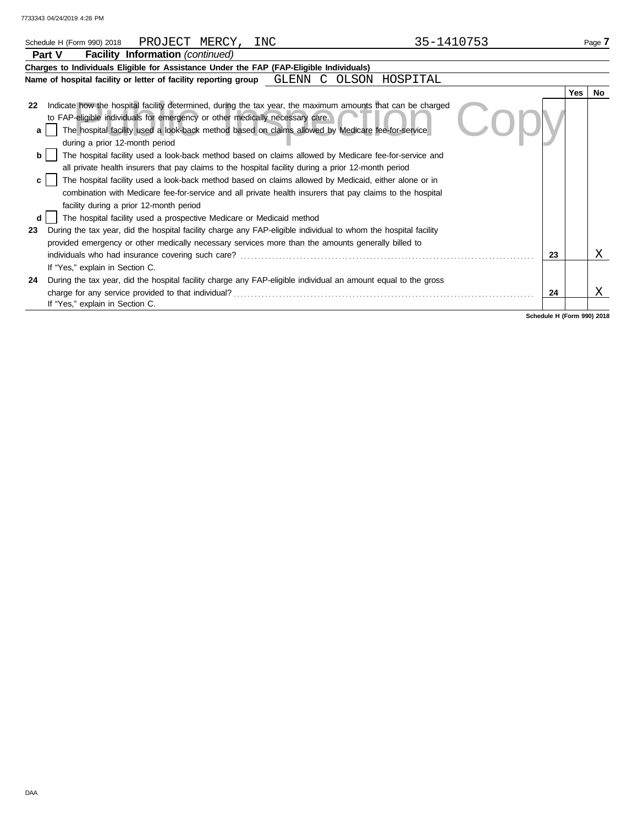| PROJECT MERCY,<br>Schedule H (Form 990) 2018                                                                                                                                                                                                                                                                                                                                                                                                                                  | INC | 35-1410753          |    |            | Page 7 |
|-------------------------------------------------------------------------------------------------------------------------------------------------------------------------------------------------------------------------------------------------------------------------------------------------------------------------------------------------------------------------------------------------------------------------------------------------------------------------------|-----|---------------------|----|------------|--------|
| Facility Information (continued)<br>Part V                                                                                                                                                                                                                                                                                                                                                                                                                                    |     |                     |    |            |        |
| Charges to Individuals Eligible for Assistance Under the FAP (FAP-Eligible Individuals)                                                                                                                                                                                                                                                                                                                                                                                       |     |                     |    |            |        |
| Name of hospital facility or letter of facility reporting group GLENN                                                                                                                                                                                                                                                                                                                                                                                                         |     | C<br>OLSON HOSPITAL |    |            |        |
|                                                                                                                                                                                                                                                                                                                                                                                                                                                                               |     |                     |    | <b>Yes</b> | No.    |
| Indicate how the hospital facility determined, during the tax year, the maximum amounts that can be charged<br>22<br>to FAP-eligible individuals for emergency or other medically necessary care.<br>The hospital facility used a look-back method based on claims allowed by Medicare fee-for-service<br>a<br>during a prior 12-month period                                                                                                                                 |     |                     |    |            |        |
| The hospital facility used a look-back method based on claims allowed by Medicare fee-for-service and<br>all private health insurers that pay claims to the hospital facility during a prior 12-month period<br>The hospital facility used a look-back method based on claims allowed by Medicaid, either alone or in<br>combination with Medicare fee-for-service and all private health insurers that pay claims to the hospital<br>facility during a prior 12-month period |     |                     |    |            |        |
| The hospital facility used a prospective Medicare or Medicaid method<br>During the tax year, did the hospital facility charge any FAP-eligible individual to whom the hospital facility<br>23<br>provided emergency or other medically necessary services more than the amounts generally billed to                                                                                                                                                                           |     |                     | 23 |            | х      |
| If "Yes," explain in Section C.<br>During the tax year, did the hospital facility charge any FAP-eligible individual an amount equal to the gross<br>24<br>charge for any service provided to that individual?                                                                                                                                                                                                                                                                |     |                     | 24 |            | Χ      |
| If "Yes," explain in Section C.                                                                                                                                                                                                                                                                                                                                                                                                                                               |     |                     |    |            |        |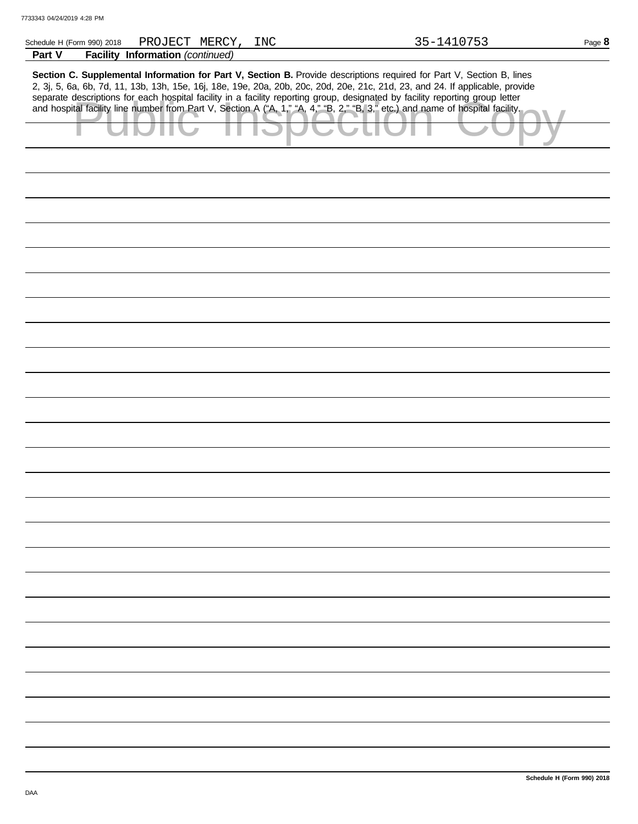| Schedule H (Form 990) 2018 |                                  | PROJECT MERCY, INC | 35-1410753<br>Page 8                                                                                                           |
|----------------------------|----------------------------------|--------------------|--------------------------------------------------------------------------------------------------------------------------------|
| Part V                     | Facility Information (continued) |                    |                                                                                                                                |
|                            |                                  |                    |                                                                                                                                |
|                            |                                  |                    | Section C. Supplemental Information for Part V, Section B. Provide descriptions required for Part V, Section B, lines          |
|                            |                                  |                    | 2, 3j, 5, 6a, 6b, 7d, 11, 13b, 13h, 15e, 16j, 18e, 19e, 20a, 20b, 20c, 20d, 20e, 21c, 21d, 23, and 24. If applicable, provide  |
|                            |                                  |                    | separate descriptions for each hospital facility in a facility reporting group, designated by facility reporting group letter  |
|                            |                                  |                    | and hospital facility line number from Part V, Section A ("A, 1," "A, 4," "B, 2," "B, 3," etc.) and name of hospital facility. |
|                            |                                  |                    |                                                                                                                                |
|                            |                                  |                    |                                                                                                                                |
|                            |                                  |                    |                                                                                                                                |
|                            |                                  |                    |                                                                                                                                |
|                            |                                  |                    |                                                                                                                                |
|                            |                                  |                    |                                                                                                                                |
|                            |                                  |                    |                                                                                                                                |
|                            |                                  |                    |                                                                                                                                |
|                            |                                  |                    |                                                                                                                                |
|                            |                                  |                    |                                                                                                                                |
|                            |                                  |                    |                                                                                                                                |
|                            |                                  |                    |                                                                                                                                |
|                            |                                  |                    |                                                                                                                                |
|                            |                                  |                    |                                                                                                                                |
|                            |                                  |                    |                                                                                                                                |
|                            |                                  |                    |                                                                                                                                |
|                            |                                  |                    |                                                                                                                                |
|                            |                                  |                    |                                                                                                                                |
|                            |                                  |                    |                                                                                                                                |
|                            |                                  |                    |                                                                                                                                |
|                            |                                  |                    |                                                                                                                                |
|                            |                                  |                    |                                                                                                                                |
|                            |                                  |                    |                                                                                                                                |
|                            |                                  |                    |                                                                                                                                |
|                            |                                  |                    |                                                                                                                                |
|                            |                                  |                    |                                                                                                                                |
|                            |                                  |                    |                                                                                                                                |
|                            |                                  |                    |                                                                                                                                |
|                            |                                  |                    |                                                                                                                                |
|                            |                                  |                    |                                                                                                                                |
|                            |                                  |                    |                                                                                                                                |
|                            |                                  |                    |                                                                                                                                |
|                            |                                  |                    |                                                                                                                                |
|                            |                                  |                    |                                                                                                                                |
|                            |                                  |                    |                                                                                                                                |
|                            |                                  |                    |                                                                                                                                |
|                            |                                  |                    |                                                                                                                                |
|                            |                                  |                    |                                                                                                                                |
|                            |                                  |                    |                                                                                                                                |
|                            |                                  |                    |                                                                                                                                |
|                            |                                  |                    |                                                                                                                                |
|                            |                                  |                    |                                                                                                                                |
|                            |                                  |                    |                                                                                                                                |
|                            |                                  |                    |                                                                                                                                |
|                            |                                  |                    |                                                                                                                                |
|                            |                                  |                    |                                                                                                                                |
|                            |                                  |                    |                                                                                                                                |
|                            |                                  |                    |                                                                                                                                |
|                            |                                  |                    |                                                                                                                                |
|                            |                                  |                    |                                                                                                                                |
|                            |                                  |                    |                                                                                                                                |
|                            |                                  |                    |                                                                                                                                |
|                            |                                  |                    |                                                                                                                                |
|                            |                                  |                    |                                                                                                                                |
|                            |                                  |                    |                                                                                                                                |
|                            |                                  |                    |                                                                                                                                |
|                            |                                  |                    |                                                                                                                                |
|                            |                                  |                    |                                                                                                                                |
|                            |                                  |                    |                                                                                                                                |
|                            |                                  |                    |                                                                                                                                |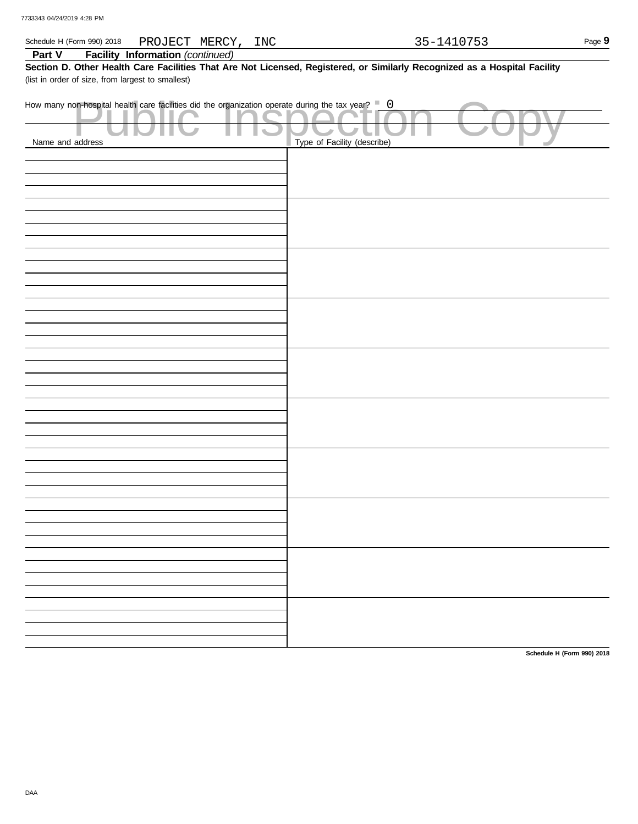| Schedule H (Form 990) 2018<br>PROJECT MERCY, INC                                                                                                                               |                             | 35-1410753 | Page 9 |
|--------------------------------------------------------------------------------------------------------------------------------------------------------------------------------|-----------------------------|------------|--------|
| <b>Facility Information (continued)</b><br>Part V                                                                                                                              |                             |            |        |
| Section D. Other Health Care Facilities That Are Not Licensed, Registered, or Similarly Recognized as a Hospital Facility<br>(list in order of size, from largest to smallest) |                             |            |        |
| How many non-hospital health care facilities did the organization operate during the tax year? $\Box$ 0<br>Name and address                                                    | Type of Facility (describe) |            |        |
|                                                                                                                                                                                |                             |            |        |
|                                                                                                                                                                                |                             |            |        |
|                                                                                                                                                                                |                             |            |        |
|                                                                                                                                                                                |                             |            |        |
|                                                                                                                                                                                |                             |            |        |
|                                                                                                                                                                                |                             |            |        |
|                                                                                                                                                                                |                             |            |        |
|                                                                                                                                                                                |                             |            |        |
|                                                                                                                                                                                |                             |            |        |
|                                                                                                                                                                                |                             |            |        |
|                                                                                                                                                                                |                             |            |        |
|                                                                                                                                                                                |                             |            |        |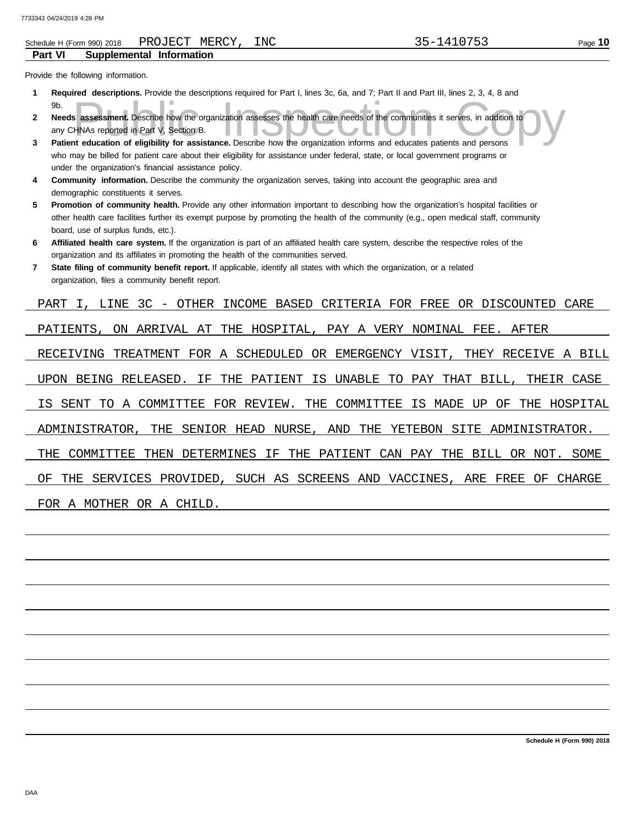**Part VI**

### **Supplemental Information**  Schedule H (Form 990) 2018 PROJECT MERCY, INC 35-1410753

Provide the following information.

- **Required descriptions.** Provide the descriptions required for Part I, lines 3c, 6a, and 7; Part II and Part III, lines 2, 3, 4, 8 and **1** 9b.
- Solution and assessment. Describe how the organization assesses the health care needs of the communities it serves, in addition to HNAs reported in Part V, Section B.<br>The education of eligibility for assistance. Describe h **Needs assessment.** Describe how the organization assesses the health care needs of the communities it serves, in addition to **2** any CHNAs reported in Part V, Section B.
- **Patient education of eligibility for assistance.** Describe how the organization informs and educates patients and persons who may be billed for patient care about their eligibility for assistance under federal, state, or local government programs or under the organization's financial assistance policy. **3**
- **Community information.** Describe the community the organization serves, taking into account the geographic area and demographic constituents it serves. **4**
- **Promotion of community health.** Provide any other information important to describing how the organization's hospital facilities or other health care facilities further its exempt purpose by promoting the health of the community (e.g., open medical staff, community **5** board, use of surplus funds, etc.).
- **Affiliated health care system.** If the organization is part of an affiliated health care system, describe the respective roles of the organization and its affiliates in promoting the health of the communities served. **6**
- **State filing of community benefit report.** If applicable, identify all states with which the organization, or a related organization, files a community benefit report. **7**

PART I, LINE 3C - OTHER INCOME BASED CRITERIA FOR FREE OR DISCOUNTED CARE PATIENTS, ON ARRIVAL AT THE HOSPITAL, PAY A VERY NOMINAL FEE. AFTER RECEIVING TREATMENT FOR A SCHEDULED OR EMERGENCY VISIT, THEY RECEIVE A BILL UPON BEING RELEASED. IF THE PATIENT IS UNABLE TO PAY THAT BILL, THEIR CASE IS SENT TO A COMMITTEE FOR REVIEW. THE COMMITTEE IS MADE UP OF THE HOSPITAL ADMINISTRATOR, THE SENIOR HEAD NURSE, AND THE YETEBON SITE ADMINISTRATOR. THE COMMITTEE THEN DETERMINES IF THE PATIENT CAN PAY THE BILL OR NOT. SOME OF THE SERVICES PROVIDED, SUCH AS SCREENS AND VACCINES, ARE FREE OF CHARGE FOR A MOTHER OR A CHILD.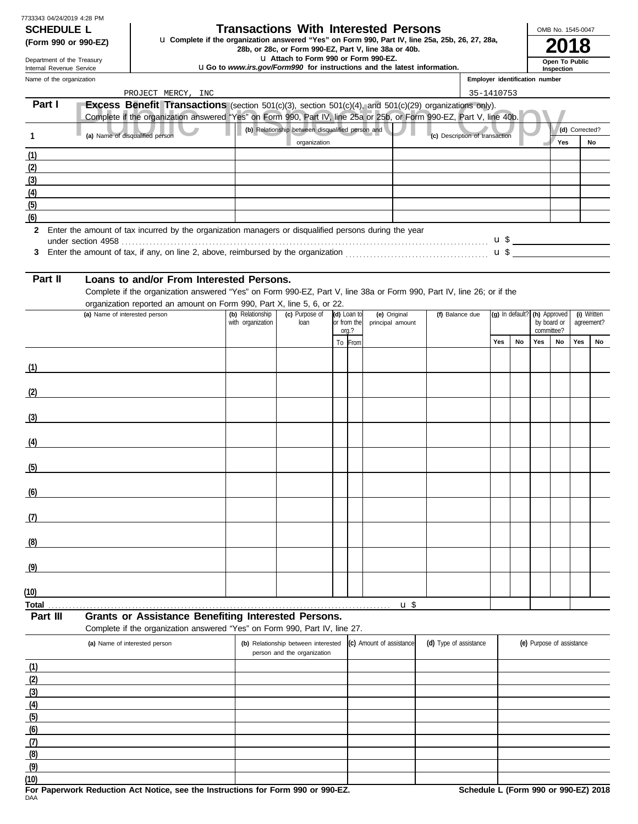| 7733343 04/24/2019 4:28 PM |
|----------------------------|
| <b>SCHEDULE L</b>          |

## **Transactions With Interested Persons**

**(Form 990 or 990-EZ) u** Complete if the organization answered "Yes" on Form 990, Part IV, line 25a, 25b, 26, 27, 28a,<br>28b, or 28c, or Form 990-EZ, Part V, line 38a or 40b.<br>**2018** 

u **Attach to Form 990 or Form 990-EZ.**

u**Go to** *www.irs.gov/Form990* **for instructions and the latest information.**

Name of the organization Department of the Treasury Internal Revenue Service

# **Inspection Open To Public**

OMB No. 1545-0047

| Name of the organization |                                                                                                                       |                   |                                                  |  |                  |              |                                | Employer identification number |                              |             |                  |                |             |
|--------------------------|-----------------------------------------------------------------------------------------------------------------------|-------------------|--------------------------------------------------|--|------------------|--------------|--------------------------------|--------------------------------|------------------------------|-------------|------------------|----------------|-------------|
|                          | PROJECT MERCY, INC                                                                                                    |                   |                                                  |  |                  |              |                                | 35-1410753                     |                              |             |                  |                |             |
| Part I                   | Excess Benefit Transactions (section 501(c)(3), section 501(c)(4), and 501(c)(29) organizations only).                |                   |                                                  |  |                  |              |                                |                                |                              |             |                  |                |             |
|                          | Complete if the organization answered "Yes" on Form 990, Part IV, line 25a or 25b, or Form 990-EZ, Part V, line 40b.  |                   |                                                  |  |                  |              |                                |                                |                              |             |                  |                |             |
| $\mathbf{1}$             | (a) Name of disqualified person                                                                                       |                   | (b) Relationship between disqualified person and |  |                  |              | (c) Description of transaction |                                |                              |             |                  | (d) Corrected? |             |
|                          |                                                                                                                       |                   | organization                                     |  |                  |              |                                |                                |                              |             | Yes              |                | <b>No</b>   |
| (1)                      |                                                                                                                       |                   |                                                  |  |                  |              |                                |                                |                              |             |                  |                |             |
| (2)                      |                                                                                                                       |                   |                                                  |  |                  |              |                                |                                |                              |             |                  |                |             |
| (3)                      |                                                                                                                       |                   |                                                  |  |                  |              |                                |                                |                              |             |                  |                |             |
| (4)                      |                                                                                                                       |                   |                                                  |  |                  |              |                                |                                |                              |             |                  |                |             |
| (5)                      |                                                                                                                       |                   |                                                  |  |                  |              |                                |                                |                              |             |                  |                |             |
| (6)                      |                                                                                                                       |                   |                                                  |  |                  |              |                                |                                |                              |             |                  |                |             |
|                          | 2 Enter the amount of tax incurred by the organization managers or disqualified persons during the year               |                   |                                                  |  |                  |              |                                |                                |                              |             |                  |                |             |
|                          |                                                                                                                       |                   |                                                  |  |                  |              |                                |                                |                              |             |                  |                |             |
|                          |                                                                                                                       |                   |                                                  |  |                  |              |                                |                                |                              |             |                  |                |             |
|                          |                                                                                                                       |                   |                                                  |  |                  |              |                                |                                |                              |             |                  |                |             |
| Part II                  | Loans to and/or From Interested Persons.                                                                              |                   |                                                  |  |                  |              |                                |                                |                              |             |                  |                |             |
|                          | Complete if the organization answered "Yes" on Form 990-EZ, Part V, line 38a or Form 990, Part IV, line 26; or if the |                   |                                                  |  |                  |              |                                |                                |                              |             |                  |                |             |
|                          | organization reported an amount on Form 990, Part X, line 5, 6, or 22.<br>(a) Name of interested person               | (b) Relationship  | (c) Purpose of                                   |  | (d) Loan to      | (e) Original | (f) Balance due                |                                | (g) In default? (h) Approved |             |                  |                | (i) Written |
|                          |                                                                                                                       | with organization | loan<br>or from the                              |  | principal amount |              |                                |                                |                              | by board or |                  | agreement?     |             |
|                          |                                                                                                                       |                   |                                                  |  | $orq$ .?         |              |                                | <b>Yes</b>                     | <b>No</b>                    | Yes         | committee?<br>No | Yes            | No          |
|                          |                                                                                                                       |                   |                                                  |  | To From          |              |                                |                                |                              |             |                  |                |             |
| (1)                      |                                                                                                                       |                   |                                                  |  |                  |              |                                |                                |                              |             |                  |                |             |
|                          |                                                                                                                       |                   |                                                  |  |                  |              |                                |                                |                              |             |                  |                |             |
| (2)                      | <u> 1990 - Johann Barbara, martx</u>                                                                                  |                   |                                                  |  |                  |              |                                |                                |                              |             |                  |                |             |
|                          |                                                                                                                       |                   |                                                  |  |                  |              |                                |                                |                              |             |                  |                |             |
| (3)                      | <u> 1980 - Johann Barbara, martxa alemaniar a</u>                                                                     |                   |                                                  |  |                  |              |                                |                                |                              |             |                  |                |             |
|                          |                                                                                                                       |                   |                                                  |  |                  |              |                                |                                |                              |             |                  |                |             |
| (4)                      |                                                                                                                       |                   |                                                  |  |                  |              |                                |                                |                              |             |                  |                |             |
|                          |                                                                                                                       |                   |                                                  |  |                  |              |                                |                                |                              |             |                  |                |             |
| (5)                      |                                                                                                                       |                   |                                                  |  |                  |              |                                |                                |                              |             |                  |                |             |
|                          |                                                                                                                       |                   |                                                  |  |                  |              |                                |                                |                              |             |                  |                |             |
| (6)                      | <u> 1980 - Johann Barbara, martxa a</u>                                                                               |                   |                                                  |  |                  |              |                                |                                |                              |             |                  |                |             |
|                          |                                                                                                                       |                   |                                                  |  |                  |              |                                |                                |                              |             |                  |                |             |
| (7)                      |                                                                                                                       |                   |                                                  |  |                  |              |                                |                                |                              |             |                  |                |             |
|                          |                                                                                                                       |                   |                                                  |  |                  |              |                                |                                |                              |             |                  |                |             |
| (8)                      |                                                                                                                       |                   |                                                  |  |                  |              |                                |                                |                              |             |                  |                |             |
|                          |                                                                                                                       |                   |                                                  |  |                  |              |                                |                                |                              |             |                  |                |             |
| (9)                      |                                                                                                                       |                   |                                                  |  |                  |              |                                |                                |                              |             |                  |                |             |
|                          |                                                                                                                       |                   |                                                  |  |                  |              |                                |                                |                              |             |                  |                |             |

**Total** . . . . . . . . . . . . . . . . . . . . . . . . . . . . . . . . . . . . . . . . . . . . . . . . . . . . . . . . . . . . . . . . . . . . . . . . . . . . . . . . . . . . . . . . . . . . . . . . . . u \$ **(10)**

**Part III Grants or Assistance Benefiting Interested Persons.** Complete if the organization answered "Yes" on Form 990, Part IV, line 27.

|      | (a) Name of interested person | (b) Relationship between interested (c) Amount of assistance<br>person and the organization | (d) Type of assistance | (e) Purpose of assistance |
|------|-------------------------------|---------------------------------------------------------------------------------------------|------------------------|---------------------------|
| (1)  |                               |                                                                                             |                        |                           |
| (2)  |                               |                                                                                             |                        |                           |
| (3)  |                               |                                                                                             |                        |                           |
| (4)  |                               |                                                                                             |                        |                           |
| (5)  |                               |                                                                                             |                        |                           |
| (6)  |                               |                                                                                             |                        |                           |
| (7)  |                               |                                                                                             |                        |                           |
| (8)  |                               |                                                                                             |                        |                           |
| (9)  |                               |                                                                                             |                        |                           |
| (10) |                               |                                                                                             |                        |                           |

|     |  |  | For Paperwork Reduction Act Notice, see the Instructions for Form 990 or 990-EZ |  |  |  |
|-----|--|--|---------------------------------------------------------------------------------|--|--|--|
| DAA |  |  |                                                                                 |  |  |  |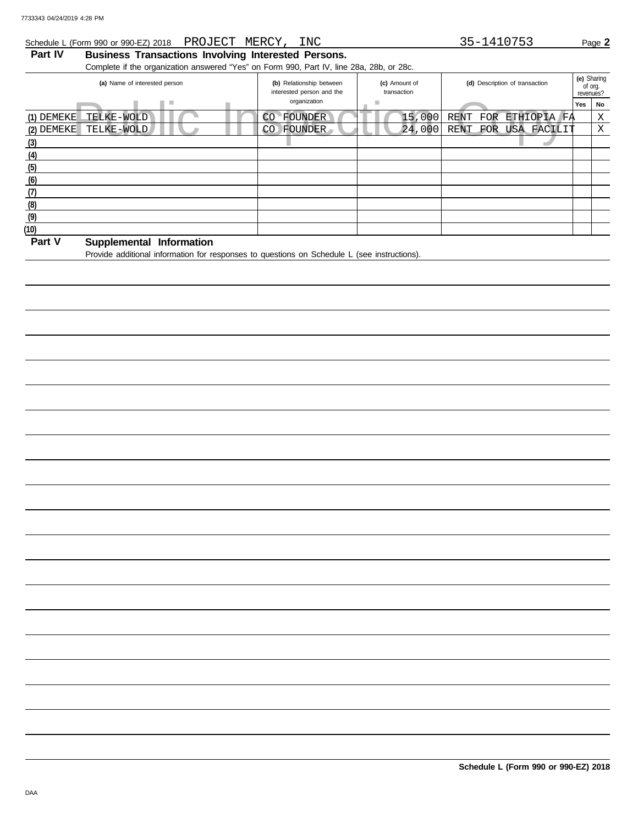## Schedule L (Form 990 or 990-EZ) 2018 PROJECT MERCY, INC 35-1410753 Page 2

## **Part IV Business Transactions Involving Interested Persons.**

Complete if the organization answered "Yes" on Form 990, Part IV, line 28a, 28b, or 28c.

| (a) Name of interested person                                                         | (c) Amount of<br>(b) Relationship between<br>interested person and the<br>transaction |        | (d) Description of transaction | (e) Sharing<br>of org.<br>revenues? |    |
|---------------------------------------------------------------------------------------|---------------------------------------------------------------------------------------|--------|--------------------------------|-------------------------------------|----|
| ш                                                                                     | organization                                                                          |        |                                | Yes                                 | No |
| (1) DEMEKE<br>TELKE-WOLD                                                              | <b>FOUNDER</b><br>CO                                                                  | 15,000 | RENT<br>ETHIOPIA FA<br>FOR     |                                     | X  |
| $(2)$ DEMEKE<br>TELKE-WOLD                                                            | FOUNDER<br>CO                                                                         | 24,000 | RENT FOR<br>USA FACILIT        |                                     | Χ  |
| (3)                                                                                   |                                                                                       |        |                                |                                     |    |
| (4)                                                                                   |                                                                                       |        |                                |                                     |    |
| (5)                                                                                   |                                                                                       |        |                                |                                     |    |
| (6)                                                                                   |                                                                                       |        |                                |                                     |    |
| (7)                                                                                   |                                                                                       |        |                                |                                     |    |
| (8)                                                                                   |                                                                                       |        |                                |                                     |    |
| (9)                                                                                   |                                                                                       |        |                                |                                     |    |
| (10)                                                                                  |                                                                                       |        |                                |                                     |    |
| $P = 1$<br>$\alpha$ and $\alpha$ is a set of $\alpha$ . The functional state $\alpha$ |                                                                                       |        |                                |                                     |    |

## **Part V Supplemental Information**

Provide additional information for responses to questions on Schedule L (see instructions).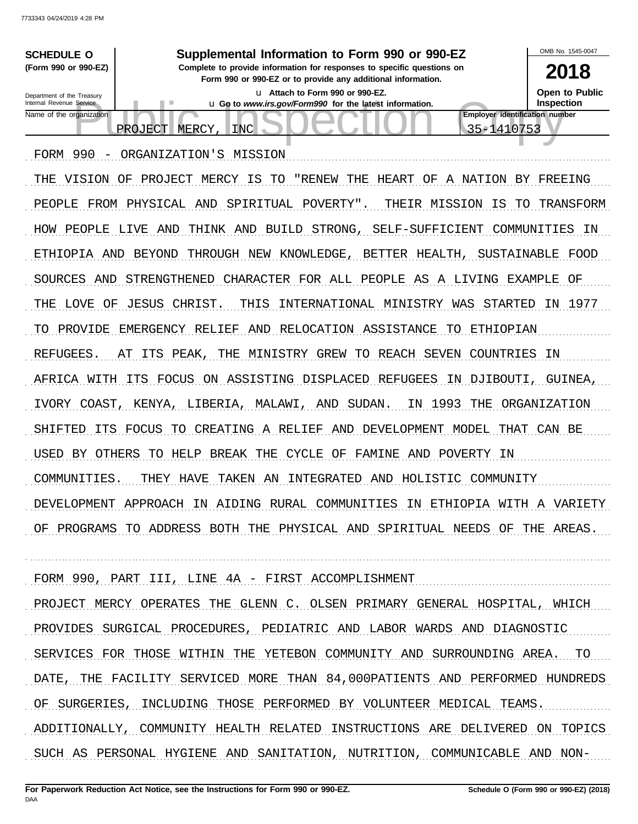

PEOPLE FROM PHYSICAL AND SPIRITUAL POVERTY". THEIR MISSION IS TO TRANSFORM HOW PEOPLE LIVE AND THINK AND BUILD STRONG, SELF-SUFFICIENT COMMUNITIES IN ETHIOPIA AND BEYOND THROUGH NEW KNOWLEDGE, BETTER HEALTH, SUSTAINABLE FOOD SOURCES AND STRENGTHENED CHARACTER FOR ALL PEOPLE AS A LIVING EXAMPLE OF THE LOVE OF JESUS CHRIST. THIS INTERNATIONAL MINISTRY WAS STARTED IN 1977 TO PROVIDE EMERGENCY RELIEF AND RELOCATION ASSISTANCE TO ETHIOPIAN REFUGEES. AT ITS PEAK, THE MINISTRY GREW TO REACH SEVEN COUNTRIES IN AFRICA WITH ITS FOCUS ON ASSISTING DISPLACED REFUGEES IN DJIBOUTI, GUINEA, IVORY COAST, KENYA, LIBERIA, MALAWI, AND SUDAN. IN 1993 THE ORGANIZATION SHIFTED ITS FOCUS TO CREATING A RELIEF AND DEVELOPMENT MODEL THAT CAN BE USED BY OTHERS TO HELP BREAK THE CYCLE OF FAMINE AND POVERTY IN COMMUNITIES. THEY HAVE TAKEN AN INTEGRATED AND HOLISTIC COMMUNITY DEVELOPMENT APPROACH IN AIDING RURAL COMMUNITIES IN ETHIOPIA WITH A VARIETY OF PROGRAMS TO ADDRESS BOTH THE PHYSICAL AND SPIRITUAL NEEDS OF THE AREAS.

FORM 990, PART III, LINE 4A - FIRST ACCOMPLISHMENT PROJECT MERCY OPERATES THE GLENN C. OLSEN PRIMARY GENERAL HOSPITAL, WHICH PROVIDES SURGICAL PROCEDURES, PEDIATRIC AND LABOR WARDS AND DIAGNOSTIC SERVICES FOR THOSE WITHIN THE YETEBON COMMUNITY AND SURROUNDING AREA. TO DATE, THE FACILITY SERVICED MORE THAN 84,000PATIENTS AND PERFORMED HUNDREDS OF SURGERIES, INCLUDING THOSE PERFORMED BY VOLUNTEER MEDICAL TEAMS. ADDITIONALLY, COMMUNITY HEALTH RELATED INSTRUCTIONS ARE DELIVERED ON TOPICS SUCH AS PERSONAL HYGIENE AND SANITATION, NUTRITION, COMMUNICABLE AND NON-

. . . . . . . . . . . . . . . . . . . . . . . . . . . . . . . . . . . . . . . . . . . . . . . . . . . . . . . . . . . . . . . . . . . . . . . . . . . . . . . . . . . . . . . . . . . . . . . . . . . . . . . . . . . . . . . . . . . . . . . . . . . . . . . . . . . . . . . . . . . . . . . . . . . . . . . . . . . . . . . . . . . . . . .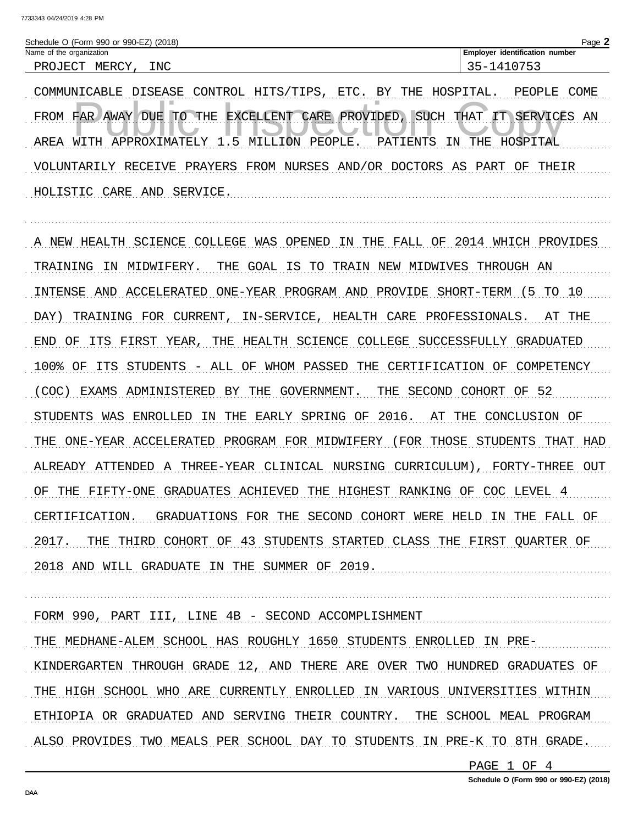| Page.<br>Schedule O (Form 990 or 990-EZ)<br>(2018) |                                      |  |  |  |  |
|----------------------------------------------------|--------------------------------------|--|--|--|--|
| Name of the organization                           | identification<br>Emplover<br>number |  |  |  |  |
| INC<br>MERCY<br>PROJECT                            | $-$<br><u>.</u>                      |  |  |  |  |

COMMUNICABLE DISEASE CONTROL HITS/TIPS, ETC. BY THE HOSPITAL. PEOPLE COME FROM FAR AWAY DUE TO THE EXCELLENT CARE PROVIDED, SUCH THAT IT SERVICES AN AREA WITH APPROXIMATELY 1.5 MILLION PEOPLE. PATIENTS IN THE HOSPITAL VOLUNTARILY RECEIVE PRAYERS FROM NURSES AND/OR DOCTORS AS PART OF THEIR HOLISTIC CARE AND SERVICE.

A NEW HEALTH SCIENCE COLLEGE WAS OPENED IN THE FALL OF 2014 WHICH PROVIDES TRAINING IN MIDWIFERY. THE GOAL IS TO TRAIN NEW MIDWIVES THROUGH AN INTENSE AND ACCELERATED ONE-YEAR PROGRAM AND PROVIDE SHORT-TERM (5 TO 10 DAY) TRAINING FOR CURRENT, IN-SERVICE, HEALTH CARE PROFESSIONALS. AT THE END OF ITS FIRST YEAR, THE HEALTH SCIENCE COLLEGE SUCCESSFULLY GRADUATED 100% OF ITS STUDENTS - ALL OF WHOM PASSED THE CERTIFICATION OF COMPETENCY (COC) EXAMS ADMINISTERED BY THE GOVERNMENT. THE SECOND COHORT OF 52 STUDENTS WAS ENROLLED IN THE EARLY SPRING OF 2016. AT THE CONCLUSION OF THE ONE-YEAR ACCELERATED PROGRAM FOR MIDWIFERY (FOR THOSE STUDENTS THAT HAD ALREADY ATTENDED A THREE-YEAR CLINICAL NURSING CURRICULUM), FORTY-THREE OUT OF THE FIFTY-ONE GRADUATES ACHIEVED THE HIGHEST RANKING OF COC LEVEL 4 CERTIFICATION. GRADUATIONS FOR THE SECOND COHORT WERE HELD IN THE FALL OF 2017. THE THIRD COHORT OF 43 STUDENTS STARTED CLASS THE FIRST QUARTER OF 2018 AND WILL GRADUATE IN THE SUMMER OF 2019.

FORM 990, PART III, LINE 4B - SECOND ACCOMPLISHMENT THE MEDHANE-ALEM SCHOOL HAS ROUGHLY 1650 STUDENTS ENROLLED IN PRE-KINDERGARTEN THROUGH GRADE 12, AND THERE ARE OVER TWO HUNDRED GRADUATES OF THE HIGH SCHOOL WHO ARE CURRENTLY ENROLLED IN VARIOUS UNIVERSITIES WITHIN ETHIOPIA OR GRADUATED AND SERVING THEIR COUNTRY. THE SCHOOL MEAL PROGRAM ALSO PROVIDES TWO MEALS PER SCHOOL DAY TO STUDENTS IN PRE-K TO 8TH GRADE.

PAGE 1 OF 4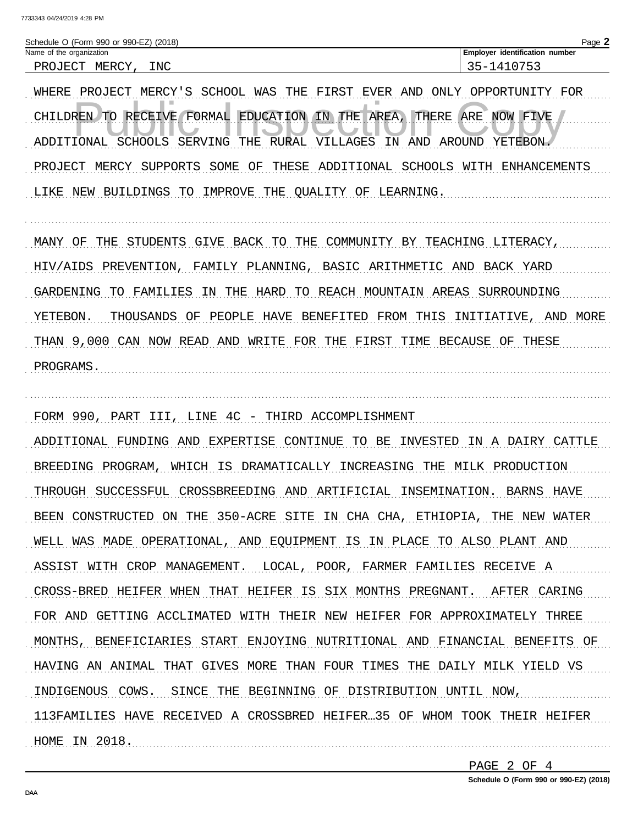| Schedule O (Form 990 or 990-EZ) (2018) | Page $\blacktriangle$                 |
|----------------------------------------|---------------------------------------|
| Name of the organization               | <b>Employer identification number</b> |
| INC<br>MERCY<br>PROJECT                | 35-1410753                            |
|                                        |                                       |

WHERE PROJECT MERCY'S SCHOOL WAS THE FIRST EVER AND ONLY OPPORTUNITY FOR CHILDREN TO RECEIVE FORMAL EDUCATION IN THE AREA, THERE ARE NOW FIVE ADDITIONAL SCHOOLS SERVING THE RURAL VILLAGES IN AND AROUND YETEBON. PROJECT MERCY SUPPORTS SOME OF THESE ADDITIONAL SCHOOLS WITH ENHANCEMENTS LIKE NEW BUILDINGS TO IMPROVE THE QUALITY OF LEARNING.

MANY OF THE STUDENTS GIVE BACK TO THE COMMUNITY BY TEACHING LITERACY, HIV/AIDS PREVENTION, FAMILY PLANNING, BASIC ARITHMETIC AND BACK YARD GARDENING TO FAMILIES IN THE HARD TO REACH MOUNTAIN AREAS SURROUNDING YETEBON. THOUSANDS OF PEOPLE HAVE BENEFITED FROM THIS INITIATIVE, AND MORE THAN 9,000 CAN NOW READ AND WRITE FOR THE FIRST TIME BECAUSE OF THESE PROGRAMS.

FORM 990, PART III, LINE 4C - THIRD ACCOMPLISHMENT ADDITIONAL FUNDING AND EXPERTISE CONTINUE TO BE INVESTED IN A DAIRY CATTLE BREEDING PROGRAM, WHICH IS DRAMATICALLY INCREASING THE MILK PRODUCTION THROUGH SUCCESSFUL CROSSBREEDING AND ARTIFICIAL INSEMINATION. BARNS HAVE BEEN CONSTRUCTED ON THE 350-ACRE SITE IN CHA CHA, ETHIOPIA, THE NEW WATER WELL WAS MADE OPERATIONAL, AND EQUIPMENT IS IN PLACE TO ALSO PLANT AND ASSIST WITH CROP MANAGEMENT. LOCAL, POOR, FARMER FAMILIES RECEIVE A CROSS-BRED HEIFER WHEN THAT HEIFER IS SIX MONTHS PREGNANT. AFTER CARING FOR AND GETTING ACCLIMATED WITH THEIR NEW HEIFER FOR APPROXIMATELY THREE MONTHS, BENEFICIARIES START ENJOYING NUTRITIONAL AND FINANCIAL BENEFITS OF HAVING AN ANIMAL THAT GIVES MORE THAN FOUR TIMES THE DAILY MILK YIELD VS INDIGENOUS COWS. SINCE THE BEGINNING OF DISTRIBUTION UNTIL NOW, 113FAMILIES HAVE RECEIVED A CROSSBRED HEIFER...35 OF WHOM TOOK THEIR HEIFER HOME IN 2018.

> PAGE 2 OF 4 Schedule O (Form 990 or 990-EZ) (2018)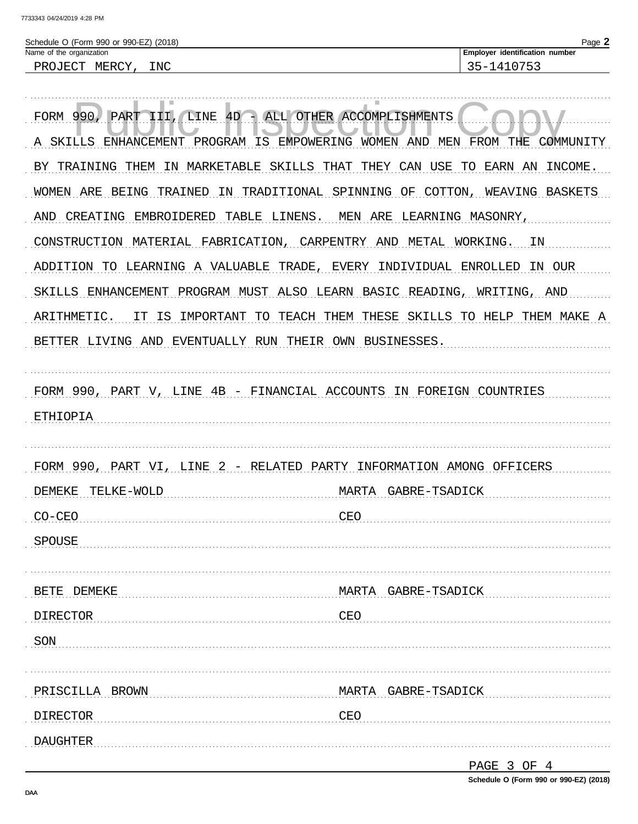| Schedule O (Form 990 or 990-EZ) (2018) | Page 2                                |
|----------------------------------------|---------------------------------------|
| Name of the organization               | <b>Employer identification number</b> |
| PROJECT<br>MERCY<br>INC                | 35-1410753                            |
|                                        |                                       |

| <b>FORM 990</b><br>LINE 4D -<br>PART<br>III                          | ALL OTHER ACCOMPLISHMENTS                      |
|----------------------------------------------------------------------|------------------------------------------------|
| PROGRAM IS<br>SKILLS ENHANCEMENT<br>А                                | EMPOWERING WOMEN AND MEN FROM THE<br>COMMUNITY |
| MARKETABLE<br>SKILLS THAT<br>BY TRAINING<br>THEM<br>ΙN               | THEY CAN USE<br>TO<br>INCOME.<br>EARN AN       |
| WOMEN ARE BEING<br>TRAINED<br>IN TRADITIONAL                         | SPINNING OF COTTON,<br>WEAVING BASKETS         |
| CREATING<br>EMBROIDERED<br>TABLE LINENS.<br>AND                      | MEN ARE<br>LEARNING MASONRY,                   |
| CONSTRUCTION MATERIAL FABRICATION, CARPENTRY AND                     | METAL<br>ΙN<br>WORKING.                        |
| ADDITION TO LEARNING A VALUABLE TRADE,                               | EVERY<br>INDIVIDUAL ENROLLED<br>IN OUR         |
| SKILLS ENHANCEMENT<br>PROGRAM MUST ALSO LEARN BASIC READING,         | AND<br>WRITING,                                |
| ARITHMETIC.<br>IT IS<br>IMPORTANT TO                                 | TEACH THEM THESE SKILLS TO HELP THEM MAKE A    |
| BETTER LIVING AND EVENTUALLY RUN THEIR OWN BUSINESSES.               |                                                |
|                                                                      |                                                |
| FORM 990, PART V, LINE 4B - FINANCIAL ACCOUNTS IN FOREIGN COUNTRIES  |                                                |
| ETHIOPIA                                                             |                                                |
|                                                                      |                                                |
| FORM 990, PART VI, LINE 2 - RELATED PARTY INFORMATION AMONG OFFICERS |                                                |
| <b>DEMEKE</b><br>TELKE-WOLD                                          | GABRE-TSADICK<br>MARTA                         |
| $CO-CEO$                                                             | CEO                                            |
| <b>SPOUSE</b>                                                        |                                                |
|                                                                      |                                                |
| BETE DEMEKE                                                          | MARTA GABRE-TSADICK                            |
| DIRECTOR                                                             | CEO                                            |
| SON                                                                  |                                                |
| PRISCILLA BROWN                                                      | MARTA GABRE-TSADICK                            |
| <b>DIRECTOR</b>                                                      | CEO                                            |
|                                                                      |                                                |
| <b>DAUGHTER</b>                                                      | PAGE 3 OF 4                                    |
|                                                                      |                                                |

Schedule O (Form 990 or 990-EZ) (2018)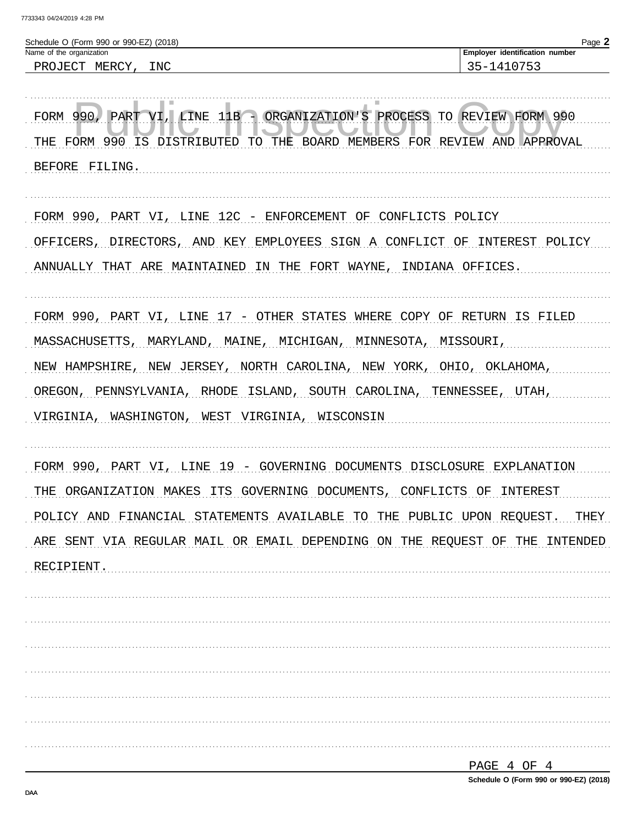| 35-1410753<br>PROJECT MERCY, INC<br>PART VI,<br>LINE 11B - ORGANIZATION'S PROCESS TO REVIEW FORM 990<br>FORM 990,<br>THE FORM 990 IS DISTRIBUTED<br>TO THE BOARD MEMBERS FOR REVIEW AND APPROVAL<br>BEFORE FILING.<br>FORM 990, PART VI, LINE 12C - ENFORCEMENT OF<br>CONFLICTS POLICY<br>DIRECTORS,<br>KEY<br>EMPLOYEES SIGN A<br>AND<br>CONFLICT<br>OF<br>FORT<br>WAYNE,<br>INDIANA OFFICES.<br>IN THE<br>COPY OF RETURN IS FILED<br>MAINE,<br>MINNESOTA,<br>MISSOURI,<br>MARYLAND,<br>MICHIGAN,<br>NEW JERSEY,<br>NORTH CAROLINA,<br>NEW YORK,<br>OHIO,<br>OKLAHOMA,<br>RHODE<br>ISLAND,<br>SOUTH CAROLINA,<br>TENNESSEE,<br>UTAH,<br>WASHINGTON,<br>WEST VIRGINIA,<br>WISCONSIN<br>VI, LINE 19 - GOVERNING DOCUMENTS DISCLOSURE EXPLANATION | Schedule O (Form 990 or 990-EZ) (2018)<br>Name of the organization | Page 2<br>Employer identification number |
|-------------------------------------------------------------------------------------------------------------------------------------------------------------------------------------------------------------------------------------------------------------------------------------------------------------------------------------------------------------------------------------------------------------------------------------------------------------------------------------------------------------------------------------------------------------------------------------------------------------------------------------------------------------------------------------------------------------------------------------------------|--------------------------------------------------------------------|------------------------------------------|
|                                                                                                                                                                                                                                                                                                                                                                                                                                                                                                                                                                                                                                                                                                                                                 |                                                                    |                                          |
|                                                                                                                                                                                                                                                                                                                                                                                                                                                                                                                                                                                                                                                                                                                                                 |                                                                    |                                          |
|                                                                                                                                                                                                                                                                                                                                                                                                                                                                                                                                                                                                                                                                                                                                                 |                                                                    |                                          |
|                                                                                                                                                                                                                                                                                                                                                                                                                                                                                                                                                                                                                                                                                                                                                 |                                                                    |                                          |
|                                                                                                                                                                                                                                                                                                                                                                                                                                                                                                                                                                                                                                                                                                                                                 |                                                                    |                                          |
|                                                                                                                                                                                                                                                                                                                                                                                                                                                                                                                                                                                                                                                                                                                                                 | OFFICERS,                                                          | INTEREST POLICY                          |
| FORM 990, PART VI, LINE 17 - OTHER STATES WHERE<br>MASSACHUSETTS,<br>NEW HAMPSHIRE,<br>OREGON, PENNSYLVANIA,<br>VIRGINIA,<br>FORM 990, PART<br>THE ORGANIZATION MAKES ITS GOVERNING DOCUMENTS, CONFLICTS OF INTEREST<br>POLICY AND FINANCIAL STATEMENTS AVAILABLE TO THE PUBLIC UPON REQUEST.<br>ARE SENT VIA REGULAR MAIL OR EMAIL DEPENDING ON THE REQUEST OF THE INTENDED<br>RECIPIENT.                                                                                                                                                                                                                                                                                                                                                      | ANNUALLY THAT ARE MAINTAINED                                       |                                          |
|                                                                                                                                                                                                                                                                                                                                                                                                                                                                                                                                                                                                                                                                                                                                                 |                                                                    |                                          |
|                                                                                                                                                                                                                                                                                                                                                                                                                                                                                                                                                                                                                                                                                                                                                 |                                                                    |                                          |
|                                                                                                                                                                                                                                                                                                                                                                                                                                                                                                                                                                                                                                                                                                                                                 |                                                                    |                                          |
|                                                                                                                                                                                                                                                                                                                                                                                                                                                                                                                                                                                                                                                                                                                                                 |                                                                    |                                          |
|                                                                                                                                                                                                                                                                                                                                                                                                                                                                                                                                                                                                                                                                                                                                                 |                                                                    |                                          |
|                                                                                                                                                                                                                                                                                                                                                                                                                                                                                                                                                                                                                                                                                                                                                 |                                                                    |                                          |
|                                                                                                                                                                                                                                                                                                                                                                                                                                                                                                                                                                                                                                                                                                                                                 |                                                                    |                                          |
|                                                                                                                                                                                                                                                                                                                                                                                                                                                                                                                                                                                                                                                                                                                                                 |                                                                    | THEY                                     |
|                                                                                                                                                                                                                                                                                                                                                                                                                                                                                                                                                                                                                                                                                                                                                 |                                                                    |                                          |
|                                                                                                                                                                                                                                                                                                                                                                                                                                                                                                                                                                                                                                                                                                                                                 |                                                                    |                                          |
|                                                                                                                                                                                                                                                                                                                                                                                                                                                                                                                                                                                                                                                                                                                                                 |                                                                    |                                          |
|                                                                                                                                                                                                                                                                                                                                                                                                                                                                                                                                                                                                                                                                                                                                                 |                                                                    |                                          |
|                                                                                                                                                                                                                                                                                                                                                                                                                                                                                                                                                                                                                                                                                                                                                 |                                                                    |                                          |
|                                                                                                                                                                                                                                                                                                                                                                                                                                                                                                                                                                                                                                                                                                                                                 |                                                                    |                                          |
|                                                                                                                                                                                                                                                                                                                                                                                                                                                                                                                                                                                                                                                                                                                                                 |                                                                    |                                          |
|                                                                                                                                                                                                                                                                                                                                                                                                                                                                                                                                                                                                                                                                                                                                                 |                                                                    |                                          |

| PAGE 4 OF 4                            |  |  |  |
|----------------------------------------|--|--|--|
| Schedule O (Form 990 or 990-EZ) (2018) |  |  |  |